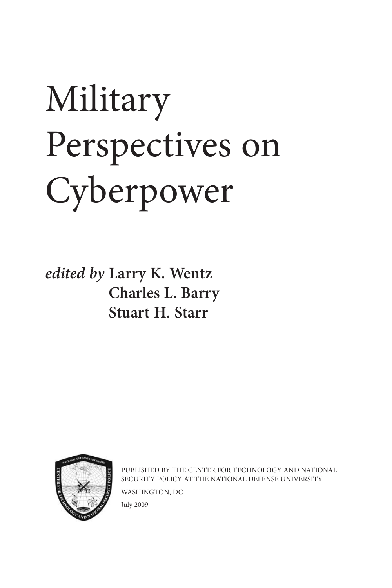# Military Perspectives on Cyberpower

*edited by* **Larry K. Wentz Charles L. Barry Stuart H. Starr**



PUBLISHED BY THE CENTER FOR TECHNOLOGY AND NATIONAL SECURITY POLICY AT THE NATIONAL DEFENSE UNIVERSITY WASHINGTON, DC July 2009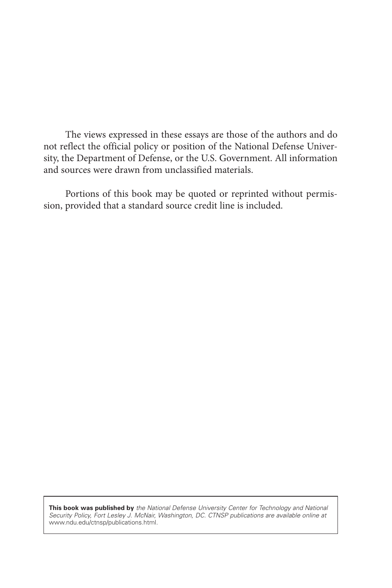The views expressed in these essays are those of the authors and do not reflect the official policy or position of the National Defense University, the Department of Defense, or the U.S. Government. All information and sources were drawn from unclassified materials.

Portions of this book may be quoted or reprinted without permission, provided that a standard source credit line is included.

**This book was published by** *the National Defense University Center for Technology and National Security Policy, Fort Lesley J. McNair, Washington, DC. CTNSP publications are available online at*  www.ndu.edu/ctnsp/publications.html.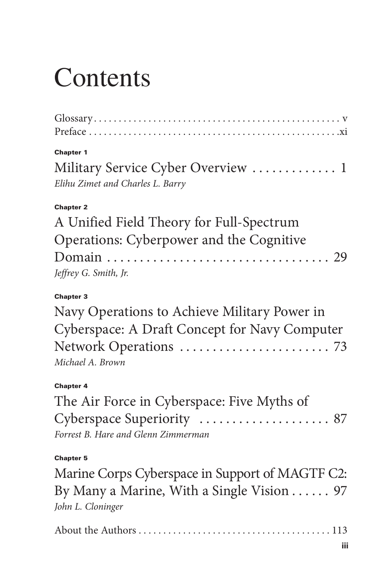## **Contents**

| <b>Chapter 1</b><br>Military Service Cyber Overview  1<br>Elihu Zimet and Charles L. Barry                                            |
|---------------------------------------------------------------------------------------------------------------------------------------|
| <b>Chapter 2</b><br>A Unified Field Theory for Full-Spectrum<br>Operations: Cyberpower and the Cognitive<br>Jeffrey G. Smith, Jr.     |
| <b>Chapter 3</b><br>Navy Operations to Achieve Military Power in<br>Cyberspace: A Draft Concept for Navy Computer<br>Michael A. Brown |
| <b>Chapter 4</b><br>The Air Force in Cyberspace: Five Myths of<br>Forrest B. Hare and Glenn Zimmerman                                 |
| <b>Chapter 5</b><br>Marine Corps Cyberspace in Support of MAGTF C2:<br>By Many a Marine, With a Single Vision 97<br>John L. Cloninger |
| iii                                                                                                                                   |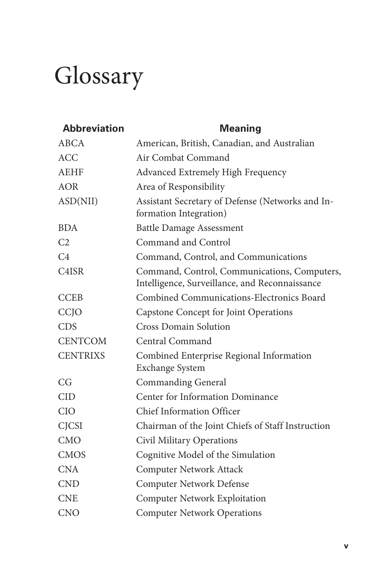### Glossary

| <b>Abbreviation</b>                                      | <b>Meaning</b>                                                                                 |  |  |  |
|----------------------------------------------------------|------------------------------------------------------------------------------------------------|--|--|--|
| ABCA                                                     | American, British, Canadian, and Australian                                                    |  |  |  |
| <b>ACC</b>                                               | Air Combat Command                                                                             |  |  |  |
| <b>AEHF</b>                                              | Advanced Extremely High Frequency                                                              |  |  |  |
| AOR                                                      | Area of Responsibility                                                                         |  |  |  |
| ASD(NII)                                                 | Assistant Secretary of Defense (Networks and In-<br>formation Integration)                     |  |  |  |
| <b>BDA</b>                                               | <b>Battle Damage Assessment</b>                                                                |  |  |  |
| C <sub>2</sub>                                           | Command and Control                                                                            |  |  |  |
| C <sub>4</sub>                                           | Command, Control, and Communications                                                           |  |  |  |
| C <sub>4</sub> ISR                                       | Command, Control, Communications, Computers,<br>Intelligence, Surveillance, and Reconnaissance |  |  |  |
| Combined Communications-Electronics Board<br><b>CCEB</b> |                                                                                                |  |  |  |
| CCJO                                                     | Capstone Concept for Joint Operations                                                          |  |  |  |
| <b>CDS</b>                                               | <b>Cross Domain Solution</b>                                                                   |  |  |  |
| <b>CENTCOM</b>                                           | Central Command                                                                                |  |  |  |
| <b>CENTRIXS</b>                                          | Combined Enterprise Regional Information<br>Exchange System                                    |  |  |  |
| CG                                                       | <b>Commanding General</b>                                                                      |  |  |  |
| <b>CID</b>                                               | Center for Information Dominance                                                               |  |  |  |
| <b>CIO</b>                                               | <b>Chief Information Officer</b>                                                               |  |  |  |
| <b>CJCSI</b>                                             | Chairman of the Joint Chiefs of Staff Instruction                                              |  |  |  |
| <b>CMO</b>                                               | Civil Military Operations                                                                      |  |  |  |
| <b>CMOS</b>                                              | Cognitive Model of the Simulation                                                              |  |  |  |
| <b>CNA</b>                                               | Computer Network Attack                                                                        |  |  |  |
| <b>CND</b>                                               | <b>Computer Network Defense</b>                                                                |  |  |  |
| <b>CNE</b>                                               | <b>Computer Network Exploitation</b>                                                           |  |  |  |
| <b>CNO</b>                                               | <b>Computer Network Operations</b>                                                             |  |  |  |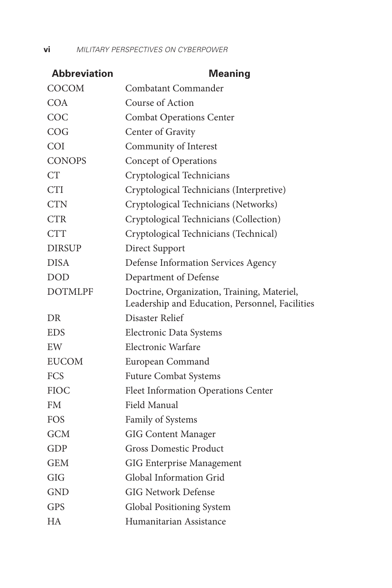**vi** *MILITARY PERSPECTIVES ON CYBERPOWER*

| <b>Abbreviation</b> | <b>Meaning</b>                                  |  |  |  |
|---------------------|-------------------------------------------------|--|--|--|
| <b>COCOM</b>        | Combatant Commander                             |  |  |  |
| <b>COA</b>          | Course of Action                                |  |  |  |
| COC                 | <b>Combat Operations Center</b>                 |  |  |  |
| COG                 | Center of Gravity                               |  |  |  |
| COI                 | Community of Interest                           |  |  |  |
| <b>CONOPS</b>       | Concept of Operations                           |  |  |  |
| CT                  | Cryptological Technicians                       |  |  |  |
| <b>CTI</b>          | Cryptological Technicians (Interpretive)        |  |  |  |
| <b>CTN</b>          | Cryptological Technicians (Networks)            |  |  |  |
| <b>CTR</b>          | Cryptological Technicians (Collection)          |  |  |  |
| <b>CTT</b>          | Cryptological Technicians (Technical)           |  |  |  |
| <b>DIRSUP</b>       | Direct Support                                  |  |  |  |
| DISA                | Defense Information Services Agency             |  |  |  |
| <b>DOD</b>          | Department of Defense                           |  |  |  |
| <b>DOTMLPF</b>      | Doctrine, Organization, Training, Materiel,     |  |  |  |
|                     | Leadership and Education, Personnel, Facilities |  |  |  |
| DR                  | Disaster Relief                                 |  |  |  |
| <b>EDS</b>          | Electronic Data Systems                         |  |  |  |
| EW                  | Electronic Warfare                              |  |  |  |
| <b>EUCOM</b>        | European Command                                |  |  |  |
| FCS                 | <b>Future Combat Systems</b>                    |  |  |  |
| <b>FIOC</b>         | Fleet Information Operations Center             |  |  |  |
| FM                  | Field Manual                                    |  |  |  |
| <b>FOS</b>          | Family of Systems                               |  |  |  |
| GCM                 | <b>GIG Content Manager</b>                      |  |  |  |
| GDP                 | <b>Gross Domestic Product</b>                   |  |  |  |
| <b>GEM</b>          | GIG Enterprise Management                       |  |  |  |
| GIG                 | Global Information Grid                         |  |  |  |
| <b>GND</b>          | <b>GIG Network Defense</b>                      |  |  |  |
| GPS                 | Global Positioning System                       |  |  |  |
| HA                  | Humanitarian Assistance                         |  |  |  |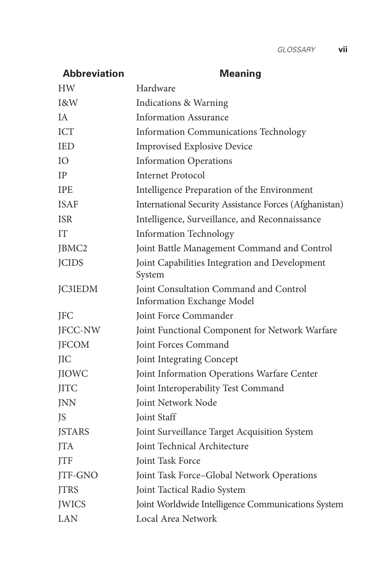### **Abbreviation Meaning** HW Hardware I&W Indications & Warning IA Information Assurance ICT Information Communications Technology IED Improvised Explosive Device IO Information Operations IP Internet Protocol IPE Intelligence Preparation of the Environment ISAF International Security Assistance Forces (Afghanistan) ISR Intelligence, Surveillance, and Reconnaissance IT Information Technology JBMC2 Joint Battle Management Command and Control JCIDS Joint Capabilities Integration and Development System JC3IEDM Joint Consultation Command and Control Information Exchange Model JFC Joint Force Commander JFCC-NW Joint Functional Component for Network Warfare JFCOM Joint Forces Command JIC Joint Integrating Concept JIOWC Joint Information Operations Warfare Center JITC Joint Interoperability Test Command JNN Joint Network Node JS Joint Staff JSTARS Joint Surveillance Target Acquisition System JTA Joint Technical Architecture **Joint Task Force** JTF-GNO Joint Task Force–Global Network Operations JTRS Joint Tactical Radio System JWICS Joint Worldwide Intelligence Communications System LAN Local Area Network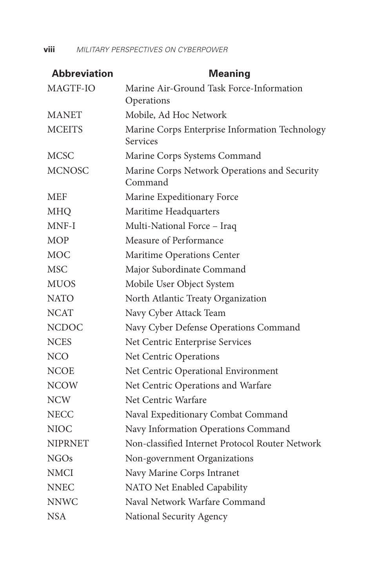| <b>Abbreviation</b> | <b>Meaning</b>                                             |  |  |  |
|---------------------|------------------------------------------------------------|--|--|--|
| MAGTF-IO            | Marine Air-Ground Task Force-Information<br>Operations     |  |  |  |
| <b>MANET</b>        | Mobile, Ad Hoc Network                                     |  |  |  |
| <b>MCEITS</b>       | Marine Corps Enterprise Information Technology<br>Services |  |  |  |
| <b>MCSC</b>         | Marine Corps Systems Command                               |  |  |  |
| <b>MCNOSC</b>       | Marine Corps Network Operations and Security<br>Command    |  |  |  |
| MEF                 | Marine Expeditionary Force                                 |  |  |  |
| <b>MHQ</b>          | Maritime Headquarters                                      |  |  |  |
| MNF-I               | Multi-National Force - Iraq                                |  |  |  |
| <b>MOP</b>          | Measure of Performance                                     |  |  |  |
| <b>MOC</b>          | Maritime Operations Center                                 |  |  |  |
| <b>MSC</b>          | Major Subordinate Command                                  |  |  |  |
| <b>MUOS</b>         | Mobile User Object System                                  |  |  |  |
| <b>NATO</b>         | North Atlantic Treaty Organization                         |  |  |  |
| <b>NCAT</b>         | Navy Cyber Attack Team                                     |  |  |  |
| <b>NCDOC</b>        | Navy Cyber Defense Operations Command                      |  |  |  |
| <b>NCES</b>         | Net Centric Enterprise Services                            |  |  |  |
| <b>NCO</b>          | Net Centric Operations                                     |  |  |  |
| NCOE                | Net Centric Operational Environment                        |  |  |  |
| <b>NCOW</b>         | Net Centric Operations and Warfare                         |  |  |  |
| NCW                 | Net Centric Warfare                                        |  |  |  |
| <b>NECC</b>         | Naval Expeditionary Combat Command                         |  |  |  |
| NIOC                | Navy Information Operations Command                        |  |  |  |
| <b>NIPRNET</b>      | Non-classified Internet Protocol Router Network            |  |  |  |
| NGOs                | Non-government Organizations                               |  |  |  |
| <b>NMCI</b>         | Navy Marine Corps Intranet                                 |  |  |  |
| NNEC                | NATO Net Enabled Capability                                |  |  |  |
| <b>NNWC</b>         | Naval Network Warfare Command                              |  |  |  |
| NSA                 | National Security Agency                                   |  |  |  |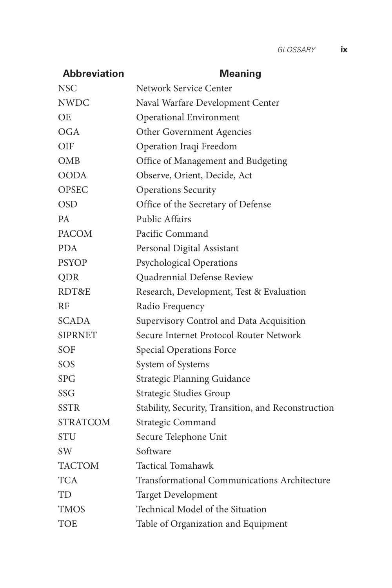| <b>Abbreviation</b> | <b>Meaning</b>                                      |  |  |
|---------------------|-----------------------------------------------------|--|--|
| <b>NSC</b>          | Network Service Center                              |  |  |
| <b>NWDC</b>         | Naval Warfare Development Center                    |  |  |
| OE                  | <b>Operational Environment</b>                      |  |  |
| OGA                 | Other Government Agencies                           |  |  |
| <b>OIF</b>          | Operation Iraqi Freedom                             |  |  |
| OMB                 | Office of Management and Budgeting                  |  |  |
| <b>OODA</b>         | Observe, Orient, Decide, Act                        |  |  |
| <b>OPSEC</b>        | <b>Operations Security</b>                          |  |  |
| <b>OSD</b>          | Office of the Secretary of Defense                  |  |  |
| PA                  | Public Affairs                                      |  |  |
| <b>PACOM</b>        | Pacific Command                                     |  |  |
| <b>PDA</b>          | Personal Digital Assistant                          |  |  |
| <b>PSYOP</b>        | <b>Psychological Operations</b>                     |  |  |
| QDR                 | Quadrennial Defense Review                          |  |  |
| RDT&E               | Research, Development, Test & Evaluation            |  |  |
| RF                  | Radio Frequency                                     |  |  |
| <b>SCADA</b>        | Supervisory Control and Data Acquisition            |  |  |
| <b>SIPRNET</b>      | Secure Internet Protocol Router Network             |  |  |
| SOF                 | <b>Special Operations Force</b>                     |  |  |
| SOS                 | System of Systems                                   |  |  |
| <b>SPG</b>          | Strategic Planning Guidance                         |  |  |
| <b>SSG</b>          | Strategic Studies Group                             |  |  |
| <b>SSTR</b>         | Stability, Security, Transition, and Reconstruction |  |  |
| <b>STRATCOM</b>     | Strategic Command                                   |  |  |
| STU                 | Secure Telephone Unit                               |  |  |
| SW.                 | Software                                            |  |  |
| <b>TACTOM</b>       | <b>Tactical Tomahawk</b>                            |  |  |
| <b>TCA</b>          | <b>Transformational Communications Architecture</b> |  |  |
| TD                  | <b>Target Development</b>                           |  |  |
| <b>TMOS</b>         | Technical Model of the Situation                    |  |  |
| TOE                 | Table of Organization and Equipment                 |  |  |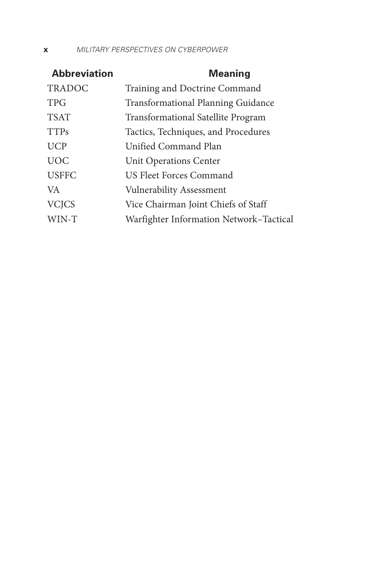#### **x** *MILITARY PERSPECTIVES ON CYBERPOWER*

| <b>Abbreviation</b> | <b>Meaning</b>                            |
|---------------------|-------------------------------------------|
| <b>TRADOC</b>       | Training and Doctrine Command             |
| <b>TPG</b>          | <b>Transformational Planning Guidance</b> |
| <b>TSAT</b>         | <b>Transformational Satellite Program</b> |
| <b>TTPs</b>         | Tactics, Techniques, and Procedures       |
| <b>UCP</b>          | Unified Command Plan                      |
| <b>UOC</b>          | <b>Unit Operations Center</b>             |
| <b>USFFC</b>        | US Fleet Forces Command                   |
| VA.                 | <b>Vulnerability Assessment</b>           |
| <b>VCJCS</b>        | Vice Chairman Joint Chiefs of Staff       |
| WIN-T               | Warfighter Information Network-Tactical   |
|                     |                                           |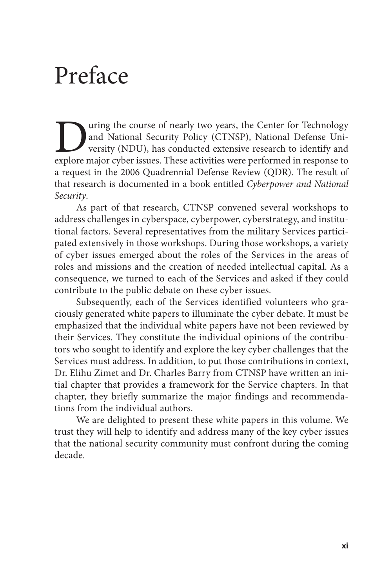### Preface

**Explore Market Course of nearly two years, the Center for Technology** and National Security Policy (CTNSP), National Defense University (NDU), has conducted extensive research to identify and explore major cyber issues. T and National Security Policy (CTNSP), National Defense University (NDU), has conducted extensive research to identify and a request in the 2006 Quadrennial Defense Review (QDR). The result of that research is documented in a book entitled *Cyberpower and National Security*.

As part of that research, CTNSP convened several workshops to address challenges in cyberspace, cyberpower, cyberstrategy, and institutional factors. Several representatives from the military Services participated extensively in those workshops. During those workshops, a variety of cyber issues emerged about the roles of the Services in the areas of roles and missions and the creation of needed intellectual capital. As a consequence, we turned to each of the Services and asked if they could contribute to the public debate on these cyber issues.

Subsequently, each of the Services identified volunteers who graciously generated white papers to illuminate the cyber debate. It must be emphasized that the individual white papers have not been reviewed by their Services. They constitute the individual opinions of the contributors who sought to identify and explore the key cyber challenges that the Services must address. In addition, to put those contributions in context, Dr. Elihu Zimet and Dr. Charles Barry from CTNSP have written an initial chapter that provides a framework for the Service chapters. In that chapter, they briefly summarize the major findings and recommendations from the individual authors.

We are delighted to present these white papers in this volume. We trust they will help to identify and address many of the key cyber issues that the national security community must confront during the coming decade.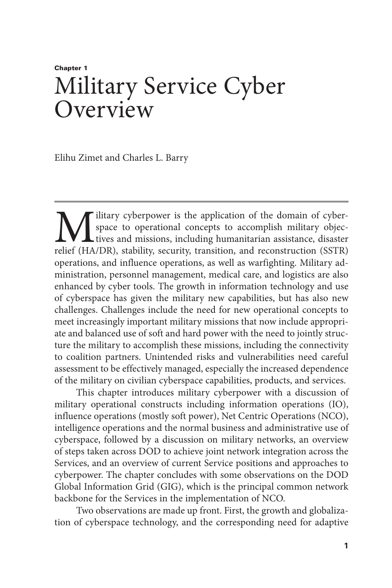### Chapter 1 Military Service Cyber **Overview**

Elihu Zimet and Charles L. Barry

**M** litary cyberpower is the application of the domain of cyber-<br>space to operational concepts to accomplish military objec-<br>tives and missions, including humanitarian assistance, disaster<br>relief (HA/DR), stability, securi space to operational concepts to accomplish military objectives and missions, including humanitarian assistance, disaster relief (HA/DR), stability, security, transition, and reconstruction (SSTR) operations, and influence operations, as well as warfighting. Military administration, personnel management, medical care, and logistics are also enhanced by cyber tools. The growth in information technology and use of cyberspace has given the military new capabilities, but has also new challenges. Challenges include the need for new operational concepts to meet increasingly important military missions that now include appropriate and balanced use of soft and hard power with the need to jointly structure the military to accomplish these missions, including the connectivity to coalition partners. Unintended risks and vulnerabilities need careful assessment to be effectively managed, especially the increased dependence of the military on civilian cyberspace capabilities, products, and services.

This chapter introduces military cyberpower with a discussion of military operational constructs including information operations (IO), influence operations (mostly soft power), Net Centric Operations (NCO), intelligence operations and the normal business and administrative use of cyberspace, followed by a discussion on military networks, an overview of steps taken across DOD to achieve joint network integration across the Services, and an overview of current Service positions and approaches to cyberpower. The chapter concludes with some observations on the DOD Global Information Grid (GIG), which is the principal common network backbone for the Services in the implementation of NCO.

Two observations are made up front. First, the growth and globalization of cyberspace technology, and the corresponding need for adaptive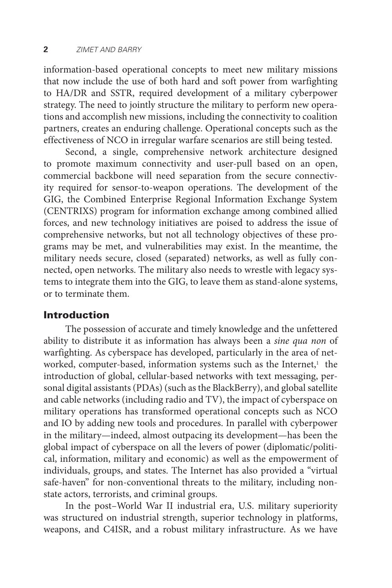information-based operational concepts to meet new military missions that now include the use of both hard and soft power from warfighting to HA/DR and SSTR, required development of a military cyberpower strategy. The need to jointly structure the military to perform new operations and accomplish new missions, including the connectivity to coalition partners, creates an enduring challenge. Operational concepts such as the effectiveness of NCO in irregular warfare scenarios are still being tested.

Second, a single, comprehensive network architecture designed to promote maximum connectivity and user-pull based on an open, commercial backbone will need separation from the secure connectivity required for sensor-to-weapon operations. The development of the GIG, the Combined Enterprise Regional Information Exchange System (CENTRIXS) program for information exchange among combined allied forces, and new technology initiatives are poised to address the issue of comprehensive networks, but not all technology objectives of these programs may be met, and vulnerabilities may exist. In the meantime, the military needs secure, closed (separated) networks, as well as fully connected, open networks. The military also needs to wrestle with legacy systems to integrate them into the GIG, to leave them as stand-alone systems, or to terminate them.

#### Introduction

The possession of accurate and timely knowledge and the unfettered ability to distribute it as information has always been a *sine qua non* of warfighting. As cyberspace has developed, particularly in the area of networked, computer-based, information systems such as the Internet,<sup>1</sup> the introduction of global, cellular-based networks with text messaging, personal digital assistants (PDAs) (such as the BlackBerry), and global satellite and cable networks (including radio and TV), the impact of cyberspace on military operations has transformed operational concepts such as NCO and IO by adding new tools and procedures. In parallel with cyberpower in the military—indeed, almost outpacing its development—has been the global impact of cyberspace on all the levers of power (diplomatic/political, information, military and economic) as well as the empowerment of individuals, groups, and states. The Internet has also provided a "virtual safe-haven" for non-conventional threats to the military, including nonstate actors, terrorists, and criminal groups.

In the post–World War II industrial era, U.S. military superiority was structured on industrial strength, superior technology in platforms, weapons, and C4ISR, and a robust military infrastructure. As we have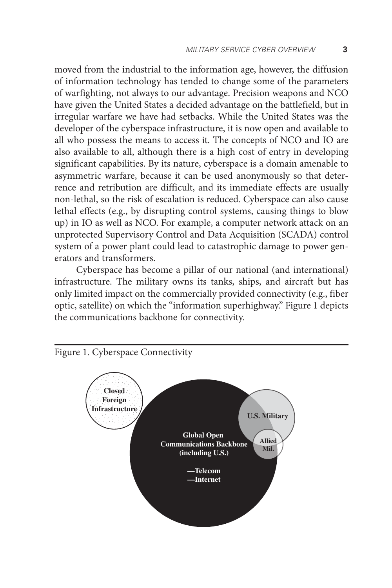moved from the industrial to the information age, however, the diffusion of information technology has tended to change some of the parameters of warfighting, not always to our advantage. Precision weapons and NCO have given the United States a decided advantage on the battlefield, but in irregular warfare we have had setbacks. While the United States was the developer of the cyberspace infrastructure, it is now open and available to all who possess the means to access it. The concepts of NCO and IO are also available to all, although there is a high cost of entry in developing significant capabilities. By its nature, cyberspace is a domain amenable to asymmetric warfare, because it can be used anonymously so that deterrence and retribution are difficult, and its immediate effects are usually non-lethal, so the risk of escalation is reduced. Cyberspace can also cause lethal effects (e.g., by disrupting control systems, causing things to blow up) in IO as well as NCO. For example, a computer network attack on an unprotected Supervisory Control and Data Acquisition (SCADA) control system of a power plant could lead to catastrophic damage to power generators and transformers.

Cyberspace has become a pillar of our national (and international) infrastructure. The military owns its tanks, ships, and aircraft but has only limited impact on the commercially provided connectivity (e.g., fiber optic, satellite) on which the "information superhighway." Figure 1 depicts the communications backbone for connectivity.

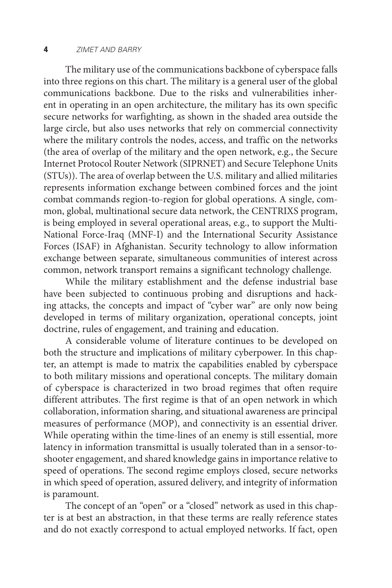#### **4** *zimet and barry*

The military use of the communications backbone of cyberspace falls into three regions on this chart. The military is a general user of the global communications backbone. Due to the risks and vulnerabilities inherent in operating in an open architecture, the military has its own specific secure networks for warfighting, as shown in the shaded area outside the large circle, but also uses networks that rely on commercial connectivity where the military controls the nodes, access, and traffic on the networks (the area of overlap of the military and the open network, e.g., the Secure Internet Protocol Router Network (SIPRNET) and Secure Telephone Units (STUs)). The area of overlap between the U.S. military and allied militaries represents information exchange between combined forces and the joint combat commands region-to-region for global operations. A single, common, global, multinational secure data network, the CENTRIXS program, is being employed in several operational areas, e.g., to support the Multi-National Force-Iraq (MNF-I) and the International Security Assistance Forces (ISAF) in Afghanistan. Security technology to allow information exchange between separate, simultaneous communities of interest across common, network transport remains a significant technology challenge.

While the military establishment and the defense industrial base have been subjected to continuous probing and disruptions and hacking attacks, the concepts and impact of "cyber war" are only now being developed in terms of military organization, operational concepts, joint doctrine, rules of engagement, and training and education.

A considerable volume of literature continues to be developed on both the structure and implications of military cyberpower. In this chapter, an attempt is made to matrix the capabilities enabled by cyberspace to both military missions and operational concepts. The military domain of cyberspace is characterized in two broad regimes that often require different attributes. The first regime is that of an open network in which collaboration, information sharing, and situational awareness are principal measures of performance (MOP), and connectivity is an essential driver. While operating within the time-lines of an enemy is still essential, more latency in information transmittal is usually tolerated than in a sensor-toshooter engagement, and shared knowledge gains in importance relative to speed of operations. The second regime employs closed, secure networks in which speed of operation, assured delivery, and integrity of information is paramount.

The concept of an "open" or a "closed" network as used in this chapter is at best an abstraction, in that these terms are really reference states and do not exactly correspond to actual employed networks. If fact, open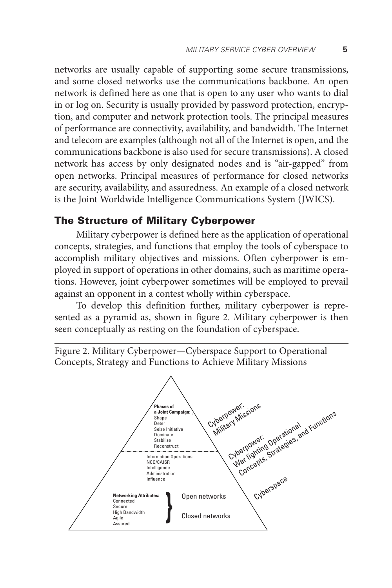networks are usually capable of supporting some secure transmissions, and some closed networks use the communications backbone. An open network is defined here as one that is open to any user who wants to dial in or log on. Security is usually provided by password protection, encryption, and computer and network protection tools. The principal measures of performance are connectivity, availability, and bandwidth. The Internet and telecom are examples (although not all of the Internet is open, and the communications backbone is also used for secure transmissions). A closed network has access by only designated nodes and is "air-gapped" from open networks. Principal measures of performance for closed networks are security, availability, and assuredness. An example of a closed network is the Joint Worldwide Intelligence Communications System (JWICS).

#### The Structure of Military Cyberpower

Military cyberpower is defined here as the application of operational concepts, strategies, and functions that employ the tools of cyberspace to accomplish military objectives and missions. Often cyberpower is employed in support of operations in other domains, such as maritime operations. However, joint cyberpower sometimes will be employed to prevail against an opponent in a contest wholly within cyberspace.

To develop this definition further, military cyberpower is represented as a pyramid as, shown in figure 2. Military cyberpower is then seen conceptually as resting on the foundation of cyberspace.

Figure 2. Military Cyberpower—Cyberspace Support to Operational Concepts, Strategy and Functions to Achieve Military Missions

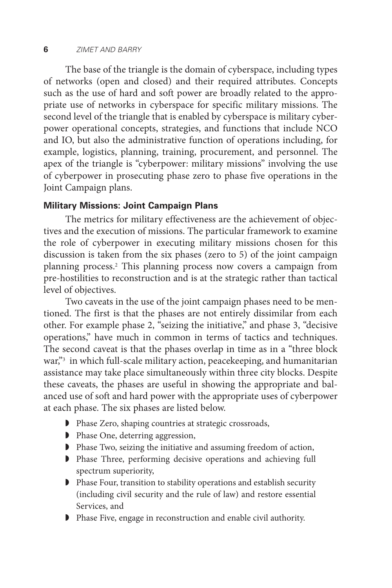#### **6** *zimet and barry*

The base of the triangle is the domain of cyberspace, including types of networks (open and closed) and their required attributes. Concepts such as the use of hard and soft power are broadly related to the appropriate use of networks in cyberspace for specific military missions. The second level of the triangle that is enabled by cyberspace is military cyberpower operational concepts, strategies, and functions that include NCO and IO, but also the administrative function of operations including, for example, logistics, planning, training, procurement, and personnel. The apex of the triangle is "cyberpower: military missions" involving the use of cyberpower in prosecuting phase zero to phase five operations in the Joint Campaign plans.

#### **Military Missions: Joint Campaign Plans**

The metrics for military effectiveness are the achievement of objectives and the execution of missions. The particular framework to examine the role of cyberpower in executing military missions chosen for this discussion is taken from the six phases (zero to 5) of the joint campaign planning process.2 This planning process now covers a campaign from pre-hostilities to reconstruction and is at the strategic rather than tactical level of objectives.

Two caveats in the use of the joint campaign phases need to be mentioned. The first is that the phases are not entirely dissimilar from each other. For example phase 2, "seizing the initiative," and phase 3, "decisive operations," have much in common in terms of tactics and techniques. The second caveat is that the phases overlap in time as in a "three block war,"3 in which full-scale military action, peacekeeping, and humanitarian assistance may take place simultaneously within three city blocks. Despite these caveats, the phases are useful in showing the appropriate and balanced use of soft and hard power with the appropriate uses of cyberpower at each phase. The six phases are listed below.

- ◗ Phase Zero, shaping countries at strategic crossroads,
- ◗ Phase One, deterring aggression,
- ◗ Phase Two, seizing the initiative and assuming freedom of action,
- ◗ Phase Three, performing decisive operations and achieving full spectrum superiority,
- ◗ Phase Four, transition to stability operations and establish security (including civil security and the rule of law) and restore essential Services, and
- ◗ Phase Five, engage in reconstruction and enable civil authority.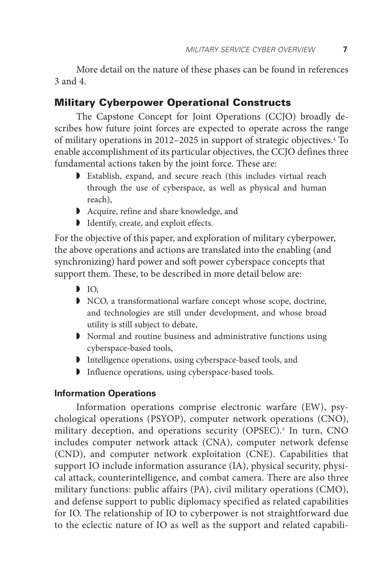More detail on the nature of these phases can be found in references 3 and 4.

#### Military Cyberpower Operational Constructs

The Capstone Concept for Joint Operations (CCJO) broadly describes how future joint forces are expected to operate across the range of military operations in 2012–2025 in support of strategic objectives.4 To enable accomplishment of its particular objectives, the CCJO defines three fundamental actions taken by the joint force. These are:

- ◗ Establish, expand, and secure reach (this includes virtual reach through the use of cyberspace, as well as physical and human reach),
- ◗ Acquire, refine and share knowledge, and
- ◗ Identify, create, and exploit effects.

For the objective of this paper, and exploration of military cyberpower, the above operations and actions are translated into the enabling (and synchronizing) hard power and soft power cyberspace concepts that support them. These, to be described in more detail below are:

- $\mathbf{D}$  IO.
- ◗ NCO, a transformational warfare concept whose scope, doctrine, and technologies are still under development, and whose broad utility is still subject to debate,
- ◗ Normal and routine business and administrative functions using cyberspace-based tools,
- ◗ Intelligence operations, using cyberspace-based tools, and
- ◗ Influence operations, using cyberspace-based tools.

#### **Information Operations**

Information operations comprise electronic warfare (EW), psychological operations (PSYOP), computer network operations (CNO), military deception, and operations security (OPSEC).<sup>5</sup> In turn, CNO includes computer network attack (CNA), computer network defense (CND), and computer network exploitation (CNE). Capabilities that support IO include information assurance (IA), physical security, physical attack, counterintelligence, and combat camera. There are also three military functions: public affairs (PA), civil military operations (CMO), and defense support to public diplomacy specified as related capabilities for IO. The relationship of IO to cyberpower is not straightforward due to the eclectic nature of IO as well as the support and related capabili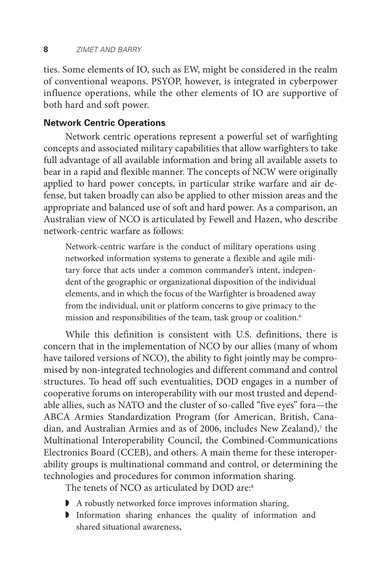ties. Some elements of IO, such as EW, might be considered in the realm of conventional weapons. PSYOP, however, is integrated in cyberpower influence operations, while the other elements of IO are supportive of both hard and soft power.

#### **Network Centric Operations**

Network centric operations represent a powerful set of warfighting concepts and associated military capabilities that allow warfighters to take full advantage of all available information and bring all available assets to bear in a rapid and flexible manner. The concepts of NCW were originally applied to hard power concepts, in particular strike warfare and air defense, but taken broadly can also be applied to other mission areas and the appropriate and balanced use of soft and hard power. As a comparison, an Australian view of NCO is articulated by Fewell and Hazen, who describe network-centric warfare as follows:

Network-centric warfare is the conduct of military operations using networked information systems to generate a flexible and agile military force that acts under a common commander's intent, independent of the geographic or organizational disposition of the individual elements, and in which the focus of the Warfighter is broadened away from the individual, unit or platform concerns to give primacy to the mission and responsibilities of the team, task group or coalition.6

While this definition is consistent with U.S. definitions, there is concern that in the implementation of NCO by our allies (many of whom have tailored versions of NCO), the ability to fight jointly may be compromised by non-integrated technologies and different command and control structures. To head off such eventualities, DOD engages in a number of cooperative forums on interoperability with our most trusted and dependable allies, such as NATO and the cluster of so-called "five eyes" fora—the ABCA Armies Standardization Program (for American, British, Canadian, and Australian Armies and as of 2006, includes New Zealand),<sup>7</sup> the Multinational Interoperability Council, the Combined-Communications Electronics Board (CCEB), and others. A main theme for these interoperability groups is multinational command and control, or determining the technologies and procedures for common information sharing.

The tenets of NCO as articulated by DOD are:<sup>8</sup>

- ◗ A robustly networked force improves information sharing,
- ◗ Information sharing enhances the quality of information and shared situational awareness,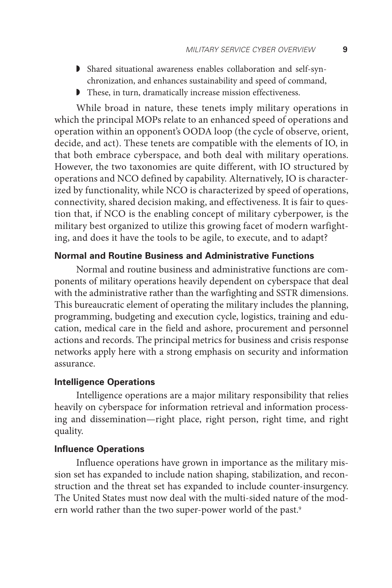- ◗ Shared situational awareness enables collaboration and self-synchronization, and enhances sustainability and speed of command,
- ◗ These, in turn, dramatically increase mission effectiveness.

While broad in nature, these tenets imply military operations in which the principal MOPs relate to an enhanced speed of operations and operation within an opponent's OODA loop (the cycle of observe, orient, decide, and act). These tenets are compatible with the elements of IO, in that both embrace cyberspace, and both deal with military operations. However, the two taxonomies are quite different, with IO structured by operations and NCO defined by capability. Alternatively, IO is characterized by functionality, while NCO is characterized by speed of operations, connectivity, shared decision making, and effectiveness. It is fair to question that, if NCO is the enabling concept of military cyberpower, is the military best organized to utilize this growing facet of modern warfighting, and does it have the tools to be agile, to execute, and to adapt?

#### **Normal and Routine Business and Administrative Functions**

Normal and routine business and administrative functions are components of military operations heavily dependent on cyberspace that deal with the administrative rather than the warfighting and SSTR dimensions. This bureaucratic element of operating the military includes the planning, programming, budgeting and execution cycle, logistics, training and education, medical care in the field and ashore, procurement and personnel actions and records. The principal metrics for business and crisis response networks apply here with a strong emphasis on security and information assurance.

#### **Intelligence Operations**

Intelligence operations are a major military responsibility that relies heavily on cyberspace for information retrieval and information processing and dissemination—right place, right person, right time, and right quality.

#### **Influence Operations**

Influence operations have grown in importance as the military mission set has expanded to include nation shaping, stabilization, and reconstruction and the threat set has expanded to include counter-insurgency. The United States must now deal with the multi-sided nature of the modern world rather than the two super-power world of the past.<sup>9</sup>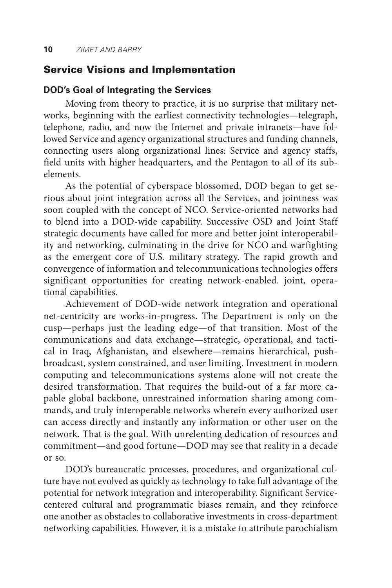#### Service Visions and Implementation

#### **DOD's Goal of Integrating the Services**

Moving from theory to practice, it is no surprise that military networks, beginning with the earliest connectivity technologies—telegraph, telephone, radio, and now the Internet and private intranets—have followed Service and agency organizational structures and funding channels, connecting users along organizational lines: Service and agency staffs, field units with higher headquarters, and the Pentagon to all of its subelements.

As the potential of cyberspace blossomed, DOD began to get serious about joint integration across all the Services, and jointness was soon coupled with the concept of NCO. Service-oriented networks had to blend into a DOD-wide capability. Successive OSD and Joint Staff strategic documents have called for more and better joint interoperability and networking, culminating in the drive for NCO and warfighting as the emergent core of U.S. military strategy. The rapid growth and convergence of information and telecommunications technologies offers significant opportunities for creating network-enabled. joint, operational capabilities.

Achievement of DOD-wide network integration and operational net-centricity are works-in-progress. The Department is only on the cusp—perhaps just the leading edge—of that transition. Most of the communications and data exchange—strategic, operational, and tactical in Iraq, Afghanistan, and elsewhere—remains hierarchical, pushbroadcast, system constrained, and user limiting. Investment in modern computing and telecommunications systems alone will not create the desired transformation. That requires the build-out of a far more capable global backbone, unrestrained information sharing among commands, and truly interoperable networks wherein every authorized user can access directly and instantly any information or other user on the network. That is the goal. With unrelenting dedication of resources and commitment—and good fortune—DOD may see that reality in a decade or so.

DOD's bureaucratic processes, procedures, and organizational culture have not evolved as quickly as technology to take full advantage of the potential for network integration and interoperability. Significant Servicecentered cultural and programmatic biases remain, and they reinforce one another as obstacles to collaborative investments in cross-department networking capabilities. However, it is a mistake to attribute parochialism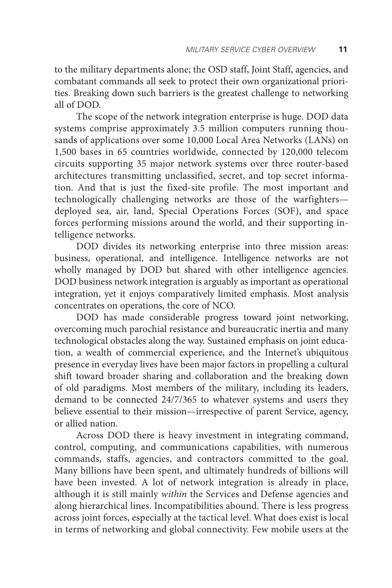to the military departments alone; the OSD staff, Joint Staff, agencies, and combatant commands all seek to protect their own organizational priorities. Breaking down such barriers is the greatest challenge to networking all of DOD.

The scope of the network integration enterprise is huge. DOD data systems comprise approximately 3.5 million computers running thousands of applications over some 10,000 Local Area Networks (LANs) on 1,500 bases in 65 countries worldwide, connected by 120,000 telecom circuits supporting 35 major network systems over three router-based architectures transmitting unclassified, secret, and top secret information. And that is just the fixed-site profile. The most important and technologically challenging networks are those of the warfighters deployed sea, air, land, Special Operations Forces (SOF), and space forces performing missions around the world, and their supporting intelligence networks.

DOD divides its networking enterprise into three mission areas: business, operational, and intelligence. Intelligence networks are not wholly managed by DOD but shared with other intelligence agencies. DOD business network integration is arguably as important as operational integration, yet it enjoys comparatively limited emphasis. Most analysis concentrates on operations, the core of NCO.

DOD has made considerable progress toward joint networking, overcoming much parochial resistance and bureaucratic inertia and many technological obstacles along the way. Sustained emphasis on joint education, a wealth of commercial experience, and the Internet's ubiquitous presence in everyday lives have been major factors in propelling a cultural shift toward broader sharing and collaboration and the breaking down of old paradigms. Most members of the military, including its leaders, demand to be connected 24/7/365 to whatever systems and users they believe essential to their mission—irrespective of parent Service, agency, or allied nation.

Across DOD there is heavy investment in integrating command, control, computing, and communications capabilities, with numerous commands, staffs, agencies, and contractors committed to the goal. Many billions have been spent, and ultimately hundreds of billions will have been invested. A lot of network integration is already in place, although it is still mainly *within* the Services and Defense agencies and along hierarchical lines. Incompatibilities abound. There is less progress across joint forces, especially at the tactical level. What does exist is local in terms of networking and global connectivity. Few mobile users at the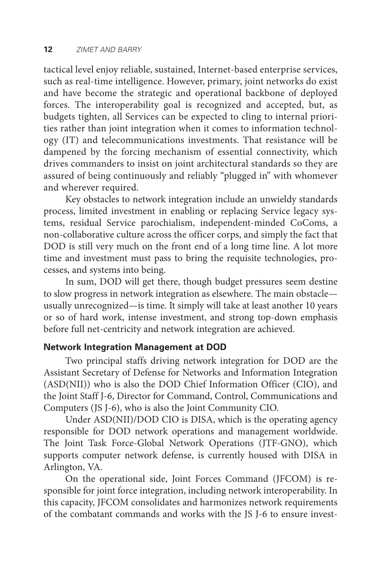tactical level enjoy reliable, sustained, Internet-based enterprise services, such as real-time intelligence. However, primary, joint networks do exist and have become the strategic and operational backbone of deployed forces. The interoperability goal is recognized and accepted, but, as budgets tighten, all Services can be expected to cling to internal priorities rather than joint integration when it comes to information technology (IT) and telecommunications investments. That resistance will be dampened by the forcing mechanism of essential connectivity, which drives commanders to insist on joint architectural standards so they are assured of being continuously and reliably "plugged in" with whomever and wherever required.

Key obstacles to network integration include an unwieldy standards process, limited investment in enabling or replacing Service legacy systems, residual Service parochialism, independent-minded CoComs, a non-collaborative culture across the officer corps, and simply the fact that DOD is still very much on the front end of a long time line. A lot more time and investment must pass to bring the requisite technologies, processes, and systems into being.

In sum, DOD will get there, though budget pressures seem destine to slow progress in network integration as elsewhere. The main obstacle usually unrecognized—is time. It simply will take at least another 10 years or so of hard work, intense investment, and strong top-down emphasis before full net-centricity and network integration are achieved.

#### **Network Integration Management at DOD**

Two principal staffs driving network integration for DOD are the Assistant Secretary of Defense for Networks and Information Integration (ASD(NII)) who is also the DOD Chief Information Officer (CIO), and the Joint Staff J-6, Director for Command, Control, Communications and Computers (JS J-6), who is also the Joint Community CIO.

Under ASD(NII)/DOD CIO is DISA, which is the operating agency responsible for DOD network operations and management worldwide. The Joint Task Force-Global Network Operations (JTF-GNO), which supports computer network defense, is currently housed with DISA in Arlington, VA.

On the operational side, Joint Forces Command (JFCOM) is responsible for joint force integration, including network interoperability. In this capacity, JFCOM consolidates and harmonizes network requirements of the combatant commands and works with the JS J-6 to ensure invest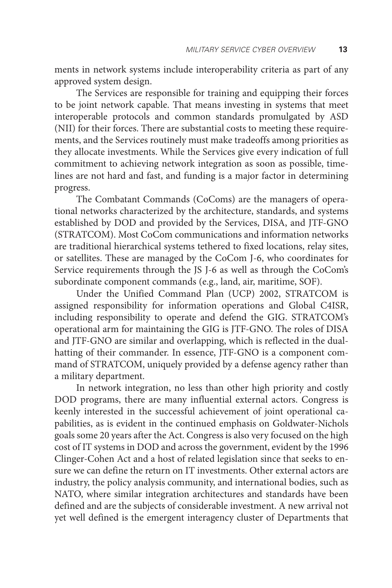ments in network systems include interoperability criteria as part of any approved system design.

The Services are responsible for training and equipping their forces to be joint network capable. That means investing in systems that meet interoperable protocols and common standards promulgated by ASD (NII) for their forces. There are substantial costs to meeting these requirements, and the Services routinely must make tradeoffs among priorities as they allocate investments. While the Services give every indication of full commitment to achieving network integration as soon as possible, timelines are not hard and fast, and funding is a major factor in determining progress.

The Combatant Commands (CoComs) are the managers of operational networks characterized by the architecture, standards, and systems established by DOD and provided by the Services, DISA, and JTF-GNO (STRATCOM). Most CoCom communications and information networks are traditional hierarchical systems tethered to fixed locations, relay sites, or satellites. These are managed by the CoCom J-6, who coordinates for Service requirements through the JS J-6 as well as through the CoCom's subordinate component commands (e.g., land, air, maritime, SOF).

Under the Unified Command Plan (UCP) 2002, STRATCOM is assigned responsibility for information operations and Global C4ISR, including responsibility to operate and defend the GIG. STRATCOM's operational arm for maintaining the GIG is JTF-GNO. The roles of DISA and JTF-GNO are similar and overlapping, which is reflected in the dualhatting of their commander. In essence, JTF-GNO is a component command of STRATCOM, uniquely provided by a defense agency rather than a military department.

In network integration, no less than other high priority and costly DOD programs, there are many influential external actors. Congress is keenly interested in the successful achievement of joint operational capabilities, as is evident in the continued emphasis on Goldwater-Nichols goals some 20 years after the Act. Congress is also very focused on the high cost of IT systems in DOD and across the government, evident by the 1996 Clinger-Cohen Act and a host of related legislation since that seeks to ensure we can define the return on IT investments. Other external actors are industry, the policy analysis community, and international bodies, such as NATO, where similar integration architectures and standards have been defined and are the subjects of considerable investment. A new arrival not yet well defined is the emergent interagency cluster of Departments that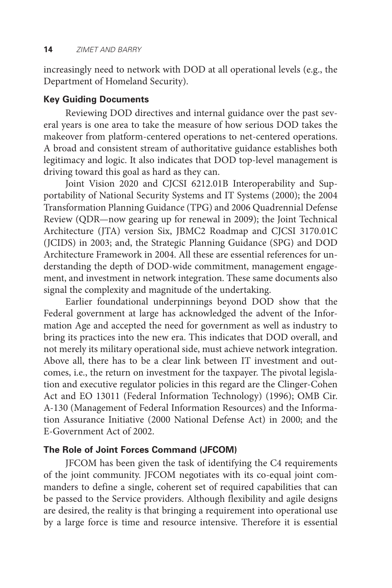increasingly need to network with DOD at all operational levels (e.g., the Department of Homeland Security).

#### **Key Guiding Documents**

Reviewing DOD directives and internal guidance over the past several years is one area to take the measure of how serious DOD takes the makeover from platform-centered operations to net-centered operations. A broad and consistent stream of authoritative guidance establishes both legitimacy and logic. It also indicates that DOD top-level management is driving toward this goal as hard as they can.

Joint Vision 2020 and CJCSI 6212.01B Interoperability and Supportability of National Security Systems and IT Systems (2000); the 2004 Transformation Planning Guidance (TPG) and 2006 Quadrennial Defense Review (QDR—now gearing up for renewal in 2009); the Joint Technical Architecture (JTA) version Six, JBMC2 Roadmap and CJCSI 3170.01C (JCIDS) in 2003; and, the Strategic Planning Guidance (SPG) and DOD Architecture Framework in 2004. All these are essential references for understanding the depth of DOD-wide commitment, management engagement, and investment in network integration. These same documents also signal the complexity and magnitude of the undertaking.

Earlier foundational underpinnings beyond DOD show that the Federal government at large has acknowledged the advent of the Information Age and accepted the need for government as well as industry to bring its practices into the new era. This indicates that DOD overall, and not merely its military operational side, must achieve network integration. Above all, there has to be a clear link between IT investment and outcomes, i.e., the return on investment for the taxpayer. The pivotal legislation and executive regulator policies in this regard are the Clinger-Cohen Act and EO 13011 (Federal Information Technology) (1996); OMB Cir. A-130 (Management of Federal Information Resources) and the Information Assurance Initiative (2000 National Defense Act) in 2000; and the E-Government Act of 2002.

#### **The Role of Joint Forces Command (JFCOM)**

JFCOM has been given the task of identifying the C4 requirements of the joint community. JFCOM negotiates with its co-equal joint commanders to define a single, coherent set of required capabilities that can be passed to the Service providers. Although flexibility and agile designs are desired, the reality is that bringing a requirement into operational use by a large force is time and resource intensive. Therefore it is essential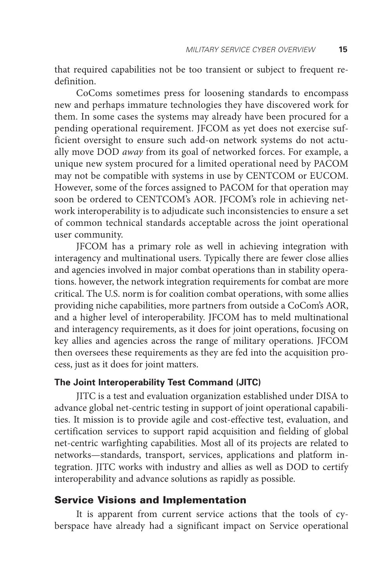that required capabilities not be too transient or subject to frequent redefinition.

CoComs sometimes press for loosening standards to encompass new and perhaps immature technologies they have discovered work for them. In some cases the systems may already have been procured for a pending operational requirement. JFCOM as yet does not exercise sufficient oversight to ensure such add-on network systems do not actually move DOD *away* from its goal of networked forces. For example, a unique new system procured for a limited operational need by PACOM may not be compatible with systems in use by CENTCOM or EUCOM. However, some of the forces assigned to PACOM for that operation may soon be ordered to CENTCOM's AOR. JFCOM's role in achieving network interoperability is to adjudicate such inconsistencies to ensure a set of common technical standards acceptable across the joint operational user community.

JFCOM has a primary role as well in achieving integration with interagency and multinational users. Typically there are fewer close allies and agencies involved in major combat operations than in stability operations. however, the network integration requirements for combat are more critical. The U.S. norm is for coalition combat operations, with some allies providing niche capabilities, more partners from outside a CoCom's AOR, and a higher level of interoperability. JFCOM has to meld multinational and interagency requirements, as it does for joint operations, focusing on key allies and agencies across the range of military operations. JFCOM then oversees these requirements as they are fed into the acquisition process, just as it does for joint matters.

#### **The Joint Interoperability Test Command (JITC)**

JITC is a test and evaluation organization established under DISA to advance global net-centric testing in support of joint operational capabilities. It mission is to provide agile and cost-effective test, evaluation, and certification services to support rapid acquisition and fielding of global net-centric warfighting capabilities. Most all of its projects are related to networks—standards, transport, services, applications and platform integration. JITC works with industry and allies as well as DOD to certify interoperability and advance solutions as rapidly as possible.

#### Service Visions and Implementation

It is apparent from current service actions that the tools of cyberspace have already had a significant impact on Service operational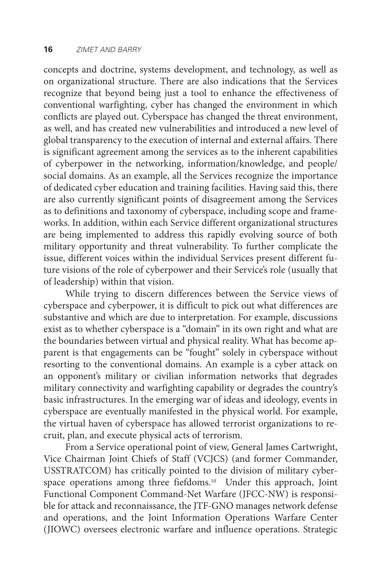concepts and doctrine, systems development, and technology, as well as on organizational structure. There are also indications that the Services recognize that beyond being just a tool to enhance the effectiveness of conventional warfighting, cyber has changed the environment in which conflicts are played out. Cyberspace has changed the threat environment, as well, and has created new vulnerabilities and introduced a new level of global transparency to the execution of internal and external affairs. There is significant agreement among the services as to the inherent capabilities of cyberpower in the networking, information/knowledge, and people/ social domains. As an example, all the Services recognize the importance of dedicated cyber education and training facilities. Having said this, there are also currently significant points of disagreement among the Services as to definitions and taxonomy of cyberspace, including scope and frameworks. In addition, within each Service different organizational structures are being implemented to address this rapidly evolving source of both military opportunity and threat vulnerability. To further complicate the issue, different voices within the individual Services present different future visions of the role of cyberpower and their Service's role (usually that of leadership) within that vision.

While trying to discern differences between the Service views of cyberspace and cyberpower, it is difficult to pick out what differences are substantive and which are due to interpretation. For example, discussions exist as to whether cyberspace is a "domain" in its own right and what are the boundaries between virtual and physical reality. What has become apparent is that engagements can be "fought" solely in cyberspace without resorting to the conventional domains. An example is a cyber attack on an opponent's military or civilian information networks that degrades military connectivity and warfighting capability or degrades the country's basic infrastructures. In the emerging war of ideas and ideology, events in cyberspace are eventually manifested in the physical world. For example, the virtual haven of cyberspace has allowed terrorist organizations to recruit, plan, and execute physical acts of terrorism.

From a Service operational point of view, General James Cartwright, Vice Chairman Joint Chiefs of Staff (VCJCS) (and former Commander, USSTRATCOM) has critically pointed to the division of military cyberspace operations among three fiefdoms.<sup>10</sup> Under this approach, Joint Functional Component Command-Net Warfare (JFCC-NW) is responsible for attack and reconnaissance, the JTF-GNO manages network defense and operations, and the Joint Information Operations Warfare Center (JIOWC) oversees electronic warfare and influence operations. Strategic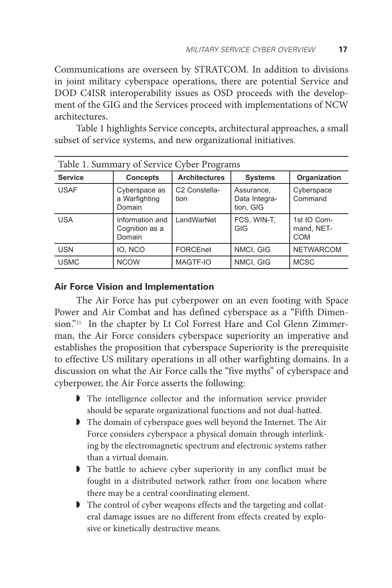Communications are overseen by STRATCOM. In addition to divisions in joint military cyberspace operations, there are potential Service and DOD C4ISR interoperability issues as OSD proceeds with the development of the GIG and the Services proceed with implementations of NCW architectures.

Table 1 highlights Service concepts, architectural approaches, a small subset of service systems, and new organizational initiatives.

| Table 1. Summary of Service Cyber Programs |                                             |                                   |                                          |                                  |  |  |  |
|--------------------------------------------|---------------------------------------------|-----------------------------------|------------------------------------------|----------------------------------|--|--|--|
| <b>Service</b>                             | <b>Concepts</b>                             | <b>Architectures</b>              | <b>Systems</b>                           | Organization                     |  |  |  |
| <b>USAF</b>                                | Cyberspace as<br>a Warfighting<br>Domain    | C <sub>2</sub> Constella-<br>tion | Assurance,<br>Data Integra-<br>tion, GIG | Cyberspace<br>Command            |  |  |  |
| <b>USA</b>                                 | Information and<br>Cognition as a<br>Domain | LandWarNet                        | FCS, WIN-T,<br>GIG                       | 1st IO Com-<br>mand, NET-<br>COM |  |  |  |
| <b>USN</b>                                 | IO, NCO                                     | FORCEnet                          | NMCI, GIG                                | <b>NETWARCOM</b>                 |  |  |  |
| <b>USMC</b>                                | <b>NCOW</b>                                 | MAGTF-IO                          | NMCI, GIG                                | <b>MCSC</b>                      |  |  |  |

#### **Air Force Vision and Implementation**

The Air Force has put cyberpower on an even footing with Space Power and Air Combat and has defined cyberspace as a "Fifth Dimension."<sup>11</sup> In the chapter by Lt Col Forrest Hare and Col Glenn Zimmerman, the Air Force considers cyberspace superiority an imperative and establishes the proposition that cyberspace Superiority is the prerequisite to effective US military operations in all other warfighting domains. In a discussion on what the Air Force calls the "five myths" of cyberspace and cyberpower, the Air Force asserts the following:

- ◗ The intelligence collector and the information service provider should be separate organizational functions and not dual-hatted.
- ◗ The domain of cyberspace goes well beyond the Internet. The Air Force considers cyberspace a physical domain through interlinking by the electromagnetic spectrum and electronic systems rather than a virtual domain.
- ◗ The battle to achieve cyber superiority in any conflict must be fought in a distributed network rather from one location where there may be a central coordinating element.
- ◗ The control of cyber weapons effects and the targeting and collateral damage issues are no different from effects created by explosive or kinetically destructive means.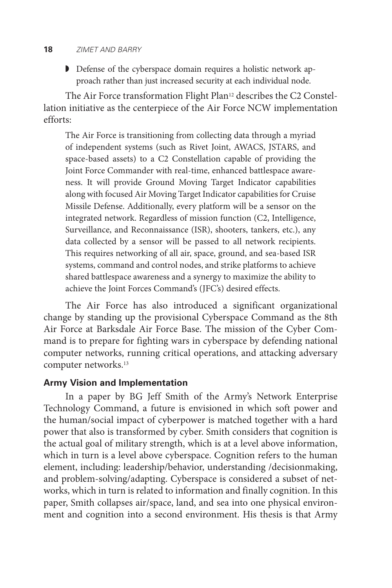#### **18** *zimet and barry*

◗ Defense of the cyberspace domain requires a holistic network approach rather than just increased security at each individual node.

The Air Force transformation Flight Plan<sup>12</sup> describes the C2 Constellation initiative as the centerpiece of the Air Force NCW implementation efforts:

The Air Force is transitioning from collecting data through a myriad of independent systems (such as Rivet Joint, AWACS, JSTARS, and space-based assets) to a C2 Constellation capable of providing the Joint Force Commander with real-time, enhanced battlespace awareness. It will provide Ground Moving Target Indicator capabilities along with focused Air Moving Target Indicator capabilities for Cruise Missile Defense. Additionally, every platform will be a sensor on the integrated network. Regardless of mission function (C2, Intelligence, Surveillance, and Reconnaissance (ISR), shooters, tankers, etc.), any data collected by a sensor will be passed to all network recipients. This requires networking of all air, space, ground, and sea-based ISR systems, command and control nodes, and strike platforms to achieve shared battlespace awareness and a synergy to maximize the ability to achieve the Joint Forces Command's (JFC's) desired effects.

The Air Force has also introduced a significant organizational change by standing up the provisional Cyberspace Command as the 8th Air Force at Barksdale Air Force Base. The mission of the Cyber Command is to prepare for fighting wars in cyberspace by defending national computer networks, running critical operations, and attacking adversary computer networks.13

#### **Army Vision and Implementation**

In a paper by BG Jeff Smith of the Army's Network Enterprise Technology Command, a future is envisioned in which soft power and the human/social impact of cyberpower is matched together with a hard power that also is transformed by cyber. Smith considers that cognition is the actual goal of military strength, which is at a level above information, which in turn is a level above cyberspace. Cognition refers to the human element, including: leadership/behavior, understanding /decisionmaking, and problem-solving/adapting. Cyberspace is considered a subset of networks, which in turn is related to information and finally cognition. In this paper, Smith collapses air/space, land, and sea into one physical environment and cognition into a second environment. His thesis is that Army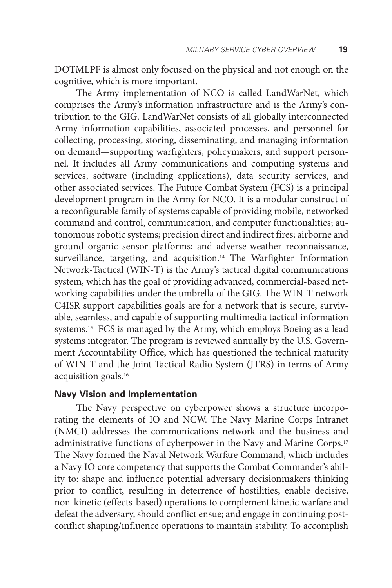DOTMLPF is almost only focused on the physical and not enough on the cognitive, which is more important.

The Army implementation of NCO is called LandWarNet, which comprises the Army's information infrastructure and is the Army's contribution to the GIG. LandWarNet consists of all globally interconnected Army information capabilities, associated processes, and personnel for collecting, processing, storing, disseminating, and managing information on demand—supporting warfighters, policymakers, and support personnel. It includes all Army communications and computing systems and services, software (including applications), data security services, and other associated services. The Future Combat System (FCS) is a principal development program in the Army for NCO. It is a modular construct of a reconfigurable family of systems capable of providing mobile, networked command and control, communication, and computer functionalities; autonomous robotic systems; precision direct and indirect fires; airborne and ground organic sensor platforms; and adverse-weather reconnaissance, surveillance, targeting, and acquisition.<sup>14</sup> The Warfighter Information Network-Tactical (WIN-T) is the Army's tactical digital communications system, which has the goal of providing advanced, commercial-based networking capabilities under the umbrella of the GIG. The WIN-T network C4ISR support capabilities goals are for a network that is secure, survivable, seamless, and capable of supporting multimedia tactical information systems.15 FCS is managed by the Army, which employs Boeing as a lead systems integrator. The program is reviewed annually by the U.S. Government Accountability Office, which has questioned the technical maturity of WIN-T and the Joint Tactical Radio System (JTRS) in terms of Army acquisition goals.16

#### **Navy Vision and Implementation**

The Navy perspective on cyberpower shows a structure incorporating the elements of IO and NCW. The Navy Marine Corps Intranet (NMCI) addresses the communications network and the business and administrative functions of cyberpower in the Navy and Marine Corps.17 The Navy formed the Naval Network Warfare Command, which includes a Navy IO core competency that supports the Combat Commander's ability to: shape and influence potential adversary decisionmakers thinking prior to conflict, resulting in deterrence of hostilities; enable decisive, non-kinetic (effects-based) operations to complement kinetic warfare and defeat the adversary, should conflict ensue; and engage in continuing postconflict shaping/influence operations to maintain stability. To accomplish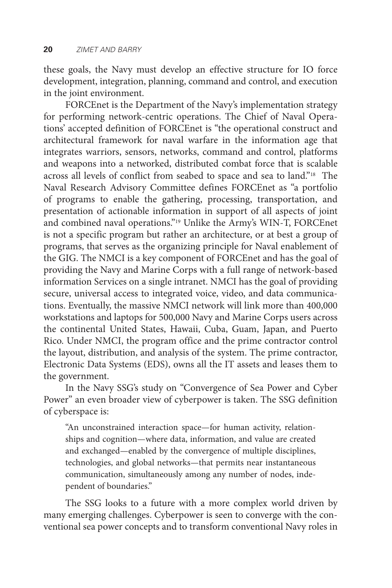these goals, the Navy must develop an effective structure for IO force development, integration, planning, command and control, and execution in the joint environment.

FORCEnet is the Department of the Navy's implementation strategy for performing network-centric operations. The Chief of Naval Operations' accepted definition of FORCEnet is "the operational construct and architectural framework for naval warfare in the information age that integrates warriors, sensors, networks, command and control, platforms and weapons into a networked, distributed combat force that is scalable across all levels of conflict from seabed to space and sea to land."18 The Naval Research Advisory Committee defines FORCEnet as "a portfolio of programs to enable the gathering, processing, transportation, and presentation of actionable information in support of all aspects of joint and combined naval operations."19 Unlike the Army's WIN-T, FORCEnet is not a specific program but rather an architecture, or at best a group of programs, that serves as the organizing principle for Naval enablement of the GIG. The NMCI is a key component of FORCEnet and has the goal of providing the Navy and Marine Corps with a full range of network-based information Services on a single intranet. NMCI has the goal of providing secure, universal access to integrated voice, video, and data communications. Eventually, the massive NMCI network will link more than 400,000 workstations and laptops for 500,000 Navy and Marine Corps users across the continental United States, Hawaii, Cuba, Guam, Japan, and Puerto Rico. Under NMCI, the program office and the prime contractor control the layout, distribution, and analysis of the system. The prime contractor, Electronic Data Systems (EDS), owns all the IT assets and leases them to the government.

In the Navy SSG's study on "Convergence of Sea Power and Cyber Power" an even broader view of cyberpower is taken. The SSG definition of cyberspace is:

"An unconstrained interaction space—for human activity, relationships and cognition—where data, information, and value are created and exchanged—enabled by the convergence of multiple disciplines, technologies, and global networks—that permits near instantaneous communication, simultaneously among any number of nodes, independent of boundaries."

The SSG looks to a future with a more complex world driven by many emerging challenges. Cyberpower is seen to converge with the conventional sea power concepts and to transform conventional Navy roles in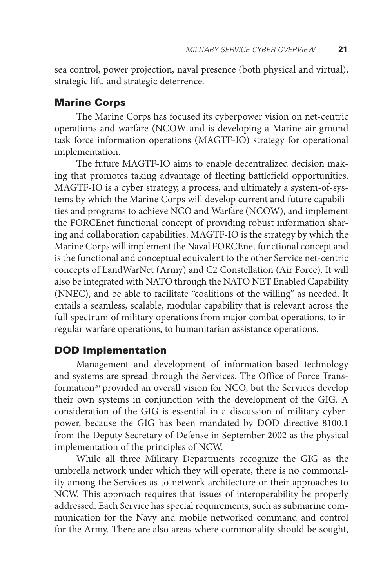sea control, power projection, naval presence (both physical and virtual), strategic lift, and strategic deterrence.

#### Marine Corps

The Marine Corps has focused its cyberpower vision on net-centric operations and warfare (NCOW and is developing a Marine air-ground task force information operations (MAGTF-IO) strategy for operational implementation.

The future MAGTF-IO aims to enable decentralized decision making that promotes taking advantage of fleeting battlefield opportunities. MAGTF-IO is a cyber strategy, a process, and ultimately a system-of-systems by which the Marine Corps will develop current and future capabilities and programs to achieve NCO and Warfare (NCOW), and implement the FORCEnet functional concept of providing robust information sharing and collaboration capabilities. MAGTF-IO is the strategy by which the Marine Corps will implement the Naval FORCEnet functional concept and is the functional and conceptual equivalent to the other Service net-centric concepts of LandWarNet (Army) and C2 Constellation (Air Force). It will also be integrated with NATO through the NATO NET Enabled Capability (NNEC), and be able to facilitate "coalitions of the willing" as needed. It entails a seamless, scalable, modular capability that is relevant across the full spectrum of military operations from major combat operations, to irregular warfare operations, to humanitarian assistance operations.

#### DOD Implementation

Management and development of information-based technology and systems are spread through the Services. The Office of Force Transformation<sup>20</sup> provided an overall vision for NCO, but the Services develop their own systems in conjunction with the development of the GIG. A consideration of the GIG is essential in a discussion of military cyberpower, because the GIG has been mandated by DOD directive 8100.1 from the Deputy Secretary of Defense in September 2002 as the physical implementation of the principles of NCW.

While all three Military Departments recognize the GIG as the umbrella network under which they will operate, there is no commonality among the Services as to network architecture or their approaches to NCW. This approach requires that issues of interoperability be properly addressed. Each Service has special requirements, such as submarine communication for the Navy and mobile networked command and control for the Army. There are also areas where commonality should be sought,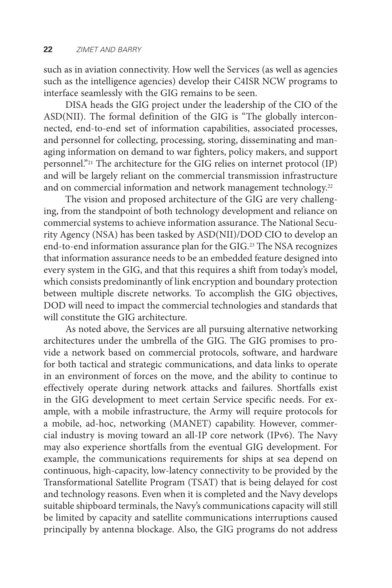such as in aviation connectivity. How well the Services (as well as agencies such as the intelligence agencies) develop their C4ISR NCW programs to interface seamlessly with the GIG remains to be seen.

DISA heads the GIG project under the leadership of the CIO of the ASD(NII). The formal definition of the GIG is "The globally interconnected, end-to-end set of information capabilities, associated processes, and personnel for collecting, processing, storing, disseminating and managing information on demand to war fighters, policy makers, and support personnel."21 The architecture for the GIG relies on internet protocol (IP) and will be largely reliant on the commercial transmission infrastructure and on commercial information and network management technology.<sup>22</sup>

The vision and proposed architecture of the GIG are very challenging, from the standpoint of both technology development and reliance on commercial systems to achieve information assurance. The National Security Agency (NSA) has been tasked by ASD(NII)/DOD CIO to develop an end-to-end information assurance plan for the GIG.23 The NSA recognizes that information assurance needs to be an embedded feature designed into every system in the GIG, and that this requires a shift from today's model, which consists predominantly of link encryption and boundary protection between multiple discrete networks. To accomplish the GIG objectives, DOD will need to impact the commercial technologies and standards that will constitute the GIG architecture.

As noted above, the Services are all pursuing alternative networking architectures under the umbrella of the GIG. The GIG promises to provide a network based on commercial protocols, software, and hardware for both tactical and strategic communications, and data links to operate in an environment of forces on the move, and the ability to continue to effectively operate during network attacks and failures. Shortfalls exist in the GIG development to meet certain Service specific needs. For example, with a mobile infrastructure, the Army will require protocols for a mobile, ad-hoc, networking (MANET) capability. However, commercial industry is moving toward an all-IP core network (IPv6). The Navy may also experience shortfalls from the eventual GIG development. For example, the communications requirements for ships at sea depend on continuous, high-capacity, low-latency connectivity to be provided by the Transformational Satellite Program (TSAT) that is being delayed for cost and technology reasons. Even when it is completed and the Navy develops suitable shipboard terminals, the Navy's communications capacity will still be limited by capacity and satellite communications interruptions caused principally by antenna blockage. Also, the GIG programs do not address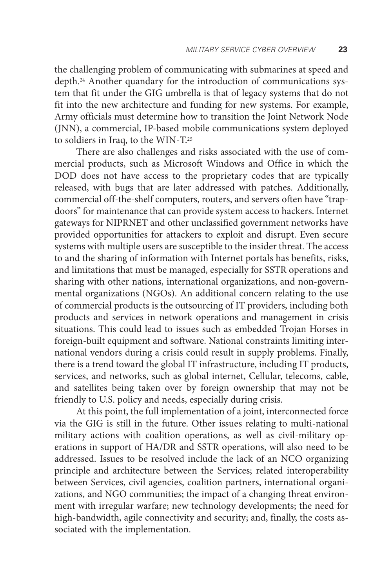the challenging problem of communicating with submarines at speed and depth.<sup>24</sup> Another quandary for the introduction of communications system that fit under the GIG umbrella is that of legacy systems that do not fit into the new architecture and funding for new systems. For example, Army officials must determine how to transition the Joint Network Node (JNN), a commercial, IP-based mobile communications system deployed to soldiers in Iraq, to the WIN-T.25

There are also challenges and risks associated with the use of commercial products, such as Microsoft Windows and Office in which the DOD does not have access to the proprietary codes that are typically released, with bugs that are later addressed with patches. Additionally, commercial off-the-shelf computers, routers, and servers often have "trapdoors" for maintenance that can provide system access to hackers. Internet gateways for NIPRNET and other unclassified government networks have provided opportunities for attackers to exploit and disrupt. Even secure systems with multiple users are susceptible to the insider threat. The access to and the sharing of information with Internet portals has benefits, risks, and limitations that must be managed, especially for SSTR operations and sharing with other nations, international organizations, and non-governmental organizations (NGOs). An additional concern relating to the use of commercial products is the outsourcing of IT providers, including both products and services in network operations and management in crisis situations. This could lead to issues such as embedded Trojan Horses in foreign-built equipment and software. National constraints limiting international vendors during a crisis could result in supply problems. Finally, there is a trend toward the global IT infrastructure, including IT products, services, and networks, such as global internet, Cellular, telecoms, cable, and satellites being taken over by foreign ownership that may not be friendly to U.S. policy and needs, especially during crisis.

At this point, the full implementation of a joint, interconnected force via the GIG is still in the future. Other issues relating to multi-national military actions with coalition operations, as well as civil-military operations in support of HA/DR and SSTR operations, will also need to be addressed. Issues to be resolved include the lack of an NCO organizing principle and architecture between the Services; related interoperability between Services, civil agencies, coalition partners, international organizations, and NGO communities; the impact of a changing threat environment with irregular warfare; new technology developments; the need for high-bandwidth, agile connectivity and security; and, finally, the costs associated with the implementation.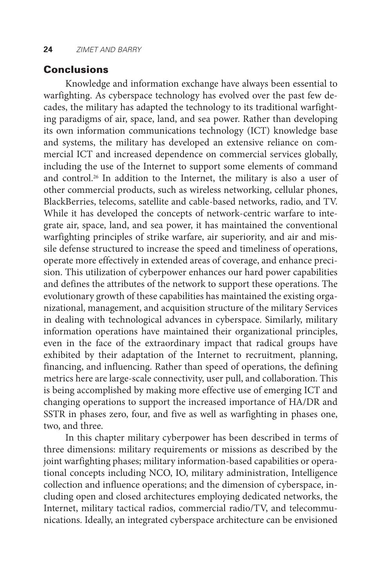#### **Conclusions**

Knowledge and information exchange have always been essential to warfighting. As cyberspace technology has evolved over the past few decades, the military has adapted the technology to its traditional warfighting paradigms of air, space, land, and sea power. Rather than developing its own information communications technology (ICT) knowledge base and systems, the military has developed an extensive reliance on commercial ICT and increased dependence on commercial services globally, including the use of the Internet to support some elements of command and control.26 In addition to the Internet, the military is also a user of other commercial products, such as wireless networking, cellular phones, BlackBerries, telecoms, satellite and cable-based networks, radio, and TV. While it has developed the concepts of network-centric warfare to integrate air, space, land, and sea power, it has maintained the conventional warfighting principles of strike warfare, air superiority, and air and missile defense structured to increase the speed and timeliness of operations, operate more effectively in extended areas of coverage, and enhance precision. This utilization of cyberpower enhances our hard power capabilities and defines the attributes of the network to support these operations. The evolutionary growth of these capabilities has maintained the existing organizational, management, and acquisition structure of the military Services in dealing with technological advances in cyberspace. Similarly, military information operations have maintained their organizational principles, even in the face of the extraordinary impact that radical groups have exhibited by their adaptation of the Internet to recruitment, planning, financing, and influencing. Rather than speed of operations, the defining metrics here are large-scale connectivity, user pull, and collaboration. This is being accomplished by making more effective use of emerging ICT and changing operations to support the increased importance of HA/DR and SSTR in phases zero, four, and five as well as warfighting in phases one, two, and three.

In this chapter military cyberpower has been described in terms of three dimensions: military requirements or missions as described by the joint warfighting phases; military information-based capabilities or operational concepts including NCO, IO, military administration, Intelligence collection and influence operations; and the dimension of cyberspace, including open and closed architectures employing dedicated networks, the Internet, military tactical radios, commercial radio/TV, and telecommunications. Ideally, an integrated cyberspace architecture can be envisioned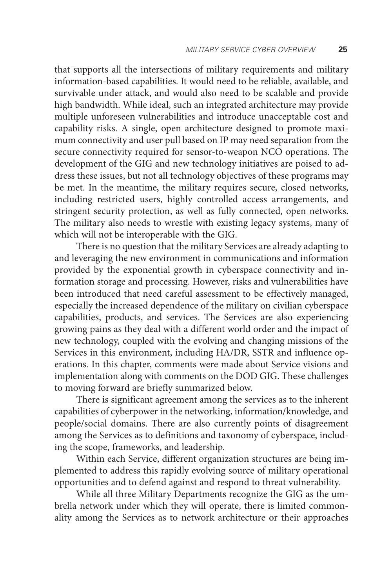that supports all the intersections of military requirements and military information-based capabilities. It would need to be reliable, available, and survivable under attack, and would also need to be scalable and provide high bandwidth. While ideal, such an integrated architecture may provide multiple unforeseen vulnerabilities and introduce unacceptable cost and capability risks. A single, open architecture designed to promote maximum connectivity and user pull based on IP may need separation from the secure connectivity required for sensor-to-weapon NCO operations. The development of the GIG and new technology initiatives are poised to address these issues, but not all technology objectives of these programs may be met. In the meantime, the military requires secure, closed networks, including restricted users, highly controlled access arrangements, and stringent security protection, as well as fully connected, open networks. The military also needs to wrestle with existing legacy systems, many of which will not be interoperable with the GIG.

There is no question that the military Services are already adapting to and leveraging the new environment in communications and information provided by the exponential growth in cyberspace connectivity and information storage and processing. However, risks and vulnerabilities have been introduced that need careful assessment to be effectively managed, especially the increased dependence of the military on civilian cyberspace capabilities, products, and services. The Services are also experiencing growing pains as they deal with a different world order and the impact of new technology, coupled with the evolving and changing missions of the Services in this environment, including HA/DR, SSTR and influence operations. In this chapter, comments were made about Service visions and implementation along with comments on the DOD GIG. These challenges to moving forward are briefly summarized below.

There is significant agreement among the services as to the inherent capabilities of cyberpower in the networking, information/knowledge, and people/social domains. There are also currently points of disagreement among the Services as to definitions and taxonomy of cyberspace, including the scope, frameworks, and leadership.

Within each Service, different organization structures are being implemented to address this rapidly evolving source of military operational opportunities and to defend against and respond to threat vulnerability.

While all three Military Departments recognize the GIG as the umbrella network under which they will operate, there is limited commonality among the Services as to network architecture or their approaches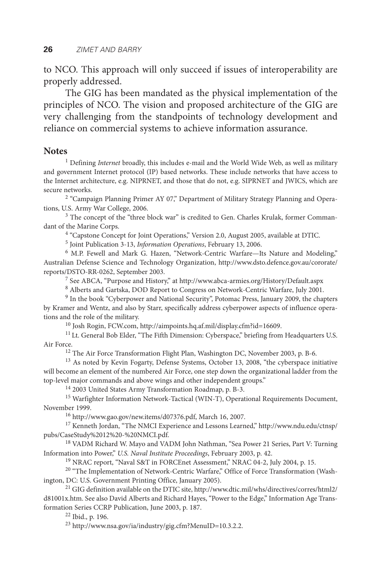to NCO. This approach will only succeed if issues of interoperability are properly addressed.

The GIG has been mandated as the physical implementation of the principles of NCO. The vision and proposed architecture of the GIG are very challenging from the standpoints of technology development and reliance on commercial systems to achieve information assurance.

#### **Notes**

<sup>1</sup> Defining *Internet* broadly, this includes e-mail and the World Wide Web, as well as military and government Internet protocol (IP) based networks. These include networks that have access to the Internet architecture, e.g. NIPRNET, and those that do not, e.g. SIPRNET and JWICS, which are secure networks.

<sup>2</sup> "Campaign Planning Primer AY 07," Department of Military Strategy Planning and Operations, U.S. Army War College, 2006.

<sup>3</sup> The concept of the "three block war" is credited to Gen. Charles Krulak, former Commandant of the Marine Corps.

<sup>4</sup> "Capstone Concept for Joint Operations," Version 2.0, August 2005, available at DTIC.

5 Joint Publication 3-13, *Information Operations*, February 13, 2006.

<sup>6</sup> M.P. Fewell and Mark G. Hazen, "Network-Centric Warfare-Its Nature and Modeling," Australian Defense Science and Technology Organization, http://www.dsto.defence.gov.au/cororate/ reports/DSTO-RR-0262, September 2003.

7 See ABCA, "Purpose and History," at http://www.abca-armies.org/History/Default.aspx

<sup>8</sup> Alberts and Gartska, DOD Report to Congress on Network-Centric Warfare, July 2001.

<sup>9</sup> In the book "Cyberpower and National Security", Potomac Press, January 2009, the chapters by Kramer and Wentz, and also by Starr, specifically address cyberpower aspects of influence operations and the role of the military.

10 Josh Rogin, FCW.com, http://aimpoints.hq.af.mil/display.cfm?id=16609.

<sup>11</sup> Lt. General Bob Elder, "The Fifth Dimension: Cyberspace," briefing from Headquarters U.S. Air Force.

<sup>12</sup> The Air Force Transformation Flight Plan, Washington DC, November 2003, p. B-6.

<sup>13</sup> As noted by Kevin Fogarty, Defense Systems, October 13, 2008, "the cyberspace initiative will become an element of the numbered Air Force, one step down the organizational ladder from the top-level major commands and above wings and other independent groups."

14 2003 United States Army Transformation Roadmap, p. B-3.

<sup>15</sup> Warfighter Information Network-Tactical (WIN-T), Operational Requirements Document, November 1999.

16 http://www.gao.gov/new.items/d07376.pdf, March 16, 2007.

<sup>17</sup> Kenneth Jordan, "The NMCI Experience and Lessons Learned," http://www.ndu.edu/ctnsp/ pubs/CaseStudy%2012%20-%20NMCI.pdf.

<sup>18</sup> VADM Richard W. Mayo and VADM John Nathman, "Sea Power 21 Series, Part V: Turning Information into Power," *U.S. Naval Institute Proceedings*, February 2003, p. 42.

<sup>19</sup> NRAC report, "Naval S&T in FORCEnet Assessment," NRAC 04-2, July 2004, p. 15.

<sup>20</sup> "The Implementation of Network-Centric Warfare," Office of Force Transformation (Washington, DC: U.S. Government Printing Office, January 2005).

21 GIG definition available on the DTIC site, http://www.dtic.mil/whs/directives/corres/html2/ d81001x.htm. See also David Alberts and Richard Hayes, "Power to the Edge," Information Age Transformation Series CCRP Publication, June 2003, p. 187.

22 Ibid., p. 196.

23 http://www.nsa.gov/ia/industry/gig.cfm?MenuID=10.3.2.2.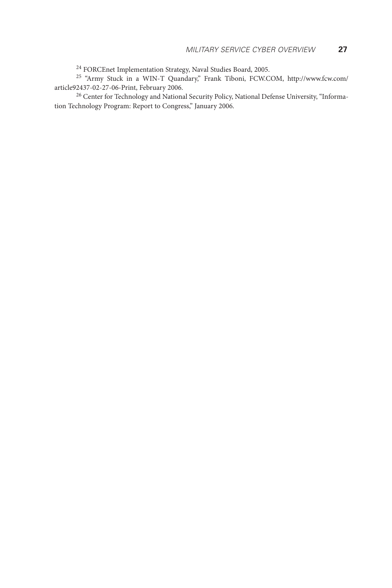<sup>24</sup> FORCEnet Implementation Strategy, Naval Studies Board, 2005.

<sup>25</sup> "Army Stuck in a WIN-T Quandary," Frank Tiboni, FCW.COM, http://www.fcw.com/ article92437-02-27-06-Print, February 2006.

<sup>26</sup> Center for Technology and National Security Policy, National Defense University, "Information Technology Program: Report to Congress," January 2006.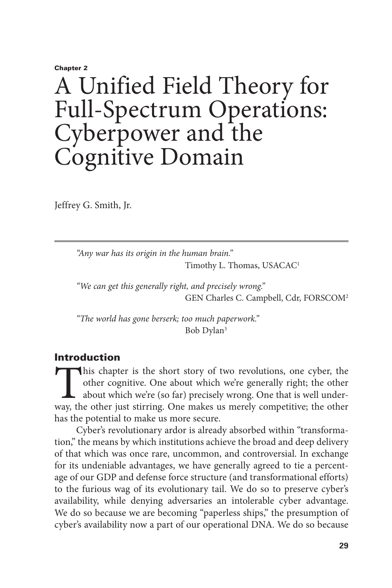#### Chapter 2

# A Unified Field Theory for Full-Spectrum Operations: Cyberpower and the Cognitive Domain

Jeffrey G. Smith, Jr.

*"Any war has its origin in the human brain."*  Timothy L. Thomas, USACAC<sup>1</sup>

*"We can get this generally right, and precisely wrong."*  GEN Charles C. Campbell, Cdr, FORSCOM<sup>2</sup>

*"The world has gone berserk; too much paperwork."*  Bob Dylan<sup>3</sup>

# Introduction

This chapter is the short story of two revolutions, one cyber, the other cognitive. One about which we're generally right; the other about which we're (so far) precisely wrong. One that is well underway, the other just stirring. One makes us merely competitive; the other has the potential to make us more secure.

Cyber's revolutionary ardor is already absorbed within "transformation," the means by which institutions achieve the broad and deep delivery of that which was once rare, uncommon, and controversial. In exchange for its undeniable advantages, we have generally agreed to tie a percentage of our GDP and defense force structure (and transformational efforts) to the furious wag of its evolutionary tail. We do so to preserve cyber's availability, while denying adversaries an intolerable cyber advantage. We do so because we are becoming "paperless ships," the presumption of cyber's availability now a part of our operational DNA. We do so because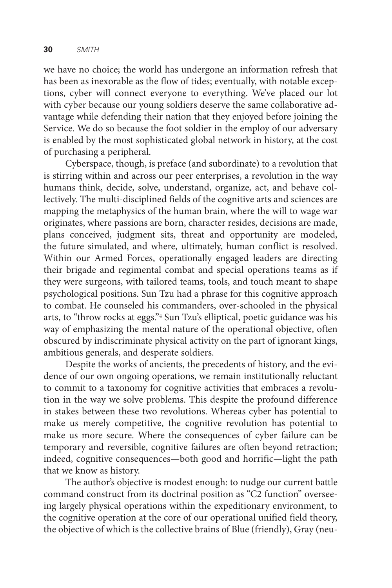we have no choice; the world has undergone an information refresh that has been as inexorable as the flow of tides; eventually, with notable exceptions, cyber will connect everyone to everything. We've placed our lot with cyber because our young soldiers deserve the same collaborative advantage while defending their nation that they enjoyed before joining the Service. We do so because the foot soldier in the employ of our adversary is enabled by the most sophisticated global network in history, at the cost of purchasing a peripheral.

Cyberspace, though, is preface (and subordinate) to a revolution that is stirring within and across our peer enterprises, a revolution in the way humans think, decide, solve, understand, organize, act, and behave collectively. The multi-disciplined fields of the cognitive arts and sciences are mapping the metaphysics of the human brain, where the will to wage war originates, where passions are born, character resides, decisions are made, plans conceived, judgment sits, threat and opportunity are modeled, the future simulated, and where, ultimately, human conflict is resolved. Within our Armed Forces, operationally engaged leaders are directing their brigade and regimental combat and special operations teams as if they were surgeons, with tailored teams, tools, and touch meant to shape psychological positions. Sun Tzu had a phrase for this cognitive approach to combat. He counseled his commanders, over-schooled in the physical arts, to "throw rocks at eggs."4 Sun Tzu's elliptical, poetic guidance was his way of emphasizing the mental nature of the operational objective, often obscured by indiscriminate physical activity on the part of ignorant kings, ambitious generals, and desperate soldiers.

Despite the works of ancients, the precedents of history, and the evidence of our own ongoing operations, we remain institutionally reluctant to commit to a taxonomy for cognitive activities that embraces a revolution in the way we solve problems. This despite the profound difference in stakes between these two revolutions. Whereas cyber has potential to make us merely competitive, the cognitive revolution has potential to make us more secure. Where the consequences of cyber failure can be temporary and reversible, cognitive failures are often beyond retraction; indeed, cognitive consequences—both good and horrific—light the path that we know as history.

The author's objective is modest enough: to nudge our current battle command construct from its doctrinal position as "C2 function" overseeing largely physical operations within the expeditionary environment, to the cognitive operation at the core of our operational unified field theory, the objective of which is the collective brains of Blue (friendly), Gray (neu-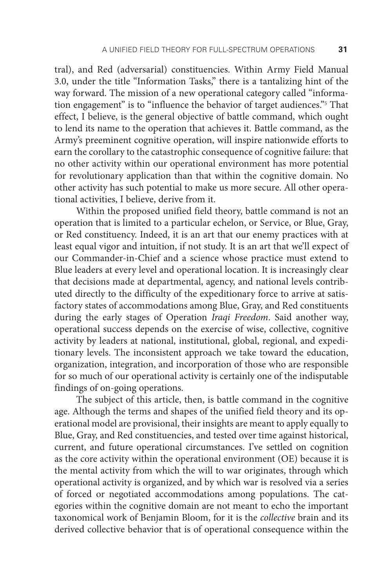tral), and Red (adversarial) constituencies. Within Army Field Manual 3.0, under the title "Information Tasks," there is a tantalizing hint of the way forward. The mission of a new operational category called "information engagement" is to "influence the behavior of target audiences."5 That effect, I believe, is the general objective of battle command, which ought to lend its name to the operation that achieves it. Battle command, as the Army's preeminent cognitive operation, will inspire nationwide efforts to earn the corollary to the catastrophic consequence of cognitive failure: that no other activity within our operational environment has more potential for revolutionary application than that within the cognitive domain. No other activity has such potential to make us more secure. All other operational activities, I believe, derive from it.

Within the proposed unified field theory, battle command is not an operation that is limited to a particular echelon, or Service, or Blue, Gray, or Red constituency. Indeed, it is an art that our enemy practices with at least equal vigor and intuition, if not study. It is an art that we'll expect of our Commander-in-Chief and a science whose practice must extend to Blue leaders at every level and operational location. It is increasingly clear that decisions made at departmental, agency, and national levels contributed directly to the difficulty of the expeditionary force to arrive at satisfactory states of accommodations among Blue, Gray, and Red constituents during the early stages of Operation *Iraqi Freedom*. Said another way, operational success depends on the exercise of wise, collective, cognitive activity by leaders at national, institutional, global, regional, and expeditionary levels. The inconsistent approach we take toward the education, organization, integration, and incorporation of those who are responsible for so much of our operational activity is certainly one of the indisputable findings of on-going operations.

The subject of this article, then, is battle command in the cognitive age. Although the terms and shapes of the unified field theory and its operational model are provisional, their insights are meant to apply equally to Blue, Gray, and Red constituencies, and tested over time against historical, current, and future operational circumstances. I've settled on cognition as the core activity within the operational environment (OE) because it is the mental activity from which the will to war originates, through which operational activity is organized, and by which war is resolved via a series of forced or negotiated accommodations among populations. The categories within the cognitive domain are not meant to echo the important taxonomical work of Benjamin Bloom, for it is the *collective* brain and its derived collective behavior that is of operational consequence within the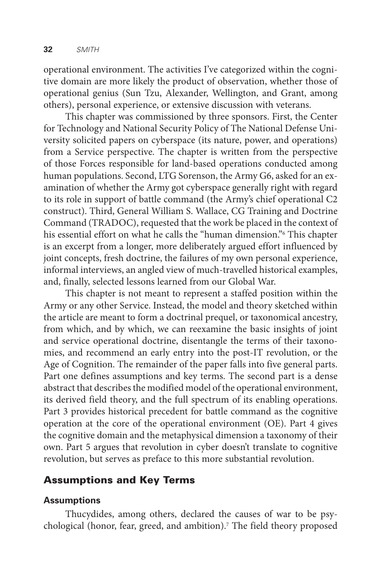operational environment. The activities I've categorized within the cognitive domain are more likely the product of observation, whether those of operational genius (Sun Tzu, Alexander, Wellington, and Grant, among others), personal experience, or extensive discussion with veterans.

This chapter was commissioned by three sponsors. First, the Center for Technology and National Security Policy of The National Defense University solicited papers on cyberspace (its nature, power, and operations) from a Service perspective. The chapter is written from the perspective of those Forces responsible for land-based operations conducted among human populations. Second, LTG Sorenson, the Army G6, asked for an examination of whether the Army got cyberspace generally right with regard to its role in support of battle command (the Army's chief operational C2 construct). Third, General William S. Wallace, CG Training and Doctrine Command (TRADOC), requested that the work be placed in the context of his essential effort on what he calls the "human dimension."6 This chapter is an excerpt from a longer, more deliberately argued effort influenced by joint concepts, fresh doctrine, the failures of my own personal experience, informal interviews, an angled view of much-travelled historical examples, and, finally, selected lessons learned from our Global War.

This chapter is not meant to represent a staffed position within the Army or any other Service. Instead, the model and theory sketched within the article are meant to form a doctrinal prequel, or taxonomical ancestry, from which, and by which, we can reexamine the basic insights of joint and service operational doctrine, disentangle the terms of their taxonomies, and recommend an early entry into the post-IT revolution, or the Age of Cognition. The remainder of the paper falls into five general parts. Part one defines assumptions and key terms. The second part is a dense abstract that describes the modified model of the operational environment, its derived field theory, and the full spectrum of its enabling operations. Part 3 provides historical precedent for battle command as the cognitive operation at the core of the operational environment (OE). Part 4 gives the cognitive domain and the metaphysical dimension a taxonomy of their own. Part 5 argues that revolution in cyber doesn't translate to cognitive revolution, but serves as preface to this more substantial revolution.

# Assumptions and Key Terms

# **Assumptions**

Thucydides, among others, declared the causes of war to be psychological (honor, fear, greed, and ambition).<sup>7</sup> The field theory proposed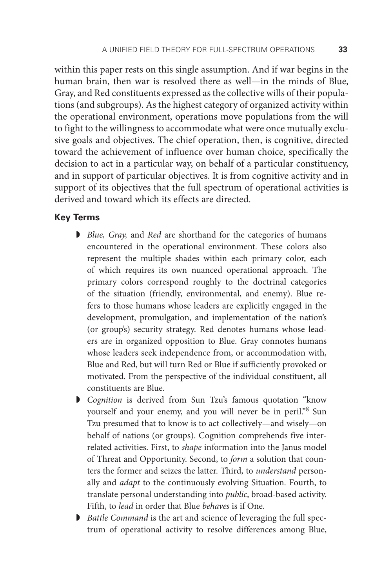within this paper rests on this single assumption. And if war begins in the human brain, then war is resolved there as well—in the minds of Blue, Gray, and Red constituents expressed as the collective wills of their populations (and subgroups). As the highest category of organized activity within the operational environment, operations move populations from the will to fight to the willingness to accommodate what were once mutually exclusive goals and objectives. The chief operation, then, is cognitive, directed toward the achievement of influence over human choice, specifically the decision to act in a particular way, on behalf of a particular constituency, and in support of particular objectives. It is from cognitive activity and in support of its objectives that the full spectrum of operational activities is derived and toward which its effects are directed.

#### **Key Terms**

- ◗ *Blue, Gray,* and *Red* are shorthand for the categories of humans encountered in the operational environment. These colors also represent the multiple shades within each primary color, each of which requires its own nuanced operational approach. The primary colors correspond roughly to the doctrinal categories of the situation (friendly, environmental, and enemy). Blue refers to those humans whose leaders are explicitly engaged in the development, promulgation, and implementation of the nation's (or group's) security strategy. Red denotes humans whose leaders are in organized opposition to Blue. Gray connotes humans whose leaders seek independence from, or accommodation with, Blue and Red, but will turn Red or Blue if sufficiently provoked or motivated. From the perspective of the individual constituent, all constituents are Blue.
- ◗ *Cognition* is derived from Sun Tzu's famous quotation "know yourself and your enemy, and you will never be in peril."<sup>8</sup> Sun Tzu presumed that to know is to act collectively—and wisely—on behalf of nations (or groups). Cognition comprehends five interrelated activities. First, to *shape* information into the Janus model of Threat and Opportunity. Second, to *form* a solution that counters the former and seizes the latter. Third, to *understand* personally and *adapt* to the continuously evolving Situation. Fourth, to translate personal understanding into *public*, broad-based activity. Fifth, to *lead* in order that Blue *behaves* is if One.
- ◗ *Battle Command* is the art and science of leveraging the full spectrum of operational activity to resolve differences among Blue,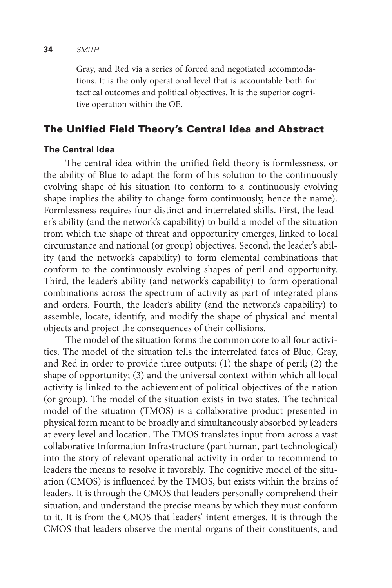Gray, and Red via a series of forced and negotiated accommodations. It is the only operational level that is accountable both for tactical outcomes and political objectives. It is the superior cognitive operation within the OE.

# The Unified Field Theory's Central Idea and Abstract

## **The Central Idea**

The central idea within the unified field theory is formlessness, or the ability of Blue to adapt the form of his solution to the continuously evolving shape of his situation (to conform to a continuously evolving shape implies the ability to change form continuously, hence the name). Formlessness requires four distinct and interrelated skills. First, the leader's ability (and the network's capability) to build a model of the situation from which the shape of threat and opportunity emerges, linked to local circumstance and national (or group) objectives. Second, the leader's ability (and the network's capability) to form elemental combinations that conform to the continuously evolving shapes of peril and opportunity. Third, the leader's ability (and network's capability) to form operational combinations across the spectrum of activity as part of integrated plans and orders. Fourth, the leader's ability (and the network's capability) to assemble, locate, identify, and modify the shape of physical and mental objects and project the consequences of their collisions.

The model of the situation forms the common core to all four activities. The model of the situation tells the interrelated fates of Blue, Gray, and Red in order to provide three outputs: (1) the shape of peril; (2) the shape of opportunity; (3) and the universal context within which all local activity is linked to the achievement of political objectives of the nation (or group). The model of the situation exists in two states. The technical model of the situation (TMOS) is a collaborative product presented in physical form meant to be broadly and simultaneously absorbed by leaders at every level and location. The TMOS translates input from across a vast collaborative Information Infrastructure (part human, part technological) into the story of relevant operational activity in order to recommend to leaders the means to resolve it favorably. The cognitive model of the situation (CMOS) is influenced by the TMOS, but exists within the brains of leaders. It is through the CMOS that leaders personally comprehend their situation, and understand the precise means by which they must conform to it. It is from the CMOS that leaders' intent emerges. It is through the CMOS that leaders observe the mental organs of their constituents, and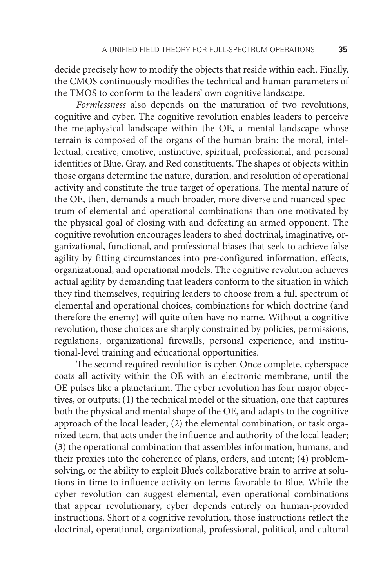decide precisely how to modify the objects that reside within each. Finally, the CMOS continuously modifies the technical and human parameters of the TMOS to conform to the leaders' own cognitive landscape.

*Formlessness* also depends on the maturation of two revolutions, cognitive and cyber. The cognitive revolution enables leaders to perceive the metaphysical landscape within the OE, a mental landscape whose terrain is composed of the organs of the human brain: the moral, intellectual, creative, emotive, instinctive, spiritual, professional, and personal identities of Blue, Gray, and Red constituents. The shapes of objects within those organs determine the nature, duration, and resolution of operational activity and constitute the true target of operations. The mental nature of the OE, then, demands a much broader, more diverse and nuanced spectrum of elemental and operational combinations than one motivated by the physical goal of closing with and defeating an armed opponent. The cognitive revolution encourages leaders to shed doctrinal, imaginative, organizational, functional, and professional biases that seek to achieve false agility by fitting circumstances into pre-configured information, effects, organizational, and operational models. The cognitive revolution achieves actual agility by demanding that leaders conform to the situation in which they find themselves, requiring leaders to choose from a full spectrum of elemental and operational choices, combinations for which doctrine (and therefore the enemy) will quite often have no name. Without a cognitive revolution, those choices are sharply constrained by policies, permissions, regulations, organizational firewalls, personal experience, and institutional-level training and educational opportunities.

The second required revolution is cyber. Once complete, cyberspace coats all activity within the OE with an electronic membrane, until the OE pulses like a planetarium. The cyber revolution has four major objectives, or outputs: (1) the technical model of the situation, one that captures both the physical and mental shape of the OE, and adapts to the cognitive approach of the local leader; (2) the elemental combination, or task organized team, that acts under the influence and authority of the local leader; (3) the operational combination that assembles information, humans, and their proxies into the coherence of plans, orders, and intent; (4) problemsolving, or the ability to exploit Blue's collaborative brain to arrive at solutions in time to influence activity on terms favorable to Blue. While the cyber revolution can suggest elemental, even operational combinations that appear revolutionary, cyber depends entirely on human-provided instructions. Short of a cognitive revolution, those instructions reflect the doctrinal, operational, organizational, professional, political, and cultural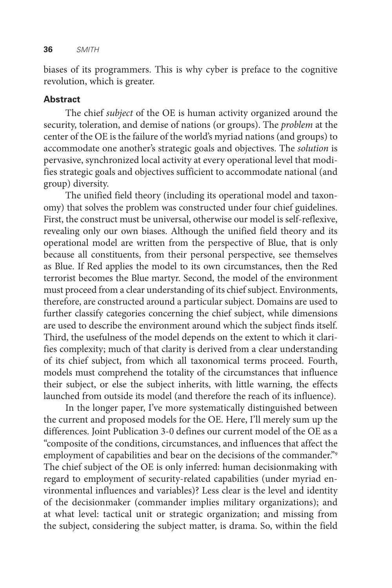biases of its programmers. This is why cyber is preface to the cognitive revolution, which is greater.

### **Abstract**

The chief *subject* of the OE is human activity organized around the security, toleration, and demise of nations (or groups). The *problem* at the center of the OE is the failure of the world's myriad nations (and groups) to accommodate one another's strategic goals and objectives. The *solution* is pervasive, synchronized local activity at every operational level that modifies strategic goals and objectives sufficient to accommodate national (and group) diversity.

The unified field theory (including its operational model and taxonomy) that solves the problem was constructed under four chief guidelines. First, the construct must be universal, otherwise our model is self-reflexive, revealing only our own biases. Although the unified field theory and its operational model are written from the perspective of Blue, that is only because all constituents, from their personal perspective, see themselves as Blue. If Red applies the model to its own circumstances, then the Red terrorist becomes the Blue martyr. Second, the model of the environment must proceed from a clear understanding of its chief subject. Environments, therefore, are constructed around a particular subject. Domains are used to further classify categories concerning the chief subject, while dimensions are used to describe the environment around which the subject finds itself. Third, the usefulness of the model depends on the extent to which it clarifies complexity; much of that clarity is derived from a clear understanding of its chief subject, from which all taxonomical terms proceed. Fourth, models must comprehend the totality of the circumstances that influence their subject, or else the subject inherits, with little warning, the effects launched from outside its model (and therefore the reach of its influence).

In the longer paper, I've more systematically distinguished between the current and proposed models for the OE. Here, I'll merely sum up the differences. Joint Publication 3-0 defines our current model of the OE as a "composite of the conditions, circumstances, and influences that affect the employment of capabilities and bear on the decisions of the commander."9 The chief subject of the OE is only inferred: human decisionmaking with regard to employment of security-related capabilities (under myriad environmental influences and variables)? Less clear is the level and identity of the decisionmaker (commander implies military organizations); and at what level: tactical unit or strategic organization; and missing from the subject, considering the subject matter, is drama. So, within the field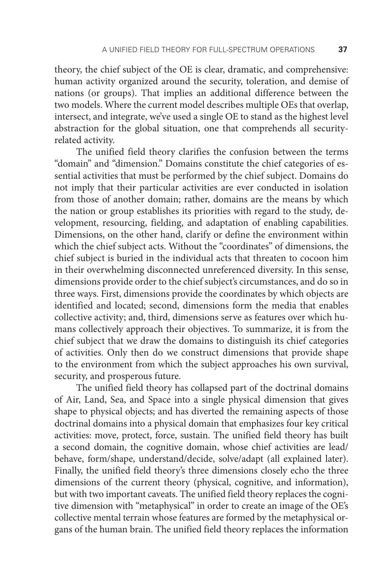theory, the chief subject of the OE is clear, dramatic, and comprehensive: human activity organized around the security, toleration, and demise of nations (or groups). That implies an additional difference between the two models. Where the current model describes multiple OEs that overlap, intersect, and integrate, we've used a single OE to stand as the highest level abstraction for the global situation, one that comprehends all securityrelated activity.

The unified field theory clarifies the confusion between the terms "domain" and "dimension." Domains constitute the chief categories of essential activities that must be performed by the chief subject. Domains do not imply that their particular activities are ever conducted in isolation from those of another domain; rather, domains are the means by which the nation or group establishes its priorities with regard to the study, development, resourcing, fielding, and adaptation of enabling capabilities. Dimensions, on the other hand, clarify or define the environment within which the chief subject acts. Without the "coordinates" of dimensions, the chief subject is buried in the individual acts that threaten to cocoon him in their overwhelming disconnected unreferenced diversity. In this sense, dimensions provide order to the chief subject's circumstances, and do so in three ways. First, dimensions provide the coordinates by which objects are identified and located; second, dimensions form the media that enables collective activity; and, third, dimensions serve as features over which humans collectively approach their objectives. To summarize, it is from the chief subject that we draw the domains to distinguish its chief categories of activities. Only then do we construct dimensions that provide shape to the environment from which the subject approaches his own survival, security, and prosperous future.

The unified field theory has collapsed part of the doctrinal domains of Air, Land, Sea, and Space into a single physical dimension that gives shape to physical objects; and has diverted the remaining aspects of those doctrinal domains into a physical domain that emphasizes four key critical activities: move, protect, force, sustain. The unified field theory has built a second domain, the cognitive domain, whose chief activities are lead/ behave, form/shape, understand/decide, solve/adapt (all explained later). Finally, the unified field theory's three dimensions closely echo the three dimensions of the current theory (physical, cognitive, and information), but with two important caveats. The unified field theory replaces the cognitive dimension with "metaphysical" in order to create an image of the OE's collective mental terrain whose features are formed by the metaphysical organs of the human brain. The unified field theory replaces the information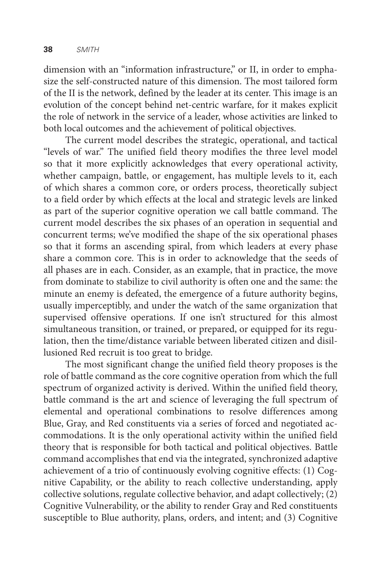dimension with an "information infrastructure," or II, in order to emphasize the self-constructed nature of this dimension. The most tailored form of the II is the network, defined by the leader at its center. This image is an evolution of the concept behind net-centric warfare, for it makes explicit the role of network in the service of a leader, whose activities are linked to both local outcomes and the achievement of political objectives.

The current model describes the strategic, operational, and tactical "levels of war." The unified field theory modifies the three level model so that it more explicitly acknowledges that every operational activity, whether campaign, battle, or engagement, has multiple levels to it, each of which shares a common core, or orders process, theoretically subject to a field order by which effects at the local and strategic levels are linked as part of the superior cognitive operation we call battle command. The current model describes the six phases of an operation in sequential and concurrent terms; we've modified the shape of the six operational phases so that it forms an ascending spiral, from which leaders at every phase share a common core. This is in order to acknowledge that the seeds of all phases are in each. Consider, as an example, that in practice, the move from dominate to stabilize to civil authority is often one and the same: the minute an enemy is defeated, the emergence of a future authority begins, usually imperceptibly, and under the watch of the same organization that supervised offensive operations. If one isn't structured for this almost simultaneous transition, or trained, or prepared, or equipped for its regulation, then the time/distance variable between liberated citizen and disillusioned Red recruit is too great to bridge.

The most significant change the unified field theory proposes is the role of battle command as the core cognitive operation from which the full spectrum of organized activity is derived. Within the unified field theory, battle command is the art and science of leveraging the full spectrum of elemental and operational combinations to resolve differences among Blue, Gray, and Red constituents via a series of forced and negotiated accommodations. It is the only operational activity within the unified field theory that is responsible for both tactical and political objectives. Battle command accomplishes that end via the integrated, synchronized adaptive achievement of a trio of continuously evolving cognitive effects: (1) Cognitive Capability, or the ability to reach collective understanding, apply collective solutions, regulate collective behavior, and adapt collectively; (2) Cognitive Vulnerability, or the ability to render Gray and Red constituents susceptible to Blue authority, plans, orders, and intent; and (3) Cognitive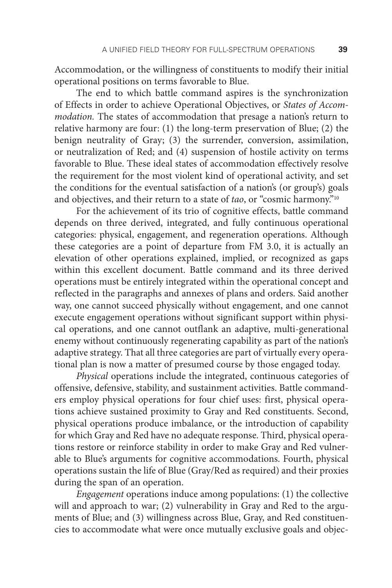Accommodation, or the willingness of constituents to modify their initial operational positions on terms favorable to Blue.

The end to which battle command aspires is the synchronization of Effects in order to achieve Operational Objectives, or *States of Accommodation.* The states of accommodation that presage a nation's return to relative harmony are four: (1) the long-term preservation of Blue; (2) the benign neutrality of Gray; (3) the surrender, conversion, assimilation, or neutralization of Red; and (4) suspension of hostile activity on terms favorable to Blue. These ideal states of accommodation effectively resolve the requirement for the most violent kind of operational activity, and set the conditions for the eventual satisfaction of a nation's (or group's) goals and objectives, and their return to a state of *tao*, or "cosmic harmony."10

For the achievement of its trio of cognitive effects, battle command depends on three derived, integrated, and fully continuous operational categories: physical, engagement, and regeneration operations. Although these categories are a point of departure from FM 3.0, it is actually an elevation of other operations explained, implied, or recognized as gaps within this excellent document. Battle command and its three derived operations must be entirely integrated within the operational concept and reflected in the paragraphs and annexes of plans and orders. Said another way, one cannot succeed physically without engagement, and one cannot execute engagement operations without significant support within physical operations, and one cannot outflank an adaptive, multi-generational enemy without continuously regenerating capability as part of the nation's adaptive strategy. That all three categories are part of virtually every operational plan is now a matter of presumed course by those engaged today.

*Physical* operations include the integrated, continuous categories of offensive, defensive, stability, and sustainment activities. Battle commanders employ physical operations for four chief uses: first, physical operations achieve sustained proximity to Gray and Red constituents. Second, physical operations produce imbalance, or the introduction of capability for which Gray and Red have no adequate response. Third, physical operations restore or reinforce stability in order to make Gray and Red vulnerable to Blue's arguments for cognitive accommodations. Fourth, physical operations sustain the life of Blue (Gray/Red as required) and their proxies during the span of an operation.

*Engagement* operations induce among populations: (1) the collective will and approach to war; (2) vulnerability in Gray and Red to the arguments of Blue; and (3) willingness across Blue, Gray, and Red constituencies to accommodate what were once mutually exclusive goals and objec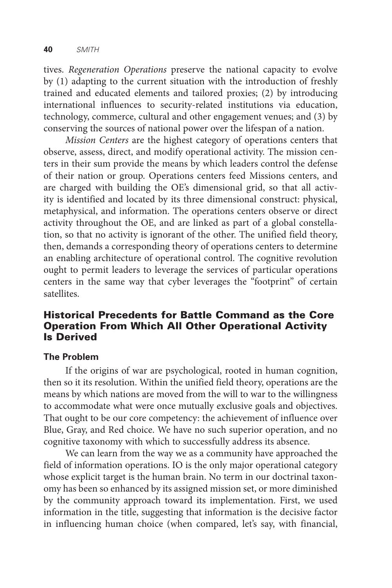tives. *Regeneration Operations* preserve the national capacity to evolve by (1) adapting to the current situation with the introduction of freshly trained and educated elements and tailored proxies; (2) by introducing international influences to security-related institutions via education, technology, commerce, cultural and other engagement venues; and (3) by conserving the sources of national power over the lifespan of a nation.

*Mission Centers* are the highest category of operations centers that observe, assess, direct, and modify operational activity. The mission centers in their sum provide the means by which leaders control the defense of their nation or group. Operations centers feed Missions centers, and are charged with building the OE's dimensional grid, so that all activity is identified and located by its three dimensional construct: physical, metaphysical, and information. The operations centers observe or direct activity throughout the OE, and are linked as part of a global constellation, so that no activity is ignorant of the other. The unified field theory, then, demands a corresponding theory of operations centers to determine an enabling architecture of operational control. The cognitive revolution ought to permit leaders to leverage the services of particular operations centers in the same way that cyber leverages the "footprint" of certain satellites.

# Historical Precedents for Battle Command as the Core Operation From Which All Other Operational Activity Is Derived

#### **The Problem**

If the origins of war are psychological, rooted in human cognition, then so it its resolution. Within the unified field theory, operations are the means by which nations are moved from the will to war to the willingness to accommodate what were once mutually exclusive goals and objectives. That ought to be our core competency: the achievement of influence over Blue, Gray, and Red choice. We have no such superior operation, and no cognitive taxonomy with which to successfully address its absence.

We can learn from the way we as a community have approached the field of information operations. IO is the only major operational category whose explicit target is the human brain. No term in our doctrinal taxonomy has been so enhanced by its assigned mission set, or more diminished by the community approach toward its implementation. First, we used information in the title, suggesting that information is the decisive factor in influencing human choice (when compared, let's say, with financial,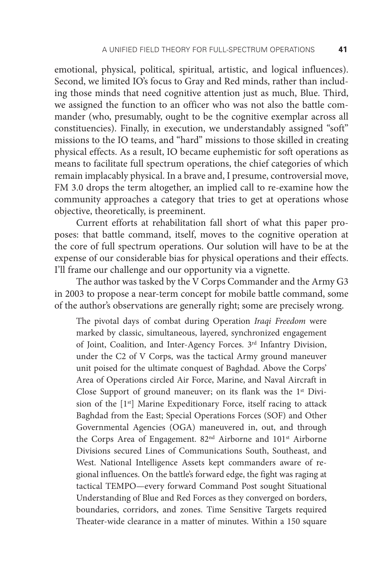emotional, physical, political, spiritual, artistic, and logical influences). Second, we limited IO's focus to Gray and Red minds, rather than including those minds that need cognitive attention just as much, Blue. Third, we assigned the function to an officer who was not also the battle commander (who, presumably, ought to be the cognitive exemplar across all constituencies). Finally, in execution, we understandably assigned "soft" missions to the IO teams, and "hard" missions to those skilled in creating physical effects. As a result, IO became euphemistic for soft operations as means to facilitate full spectrum operations, the chief categories of which remain implacably physical. In a brave and, I presume, controversial move, FM 3.0 drops the term altogether, an implied call to re-examine how the community approaches a category that tries to get at operations whose objective, theoretically, is preeminent.

Current efforts at rehabilitation fall short of what this paper proposes: that battle command, itself, moves to the cognitive operation at the core of full spectrum operations. Our solution will have to be at the expense of our considerable bias for physical operations and their effects. I'll frame our challenge and our opportunity via a vignette.

The author was tasked by the V Corps Commander and the Army G3 in 2003 to propose a near-term concept for mobile battle command, some of the author's observations are generally right; some are precisely wrong.

The pivotal days of combat during Operation *Iraqi Freedom* were marked by classic, simultaneous, layered, synchronized engagement of Joint, Coalition, and Inter-Agency Forces. 3rd Infantry Division, under the C2 of V Corps, was the tactical Army ground maneuver unit poised for the ultimate conquest of Baghdad. Above the Corps' Area of Operations circled Air Force, Marine, and Naval Aircraft in Close Support of ground maneuver; on its flank was the 1<sup>st</sup> Division of the  $[1<sup>st</sup>]$  Marine Expeditionary Force, itself racing to attack Baghdad from the East; Special Operations Forces (SOF) and Other Governmental Agencies (OGA) maneuvered in, out, and through the Corps Area of Engagement. 82nd Airborne and 101st Airborne Divisions secured Lines of Communications South, Southeast, and West. National Intelligence Assets kept commanders aware of regional influences. On the battle's forward edge, the fight was raging at tactical TEMPO—every forward Command Post sought Situational Understanding of Blue and Red Forces as they converged on borders, boundaries, corridors, and zones. Time Sensitive Targets required Theater-wide clearance in a matter of minutes. Within a 150 square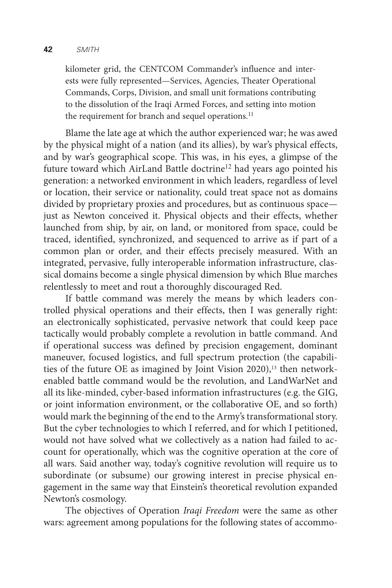#### **42** *SMITH*

kilometer grid, the CENTCOM Commander's influence and interests were fully represented—Services, Agencies, Theater Operational Commands, Corps, Division, and small unit formations contributing to the dissolution of the Iraqi Armed Forces, and setting into motion the requirement for branch and sequel operations.<sup>11</sup>

Blame the late age at which the author experienced war; he was awed by the physical might of a nation (and its allies), by war's physical effects, and by war's geographical scope. This was, in his eyes, a glimpse of the future toward which AirLand Battle doctrine<sup>12</sup> had years ago pointed his generation: a networked environment in which leaders, regardless of level or location, their service or nationality, could treat space not as domains divided by proprietary proxies and procedures, but as continuous space just as Newton conceived it. Physical objects and their effects, whether launched from ship, by air, on land, or monitored from space, could be traced, identified, synchronized, and sequenced to arrive as if part of a common plan or order, and their effects precisely measured. With an integrated, pervasive, fully interoperable information infrastructure, classical domains become a single physical dimension by which Blue marches relentlessly to meet and rout a thoroughly discouraged Red.

If battle command was merely the means by which leaders controlled physical operations and their effects, then I was generally right: an electronically sophisticated, pervasive network that could keep pace tactically would probably complete a revolution in battle command. And if operational success was defined by precision engagement, dominant maneuver, focused logistics, and full spectrum protection (the capabilities of the future OE as imagined by Joint Vision 2020),<sup>13</sup> then networkenabled battle command would be the revolution, and LandWarNet and all its like-minded, cyber-based information infrastructures (e.g. the GIG, or joint information environment, or the collaborative OE, and so forth) would mark the beginning of the end to the Army's transformational story. But the cyber technologies to which I referred, and for which I petitioned, would not have solved what we collectively as a nation had failed to account for operationally, which was the cognitive operation at the core of all wars. Said another way, today's cognitive revolution will require us to subordinate (or subsume) our growing interest in precise physical engagement in the same way that Einstein's theoretical revolution expanded Newton's cosmology.

The objectives of Operation *Iraqi Freedom* were the same as other wars: agreement among populations for the following states of accommo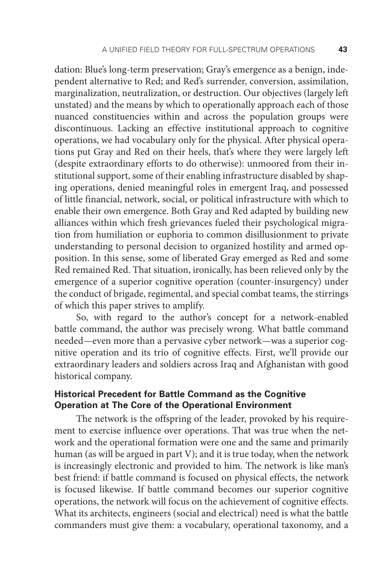dation: Blue's long-term preservation; Gray's emergence as a benign, independent alternative to Red; and Red's surrender, conversion, assimilation, marginalization, neutralization, or destruction. Our objectives (largely left unstated) and the means by which to operationally approach each of those nuanced constituencies within and across the population groups were discontinuous. Lacking an effective institutional approach to cognitive operations, we had vocabulary only for the physical. After physical operations put Gray and Red on their heels, that's where they were largely left (despite extraordinary efforts to do otherwise): unmoored from their institutional support, some of their enabling infrastructure disabled by shaping operations, denied meaningful roles in emergent Iraq, and possessed of little financial, network, social, or political infrastructure with which to enable their own emergence. Both Gray and Red adapted by building new alliances within which fresh grievances fueled their psychological migration from humiliation or euphoria to common disillusionment to private understanding to personal decision to organized hostility and armed opposition. In this sense, some of liberated Gray emerged as Red and some Red remained Red. That situation, ironically, has been relieved only by the emergence of a superior cognitive operation (counter-insurgency) under the conduct of brigade, regimental, and special combat teams, the stirrings of which this paper strives to amplify.

So, with regard to the author's concept for a network-enabled battle command, the author was precisely wrong. What battle command needed—even more than a pervasive cyber network—was a superior cognitive operation and its trio of cognitive effects. First, we'll provide our extraordinary leaders and soldiers across Iraq and Afghanistan with good historical company.

# **Historical Precedent for Battle Command as the Cognitive Operation at The Core of the Operational Environment**

The network is the offspring of the leader, provoked by his requirement to exercise influence over operations. That was true when the network and the operational formation were one and the same and primarily human (as will be argued in part V); and it is true today, when the network is increasingly electronic and provided to him. The network is like man's best friend: if battle command is focused on physical effects, the network is focused likewise. If battle command becomes our superior cognitive operations, the network will focus on the achievement of cognitive effects. What its architects, engineers (social and electrical) need is what the battle commanders must give them: a vocabulary, operational taxonomy, and a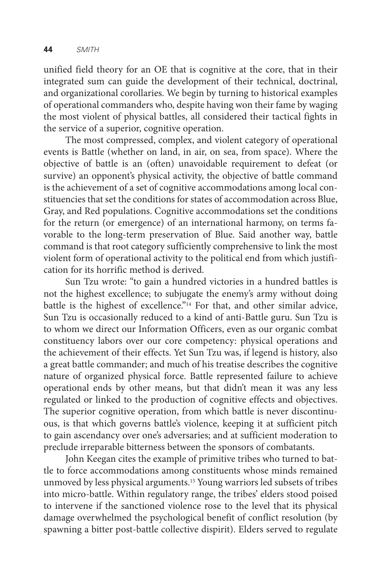unified field theory for an OE that is cognitive at the core, that in their integrated sum can guide the development of their technical, doctrinal, and organizational corollaries. We begin by turning to historical examples of operational commanders who, despite having won their fame by waging the most violent of physical battles, all considered their tactical fights in the service of a superior, cognitive operation.

The most compressed, complex, and violent category of operational events is Battle (whether on land, in air, on sea, from space). Where the objective of battle is an (often) unavoidable requirement to defeat (or survive) an opponent's physical activity, the objective of battle command is the achievement of a set of cognitive accommodations among local constituencies that set the conditions for states of accommodation across Blue, Gray, and Red populations. Cognitive accommodations set the conditions for the return (or emergence) of an international harmony, on terms favorable to the long-term preservation of Blue. Said another way, battle command is that root category sufficiently comprehensive to link the most violent form of operational activity to the political end from which justification for its horrific method is derived.

Sun Tzu wrote: "to gain a hundred victories in a hundred battles is not the highest excellence; to subjugate the enemy's army without doing battle is the highest of excellence."14 For that, and other similar advice, Sun Tzu is occasionally reduced to a kind of anti-Battle guru. Sun Tzu is to whom we direct our Information Officers, even as our organic combat constituency labors over our core competency: physical operations and the achievement of their effects. Yet Sun Tzu was, if legend is history, also a great battle commander; and much of his treatise describes the cognitive nature of organized physical force. Battle represented failure to achieve operational ends by other means, but that didn't mean it was any less regulated or linked to the production of cognitive effects and objectives. The superior cognitive operation, from which battle is never discontinuous, is that which governs battle's violence, keeping it at sufficient pitch to gain ascendancy over one's adversaries; and at sufficient moderation to preclude irreparable bitterness between the sponsors of combatants.

John Keegan cites the example of primitive tribes who turned to battle to force accommodations among constituents whose minds remained unmoved by less physical arguments.15 Young warriors led subsets of tribes into micro-battle. Within regulatory range, the tribes' elders stood poised to intervene if the sanctioned violence rose to the level that its physical damage overwhelmed the psychological benefit of conflict resolution (by spawning a bitter post-battle collective dispirit). Elders served to regulate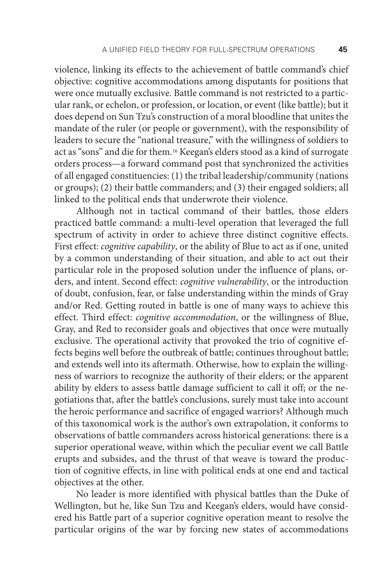violence, linking its effects to the achievement of battle command's chief objective: cognitive accommodations among disputants for positions that were once mutually exclusive. Battle command is not restricted to a particular rank, or echelon, or profession, or location, or event (like battle); but it does depend on Sun Tzu's construction of a moral bloodline that unites the mandate of the ruler (or people or government), with the responsibility of leaders to secure the "national treasure," with the willingness of soldiers to act as "sons" and die for them.16 Keegan's elders stood as a kind of surrogate orders process—a forward command post that synchronized the activities of all engaged constituencies: (1) the tribal leadership/community (nations or groups); (2) their battle commanders; and (3) their engaged soldiers; all linked to the political ends that underwrote their violence.

Although not in tactical command of their battles, those elders practiced battle command: a multi-level operation that leveraged the full spectrum of activity in order to achieve three distinct cognitive effects. First effect: *cognitive capability*, or the ability of Blue to act as if one, united by a common understanding of their situation, and able to act out their particular role in the proposed solution under the influence of plans, orders, and intent. Second effect: *cognitive vulnerability*, or the introduction of doubt, confusion, fear, or false understanding within the minds of Gray and/or Red. Getting routed in battle is one of many ways to achieve this effect. Third effect: *cognitive accommodation*, or the willingness of Blue, Gray, and Red to reconsider goals and objectives that once were mutually exclusive. The operational activity that provoked the trio of cognitive effects begins well before the outbreak of battle; continues throughout battle; and extends well into its aftermath. Otherwise, how to explain the willingness of warriors to recognize the authority of their elders; or the apparent ability by elders to assess battle damage sufficient to call it off; or the negotiations that, after the battle's conclusions, surely must take into account the heroic performance and sacrifice of engaged warriors? Although much of this taxonomical work is the author's own extrapolation, it conforms to observations of battle commanders across historical generations: there is a superior operational weave, within which the peculiar event we call Battle erupts and subsides, and the thrust of that weave is toward the production of cognitive effects, in line with political ends at one end and tactical objectives at the other.

No leader is more identified with physical battles than the Duke of Wellington, but he, like Sun Tzu and Keegan's elders, would have considered his Battle part of a superior cognitive operation meant to resolve the particular origins of the war by forcing new states of accommodations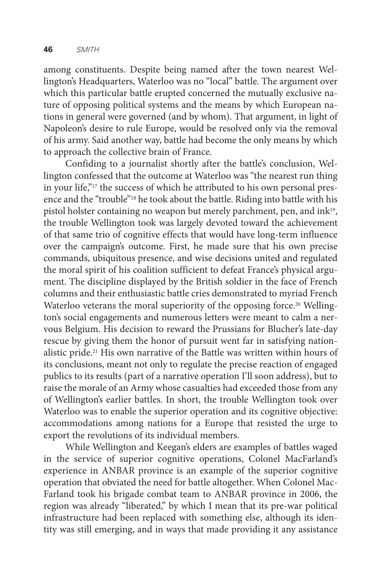among constituents. Despite being named after the town nearest Wellington's Headquarters, Waterloo was no "local" battle. The argument over which this particular battle erupted concerned the mutually exclusive nature of opposing political systems and the means by which European nations in general were governed (and by whom). That argument, in light of Napoleon's desire to rule Europe, would be resolved only via the removal of his army. Said another way, battle had become the only means by which to approach the collective brain of France.

Confiding to a journalist shortly after the battle's conclusion, Wellington confessed that the outcome at Waterloo was "the nearest run thing in your life,"17 the success of which he attributed to his own personal presence and the "trouble"18 he took about the battle. Riding into battle with his pistol holster containing no weapon but merely parchment, pen, and ink19, the trouble Wellington took was largely devoted toward the achievement of that same trio of cognitive effects that would have long-term influence over the campaign's outcome. First, he made sure that his own precise commands, ubiquitous presence, and wise decisions united and regulated the moral spirit of his coalition sufficient to defeat France's physical argument. The discipline displayed by the British soldier in the face of French columns and their enthusiastic battle cries demonstrated to myriad French Waterloo veterans the moral superiority of the opposing force.<sup>20</sup> Wellington's social engagements and numerous letters were meant to calm a nervous Belgium. His decision to reward the Prussians for Blucher's late-day rescue by giving them the honor of pursuit went far in satisfying nationalistic pride.21 His own narrative of the Battle was written within hours of its conclusions, meant not only to regulate the precise reaction of engaged publics to its results (part of a narrative operation I'll soon address), but to raise the morale of an Army whose casualties had exceeded those from any of Wellington's earlier battles. In short, the trouble Wellington took over Waterloo was to enable the superior operation and its cognitive objective: accommodations among nations for a Europe that resisted the urge to export the revolutions of its individual members.

While Wellington and Keegan's elders are examples of battles waged in the service of superior cognitive operations, Colonel MacFarland's experience in ANBAR province is an example of the superior cognitive operation that obviated the need for battle altogether. When Colonel Mac-Farland took his brigade combat team to ANBAR province in 2006, the region was already "liberated," by which I mean that its pre-war political infrastructure had been replaced with something else, although its identity was still emerging, and in ways that made providing it any assistance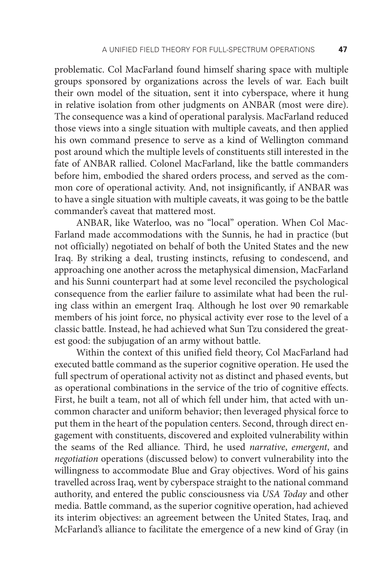problematic. Col MacFarland found himself sharing space with multiple groups sponsored by organizations across the levels of war. Each built their own model of the situation, sent it into cyberspace, where it hung in relative isolation from other judgments on ANBAR (most were dire). The consequence was a kind of operational paralysis. MacFarland reduced those views into a single situation with multiple caveats, and then applied his own command presence to serve as a kind of Wellington command post around which the multiple levels of constituents still interested in the fate of ANBAR rallied. Colonel MacFarland, like the battle commanders before him, embodied the shared orders process, and served as the common core of operational activity. And, not insignificantly, if ANBAR was to have a single situation with multiple caveats, it was going to be the battle commander's caveat that mattered most.

ANBAR, like Waterloo, was no "local" operation. When Col Mac-Farland made accommodations with the Sunnis, he had in practice (but not officially) negotiated on behalf of both the United States and the new Iraq. By striking a deal, trusting instincts, refusing to condescend, and approaching one another across the metaphysical dimension, MacFarland and his Sunni counterpart had at some level reconciled the psychological consequence from the earlier failure to assimilate what had been the ruling class within an emergent Iraq. Although he lost over 90 remarkable members of his joint force, no physical activity ever rose to the level of a classic battle. Instead, he had achieved what Sun Tzu considered the greatest good: the subjugation of an army without battle.

Within the context of this unified field theory, Col MacFarland had executed battle command as the superior cognitive operation. He used the full spectrum of operational activity not as distinct and phased events, but as operational combinations in the service of the trio of cognitive effects. First, he built a team, not all of which fell under him, that acted with uncommon character and uniform behavior; then leveraged physical force to put them in the heart of the population centers. Second, through direct engagement with constituents, discovered and exploited vulnerability within the seams of the Red alliance. Third, he used *narrative*, *emergent*, and *negotiation* operations (discussed below) to convert vulnerability into the willingness to accommodate Blue and Gray objectives. Word of his gains travelled across Iraq, went by cyberspace straight to the national command authority, and entered the public consciousness via *USA Today* and other media. Battle command, as the superior cognitive operation, had achieved its interim objectives: an agreement between the United States, Iraq, and McFarland's alliance to facilitate the emergence of a new kind of Gray (in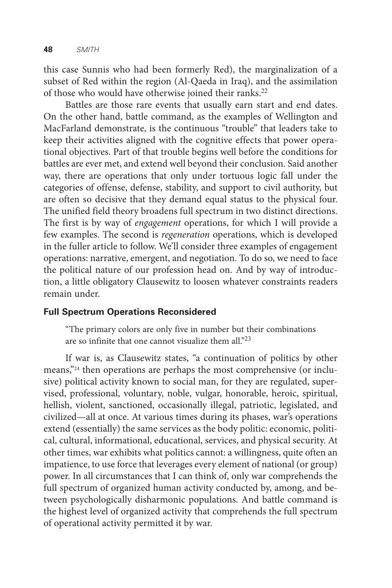this case Sunnis who had been formerly Red), the marginalization of a subset of Red within the region (Al-Qaeda in Iraq), and the assimilation of those who would have otherwise joined their ranks.<sup>22</sup>

Battles are those rare events that usually earn start and end dates. On the other hand, battle command, as the examples of Wellington and MacFarland demonstrate, is the continuous "trouble" that leaders take to keep their activities aligned with the cognitive effects that power operational objectives. Part of that trouble begins well before the conditions for battles are ever met, and extend well beyond their conclusion. Said another way, there are operations that only under tortuous logic fall under the categories of offense, defense, stability, and support to civil authority, but are often so decisive that they demand equal status to the physical four. The unified field theory broadens full spectrum in two distinct directions. The first is by way of *engagement* operations, for which I will provide a few examples. The second is *regeneration* operations, which is developed in the fuller article to follow. We'll consider three examples of engagement operations: narrative, emergent, and negotiation. To do so, we need to face the political nature of our profession head on. And by way of introduction, a little obligatory Clausewitz to loosen whatever constraints readers remain under.

#### **Full Spectrum Operations Reconsidered**

"The primary colors are only five in number but their combinations are so infinite that one cannot visualize them all.<sup> $23$ </sup>

If war is, as Clausewitz states, "a continuation of politics by other means,"<sup>24</sup> then operations are perhaps the most comprehensive (or inclusive) political activity known to social man, for they are regulated, supervised, professional, voluntary, noble, vulgar, honorable, heroic, spiritual, hellish, violent, sanctioned, occasionally illegal, patriotic, legislated, and civilized—all at once. At various times during its phases, war's operations extend (essentially) the same services as the body politic: economic, political, cultural, informational, educational, services, and physical security. At other times, war exhibits what politics cannot: a willingness, quite often an impatience, to use force that leverages every element of national (or group) power. In all circumstances that I can think of, only war comprehends the full spectrum of organized human activity conducted by, among, and between psychologically disharmonic populations. And battle command is the highest level of organized activity that comprehends the full spectrum of operational activity permitted it by war.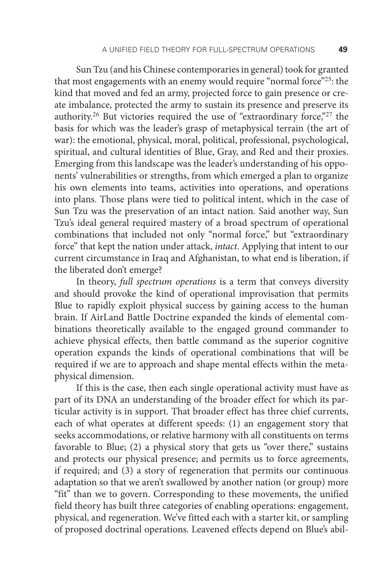Sun Tzu (and his Chinese contemporaries in general) took for granted that most engagements with an enemy would require "normal force"<sup>25</sup>: the kind that moved and fed an army, projected force to gain presence or create imbalance, protected the army to sustain its presence and preserve its authority.<sup>26</sup> But victories required the use of "extraordinary force,"<sup>27</sup> the basis for which was the leader's grasp of metaphysical terrain (the art of war): the emotional, physical, moral, political, professional, psychological, spiritual, and cultural identities of Blue, Gray, and Red and their proxies. Emerging from this landscape was the leader's understanding of his opponents' vulnerabilities or strengths, from which emerged a plan to organize his own elements into teams, activities into operations, and operations into plans. Those plans were tied to political intent, which in the case of Sun Tzu was the preservation of an intact nation. Said another way, Sun Tzu's ideal general required mastery of a broad spectrum of operational combinations that included not only "normal force," but "extraordinary force" that kept the nation under attack, *intact*. Applying that intent to our current circumstance in Iraq and Afghanistan, to what end is liberation, if the liberated don't emerge?

In theory, *full spectrum operations* is a term that conveys diversity and should provoke the kind of operational improvisation that permits Blue to rapidly exploit physical success by gaining access to the human brain. If AirLand Battle Doctrine expanded the kinds of elemental combinations theoretically available to the engaged ground commander to achieve physical effects, then battle command as the superior cognitive operation expands the kinds of operational combinations that will be required if we are to approach and shape mental effects within the metaphysical dimension.

If this is the case, then each single operational activity must have as part of its DNA an understanding of the broader effect for which its particular activity is in support. That broader effect has three chief currents, each of what operates at different speeds: (1) an engagement story that seeks accommodations, or relative harmony with all constituents on terms favorable to Blue; (2) a physical story that gets us "over there," sustains and protects our physical presence; and permits us to force agreements, if required; and (3) a story of regeneration that permits our continuous adaptation so that we aren't swallowed by another nation (or group) more "fit" than we to govern. Corresponding to these movements, the unified field theory has built three categories of enabling operations: engagement, physical, and regeneration. We've fitted each with a starter kit, or sampling of proposed doctrinal operations. Leavened effects depend on Blue's abil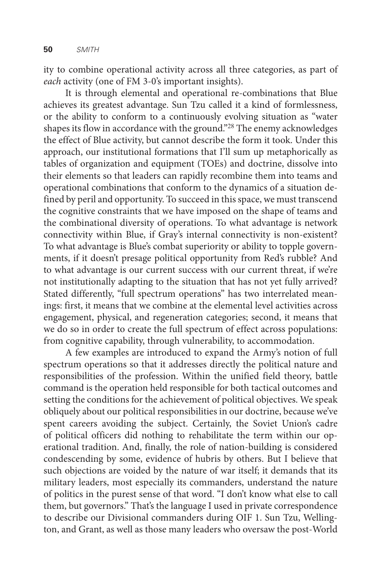ity to combine operational activity across all three categories, as part of *each* activity (one of FM 3-0's important insights).

It is through elemental and operational re-combinations that Blue achieves its greatest advantage. Sun Tzu called it a kind of formlessness, or the ability to conform to a continuously evolving situation as "water shapes its flow in accordance with the ground."<sup>28</sup> The enemy acknowledges the effect of Blue activity, but cannot describe the form it took. Under this approach, our institutional formations that I'll sum up metaphorically as tables of organization and equipment (TOEs) and doctrine, dissolve into their elements so that leaders can rapidly recombine them into teams and operational combinations that conform to the dynamics of a situation defined by peril and opportunity. To succeed in this space, we must transcend the cognitive constraints that we have imposed on the shape of teams and the combinational diversity of operations. To what advantage is network connectivity within Blue, if Gray's internal connectivity is non-existent? To what advantage is Blue's combat superiority or ability to topple governments, if it doesn't presage political opportunity from Red's rubble? And to what advantage is our current success with our current threat, if we're not institutionally adapting to the situation that has not yet fully arrived? Stated differently, "full spectrum operations" has two interrelated meanings: first, it means that we combine at the elemental level activities across engagement, physical, and regeneration categories; second, it means that we do so in order to create the full spectrum of effect across populations: from cognitive capability, through vulnerability, to accommodation.

A few examples are introduced to expand the Army's notion of full spectrum operations so that it addresses directly the political nature and responsibilities of the profession. Within the unified field theory, battle command is the operation held responsible for both tactical outcomes and setting the conditions for the achievement of political objectives. We speak obliquely about our political responsibilities in our doctrine, because we've spent careers avoiding the subject. Certainly, the Soviet Union's cadre of political officers did nothing to rehabilitate the term within our operational tradition. And, finally, the role of nation-building is considered condescending by some, evidence of hubris by others. But I believe that such objections are voided by the nature of war itself; it demands that its military leaders, most especially its commanders, understand the nature of politics in the purest sense of that word. "I don't know what else to call them, but governors." That's the language I used in private correspondence to describe our Divisional commanders during OIF 1. Sun Tzu, Wellington, and Grant, as well as those many leaders who oversaw the post-World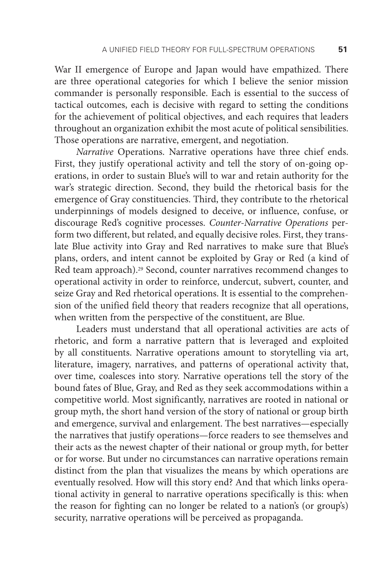War II emergence of Europe and Japan would have empathized. There are three operational categories for which I believe the senior mission commander is personally responsible. Each is essential to the success of tactical outcomes, each is decisive with regard to setting the conditions for the achievement of political objectives, and each requires that leaders throughout an organization exhibit the most acute of political sensibilities. Those operations are narrative, emergent, and negotiation.

*Narrative* Operations. Narrative operations have three chief ends. First, they justify operational activity and tell the story of on-going operations, in order to sustain Blue's will to war and retain authority for the war's strategic direction. Second, they build the rhetorical basis for the emergence of Gray constituencies. Third, they contribute to the rhetorical underpinnings of models designed to deceive, or influence, confuse, or discourage Red's cognitive processes. *Counter-Narrative Operations* perform two different, but related, and equally decisive roles. First, they translate Blue activity into Gray and Red narratives to make sure that Blue's plans, orders, and intent cannot be exploited by Gray or Red (a kind of Red team approach).<sup>29</sup> Second, counter narratives recommend changes to operational activity in order to reinforce, undercut, subvert, counter, and seize Gray and Red rhetorical operations. It is essential to the comprehension of the unified field theory that readers recognize that all operations, when written from the perspective of the constituent, are Blue.

Leaders must understand that all operational activities are acts of rhetoric, and form a narrative pattern that is leveraged and exploited by all constituents. Narrative operations amount to storytelling via art, literature, imagery, narratives, and patterns of operational activity that, over time, coalesces into story. Narrative operations tell the story of the bound fates of Blue, Gray, and Red as they seek accommodations within a competitive world. Most significantly, narratives are rooted in national or group myth, the short hand version of the story of national or group birth and emergence, survival and enlargement. The best narratives—especially the narratives that justify operations—force readers to see themselves and their acts as the newest chapter of their national or group myth, for better or for worse. But under no circumstances can narrative operations remain distinct from the plan that visualizes the means by which operations are eventually resolved. How will this story end? And that which links operational activity in general to narrative operations specifically is this: when the reason for fighting can no longer be related to a nation's (or group's) security, narrative operations will be perceived as propaganda.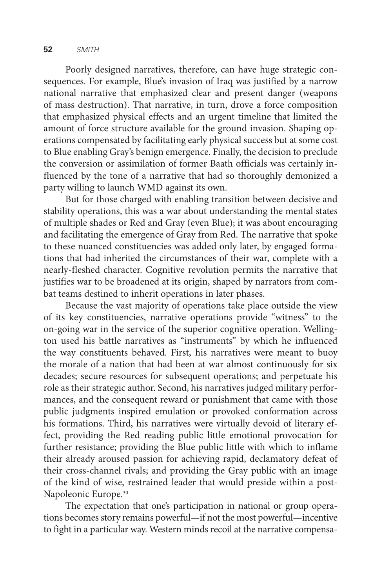Poorly designed narratives, therefore, can have huge strategic consequences. For example, Blue's invasion of Iraq was justified by a narrow national narrative that emphasized clear and present danger (weapons of mass destruction). That narrative, in turn, drove a force composition that emphasized physical effects and an urgent timeline that limited the amount of force structure available for the ground invasion. Shaping operations compensated by facilitating early physical success but at some cost to Blue enabling Gray's benign emergence. Finally, the decision to preclude the conversion or assimilation of former Baath officials was certainly influenced by the tone of a narrative that had so thoroughly demonized a party willing to launch WMD against its own.

But for those charged with enabling transition between decisive and stability operations, this was a war about understanding the mental states of multiple shades or Red and Gray (even Blue); it was about encouraging and facilitating the emergence of Gray from Red. The narrative that spoke to these nuanced constituencies was added only later, by engaged formations that had inherited the circumstances of their war, complete with a nearly-fleshed character. Cognitive revolution permits the narrative that justifies war to be broadened at its origin, shaped by narrators from combat teams destined to inherit operations in later phases.

Because the vast majority of operations take place outside the view of its key constituencies, narrative operations provide "witness" to the on-going war in the service of the superior cognitive operation. Wellington used his battle narratives as "instruments" by which he influenced the way constituents behaved. First, his narratives were meant to buoy the morale of a nation that had been at war almost continuously for six decades; secure resources for subsequent operations; and perpetuate his role as their strategic author. Second, his narratives judged military performances, and the consequent reward or punishment that came with those public judgments inspired emulation or provoked conformation across his formations. Third, his narratives were virtually devoid of literary effect, providing the Red reading public little emotional provocation for further resistance; providing the Blue public little with which to inflame their already aroused passion for achieving rapid, declamatory defeat of their cross-channel rivals; and providing the Gray public with an image of the kind of wise, restrained leader that would preside within a post-Napoleonic Europe.30

The expectation that one's participation in national or group operations becomes story remains powerful—if not the most powerful—incentive to fight in a particular way. Western minds recoil at the narrative compensa-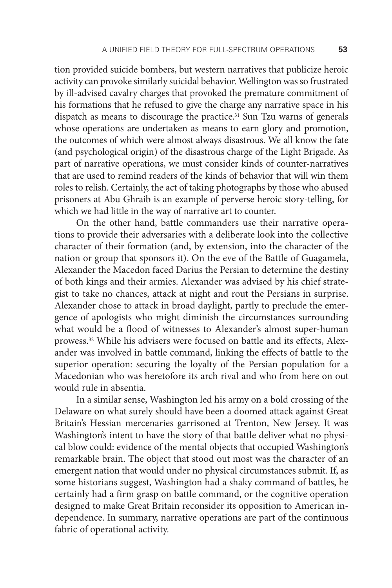tion provided suicide bombers, but western narratives that publicize heroic activity can provoke similarly suicidal behavior. Wellington was so frustrated by ill-advised cavalry charges that provoked the premature commitment of his formations that he refused to give the charge any narrative space in his dispatch as means to discourage the practice.<sup>31</sup> Sun Tzu warns of generals whose operations are undertaken as means to earn glory and promotion, the outcomes of which were almost always disastrous. We all know the fate (and psychological origin) of the disastrous charge of the Light Brigade. As part of narrative operations, we must consider kinds of counter-narratives that are used to remind readers of the kinds of behavior that will win them roles to relish. Certainly, the act of taking photographs by those who abused prisoners at Abu Ghraib is an example of perverse heroic story-telling, for which we had little in the way of narrative art to counter.

On the other hand, battle commanders use their narrative operations to provide their adversaries with a deliberate look into the collective character of their formation (and, by extension, into the character of the nation or group that sponsors it). On the eve of the Battle of Guagamela, Alexander the Macedon faced Darius the Persian to determine the destiny of both kings and their armies. Alexander was advised by his chief strategist to take no chances, attack at night and rout the Persians in surprise. Alexander chose to attack in broad daylight, partly to preclude the emergence of apologists who might diminish the circumstances surrounding what would be a flood of witnesses to Alexander's almost super-human prowess.32 While his advisers were focused on battle and its effects, Alexander was involved in battle command, linking the effects of battle to the superior operation: securing the loyalty of the Persian population for a Macedonian who was heretofore its arch rival and who from here on out would rule in absentia.

In a similar sense, Washington led his army on a bold crossing of the Delaware on what surely should have been a doomed attack against Great Britain's Hessian mercenaries garrisoned at Trenton, New Jersey. It was Washington's intent to have the story of that battle deliver what no physical blow could: evidence of the mental objects that occupied Washington's remarkable brain. The object that stood out most was the character of an emergent nation that would under no physical circumstances submit. If, as some historians suggest, Washington had a shaky command of battles, he certainly had a firm grasp on battle command, or the cognitive operation designed to make Great Britain reconsider its opposition to American independence. In summary, narrative operations are part of the continuous fabric of operational activity.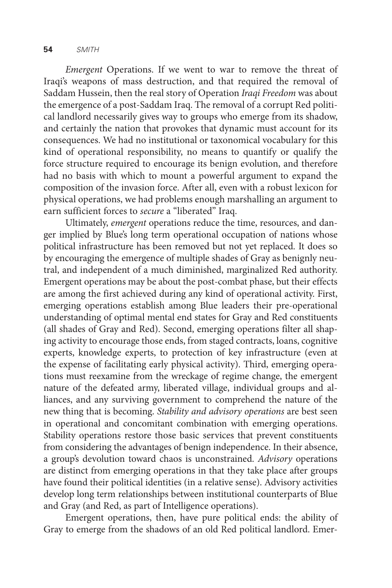*Emergent* Operations. If we went to war to remove the threat of Iraqi's weapons of mass destruction, and that required the removal of Saddam Hussein, then the real story of Operation *Iraqi Freedom* was about the emergence of a post-Saddam Iraq. The removal of a corrupt Red political landlord necessarily gives way to groups who emerge from its shadow, and certainly the nation that provokes that dynamic must account for its consequences. We had no institutional or taxonomical vocabulary for this kind of operational responsibility, no means to quantify or qualify the force structure required to encourage its benign evolution, and therefore had no basis with which to mount a powerful argument to expand the composition of the invasion force. After all, even with a robust lexicon for physical operations, we had problems enough marshalling an argument to earn sufficient forces to *secure* a "liberated" Iraq.

Ultimately, *emergent* operations reduce the time, resources, and danger implied by Blue's long term operational occupation of nations whose political infrastructure has been removed but not yet replaced. It does so by encouraging the emergence of multiple shades of Gray as benignly neutral, and independent of a much diminished, marginalized Red authority. Emergent operations may be about the post-combat phase, but their effects are among the first achieved during any kind of operational activity. First, emerging operations establish among Blue leaders their pre-operational understanding of optimal mental end states for Gray and Red constituents (all shades of Gray and Red). Second, emerging operations filter all shaping activity to encourage those ends, from staged contracts, loans, cognitive experts, knowledge experts, to protection of key infrastructure (even at the expense of facilitating early physical activity). Third, emerging operations must reexamine from the wreckage of regime change, the emergent nature of the defeated army, liberated village, individual groups and alliances, and any surviving government to comprehend the nature of the new thing that is becoming. *Stability and advisory operations* are best seen in operational and concomitant combination with emerging operations. Stability operations restore those basic services that prevent constituents from considering the advantages of benign independence. In their absence, a group's devolution toward chaos is unconstrained. *Advisory* operations are distinct from emerging operations in that they take place after groups have found their political identities (in a relative sense). Advisory activities develop long term relationships between institutional counterparts of Blue and Gray (and Red, as part of Intelligence operations).

Emergent operations, then, have pure political ends: the ability of Gray to emerge from the shadows of an old Red political landlord. Emer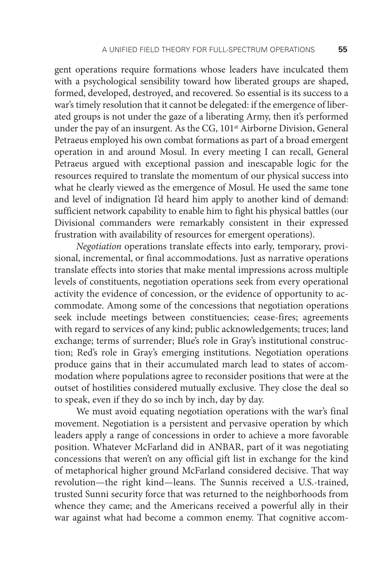gent operations require formations whose leaders have inculcated them with a psychological sensibility toward how liberated groups are shaped, formed, developed, destroyed, and recovered. So essential is its success to a war's timely resolution that it cannot be delegated: if the emergence of liberated groups is not under the gaze of a liberating Army, then it's performed under the pay of an insurgent. As the CG, 101<sup>st</sup> Airborne Division, General Petraeus employed his own combat formations as part of a broad emergent operation in and around Mosul. In every meeting I can recall, General Petraeus argued with exceptional passion and inescapable logic for the resources required to translate the momentum of our physical success into what he clearly viewed as the emergence of Mosul. He used the same tone and level of indignation I'd heard him apply to another kind of demand: sufficient network capability to enable him to fight his physical battles (our Divisional commanders were remarkably consistent in their expressed frustration with availability of resources for emergent operations).

*Negotiation* operations translate effects into early, temporary, provisional, incremental, or final accommodations. Just as narrative operations translate effects into stories that make mental impressions across multiple levels of constituents, negotiation operations seek from every operational activity the evidence of concession, or the evidence of opportunity to accommodate. Among some of the concessions that negotiation operations seek include meetings between constituencies; cease-fires; agreements with regard to services of any kind; public acknowledgements; truces; land exchange; terms of surrender; Blue's role in Gray's institutional construction; Red's role in Gray's emerging institutions. Negotiation operations produce gains that in their accumulated march lead to states of accommodation where populations agree to reconsider positions that were at the outset of hostilities considered mutually exclusive. They close the deal so to speak, even if they do so inch by inch, day by day.

We must avoid equating negotiation operations with the war's final movement. Negotiation is a persistent and pervasive operation by which leaders apply a range of concessions in order to achieve a more favorable position. Whatever McFarland did in ANBAR, part of it was negotiating concessions that weren't on any official gift list in exchange for the kind of metaphorical higher ground McFarland considered decisive. That way revolution—the right kind—leans. The Sunnis received a U.S.-trained, trusted Sunni security force that was returned to the neighborhoods from whence they came; and the Americans received a powerful ally in their war against what had become a common enemy. That cognitive accom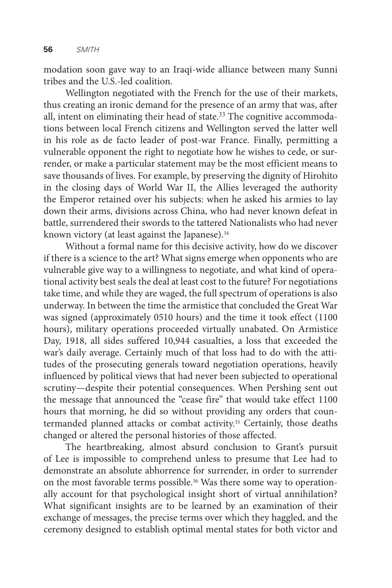modation soon gave way to an Iraqi-wide alliance between many Sunni tribes and the U.S.-led coalition.

Wellington negotiated with the French for the use of their markets, thus creating an ironic demand for the presence of an army that was, after all, intent on eliminating their head of state.<sup>33</sup> The cognitive accommodations between local French citizens and Wellington served the latter well in his role as de facto leader of post-war France. Finally, permitting a vulnerable opponent the right to negotiate how he wishes to cede, or surrender, or make a particular statement may be the most efficient means to save thousands of lives. For example, by preserving the dignity of Hirohito in the closing days of World War II, the Allies leveraged the authority the Emperor retained over his subjects: when he asked his armies to lay down their arms, divisions across China, who had never known defeat in battle, surrendered their swords to the tattered Nationalists who had never known victory (at least against the Japanese).<sup>34</sup>

Without a formal name for this decisive activity, how do we discover if there is a science to the art? What signs emerge when opponents who are vulnerable give way to a willingness to negotiate, and what kind of operational activity best seals the deal at least cost to the future? For negotiations take time, and while they are waged, the full spectrum of operations is also underway. In between the time the armistice that concluded the Great War was signed (approximately 0510 hours) and the time it took effect (1100 hours), military operations proceeded virtually unabated. On Armistice Day, 1918, all sides suffered 10,944 casualties, a loss that exceeded the war's daily average. Certainly much of that loss had to do with the attitudes of the prosecuting generals toward negotiation operations, heavily influenced by political views that had never been subjected to operational scrutiny—despite their potential consequences. When Pershing sent out the message that announced the "cease fire" that would take effect 1100 hours that morning, he did so without providing any orders that countermanded planned attacks or combat activity.35 Certainly, those deaths changed or altered the personal histories of those affected.

The heartbreaking, almost absurd conclusion to Grant's pursuit of Lee is impossible to comprehend unless to presume that Lee had to demonstrate an absolute abhorrence for surrender, in order to surrender on the most favorable terms possible.<sup>36</sup> Was there some way to operationally account for that psychological insight short of virtual annihilation? What significant insights are to be learned by an examination of their exchange of messages, the precise terms over which they haggled, and the ceremony designed to establish optimal mental states for both victor and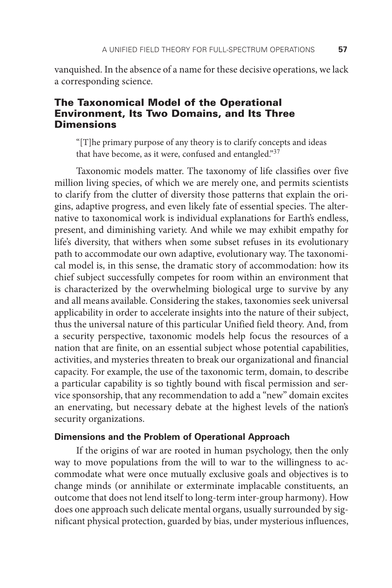vanquished. In the absence of a name for these decisive operations, we lack a corresponding science.

# The Taxonomical Model of the Operational Environment, Its Two Domains, and Its Three **Dimensions**

"[T]he primary purpose of any theory is to clarify concepts and ideas that have become, as it were, confused and entangled."37

Taxonomic models matter. The taxonomy of life classifies over five million living species, of which we are merely one, and permits scientists to clarify from the clutter of diversity those patterns that explain the origins, adaptive progress, and even likely fate of essential species. The alternative to taxonomical work is individual explanations for Earth's endless, present, and diminishing variety. And while we may exhibit empathy for life's diversity, that withers when some subset refuses in its evolutionary path to accommodate our own adaptive, evolutionary way. The taxonomical model is, in this sense, the dramatic story of accommodation: how its chief subject successfully competes for room within an environment that is characterized by the overwhelming biological urge to survive by any and all means available. Considering the stakes, taxonomies seek universal applicability in order to accelerate insights into the nature of their subject, thus the universal nature of this particular Unified field theory. And, from a security perspective, taxonomic models help focus the resources of a nation that are finite, on an essential subject whose potential capabilities, activities, and mysteries threaten to break our organizational and financial capacity. For example, the use of the taxonomic term, domain, to describe a particular capability is so tightly bound with fiscal permission and service sponsorship, that any recommendation to add a "new" domain excites an enervating, but necessary debate at the highest levels of the nation's security organizations.

#### **Dimensions and the Problem of Operational Approach**

If the origins of war are rooted in human psychology, then the only way to move populations from the will to war to the willingness to accommodate what were once mutually exclusive goals and objectives is to change minds (or annihilate or exterminate implacable constituents, an outcome that does not lend itself to long-term inter-group harmony). How does one approach such delicate mental organs, usually surrounded by significant physical protection, guarded by bias, under mysterious influences,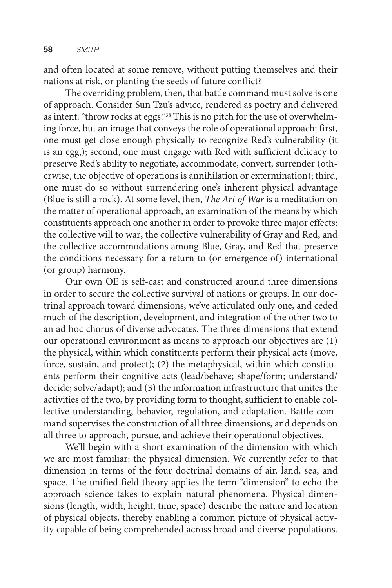and often located at some remove, without putting themselves and their nations at risk, or planting the seeds of future conflict?

The overriding problem, then, that battle command must solve is one of approach. Consider Sun Tzu's advice, rendered as poetry and delivered as intent: "throw rocks at eggs."38 This is no pitch for the use of overwhelming force, but an image that conveys the role of operational approach: first, one must get close enough physically to recognize Red's vulnerability (it is an egg,); second, one must engage with Red with sufficient delicacy to preserve Red's ability to negotiate, accommodate, convert, surrender (otherwise, the objective of operations is annihilation or extermination); third, one must do so without surrendering one's inherent physical advantage (Blue is still a rock). At some level, then, *The Art of War* is a meditation on the matter of operational approach, an examination of the means by which constituents approach one another in order to provoke three major effects: the collective will to war; the collective vulnerability of Gray and Red; and the collective accommodations among Blue, Gray, and Red that preserve the conditions necessary for a return to (or emergence of) international (or group) harmony.

Our own OE is self-cast and constructed around three dimensions in order to secure the collective survival of nations or groups. In our doctrinal approach toward dimensions, we've articulated only one, and ceded much of the description, development, and integration of the other two to an ad hoc chorus of diverse advocates. The three dimensions that extend our operational environment as means to approach our objectives are (1) the physical, within which constituents perform their physical acts (move, force, sustain, and protect); (2) the metaphysical, within which constituents perform their cognitive acts (lead/behave; shape/form; understand/ decide; solve/adapt); and (3) the information infrastructure that unites the activities of the two, by providing form to thought, sufficient to enable collective understanding, behavior, regulation, and adaptation. Battle command supervises the construction of all three dimensions, and depends on all three to approach, pursue, and achieve their operational objectives.

We'll begin with a short examination of the dimension with which we are most familiar: the physical dimension. We currently refer to that dimension in terms of the four doctrinal domains of air, land, sea, and space. The unified field theory applies the term "dimension" to echo the approach science takes to explain natural phenomena. Physical dimensions (length, width, height, time, space) describe the nature and location of physical objects, thereby enabling a common picture of physical activity capable of being comprehended across broad and diverse populations.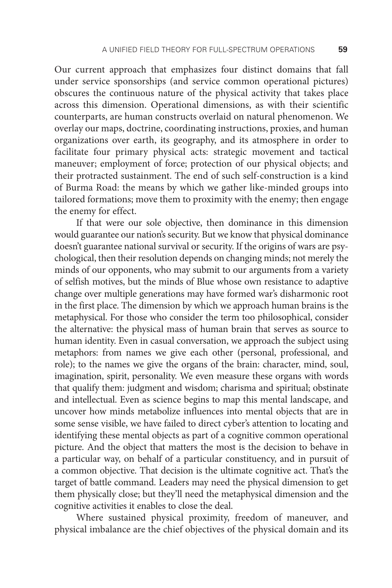Our current approach that emphasizes four distinct domains that fall under service sponsorships (and service common operational pictures) obscures the continuous nature of the physical activity that takes place across this dimension. Operational dimensions, as with their scientific counterparts, are human constructs overlaid on natural phenomenon. We overlay our maps, doctrine, coordinating instructions, proxies, and human organizations over earth, its geography, and its atmosphere in order to facilitate four primary physical acts: strategic movement and tactical maneuver; employment of force; protection of our physical objects; and their protracted sustainment. The end of such self-construction is a kind of Burma Road: the means by which we gather like-minded groups into tailored formations; move them to proximity with the enemy; then engage the enemy for effect.

If that were our sole objective, then dominance in this dimension would guarantee our nation's security. But we know that physical dominance doesn't guarantee national survival or security. If the origins of wars are psychological, then their resolution depends on changing minds; not merely the minds of our opponents, who may submit to our arguments from a variety of selfish motives, but the minds of Blue whose own resistance to adaptive change over multiple generations may have formed war's disharmonic root in the first place. The dimension by which we approach human brains is the metaphysical. For those who consider the term too philosophical, consider the alternative: the physical mass of human brain that serves as source to human identity. Even in casual conversation, we approach the subject using metaphors: from names we give each other (personal, professional, and role); to the names we give the organs of the brain: character, mind, soul, imagination, spirit, personality. We even measure these organs with words that qualify them: judgment and wisdom; charisma and spiritual; obstinate and intellectual. Even as science begins to map this mental landscape, and uncover how minds metabolize influences into mental objects that are in some sense visible, we have failed to direct cyber's attention to locating and identifying these mental objects as part of a cognitive common operational picture. And the object that matters the most is the decision to behave in a particular way, on behalf of a particular constituency, and in pursuit of a common objective. That decision is the ultimate cognitive act. That's the target of battle command. Leaders may need the physical dimension to get them physically close; but they'll need the metaphysical dimension and the cognitive activities it enables to close the deal.

Where sustained physical proximity, freedom of maneuver, and physical imbalance are the chief objectives of the physical domain and its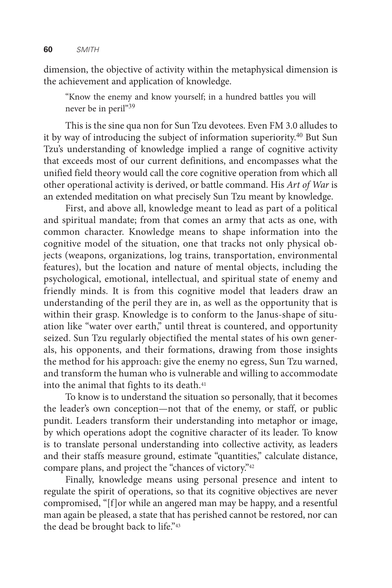dimension, the objective of activity within the metaphysical dimension is the achievement and application of knowledge.

"Know the enemy and know yourself; in a hundred battles you will never be in peril"<sup>39</sup>

This is the sine qua non for Sun Tzu devotees. Even FM 3.0 alludes to it by way of introducing the subject of information superiority.<sup>40</sup> But Sun Tzu's understanding of knowledge implied a range of cognitive activity that exceeds most of our current definitions, and encompasses what the unified field theory would call the core cognitive operation from which all other operational activity is derived, or battle command. His *Art of War* is an extended meditation on what precisely Sun Tzu meant by knowledge.

First, and above all, knowledge meant to lead as part of a political and spiritual mandate; from that comes an army that acts as one, with common character. Knowledge means to shape information into the cognitive model of the situation, one that tracks not only physical objects (weapons, organizations, log trains, transportation, environmental features), but the location and nature of mental objects, including the psychological, emotional, intellectual, and spiritual state of enemy and friendly minds. It is from this cognitive model that leaders draw an understanding of the peril they are in, as well as the opportunity that is within their grasp. Knowledge is to conform to the Janus-shape of situation like "water over earth," until threat is countered, and opportunity seized. Sun Tzu regularly objectified the mental states of his own generals, his opponents, and their formations, drawing from those insights the method for his approach: give the enemy no egress, Sun Tzu warned, and transform the human who is vulnerable and willing to accommodate into the animal that fights to its death.<sup>41</sup>

To know is to understand the situation so personally, that it becomes the leader's own conception—not that of the enemy, or staff, or public pundit. Leaders transform their understanding into metaphor or image, by which operations adopt the cognitive character of its leader. To know is to translate personal understanding into collective activity, as leaders and their staffs measure ground, estimate "quantities," calculate distance, compare plans, and project the "chances of victory."42

Finally, knowledge means using personal presence and intent to regulate the spirit of operations, so that its cognitive objectives are never compromised, "[f]or while an angered man may be happy, and a resentful man again be pleased, a state that has perished cannot be restored, nor can the dead be brought back to life."43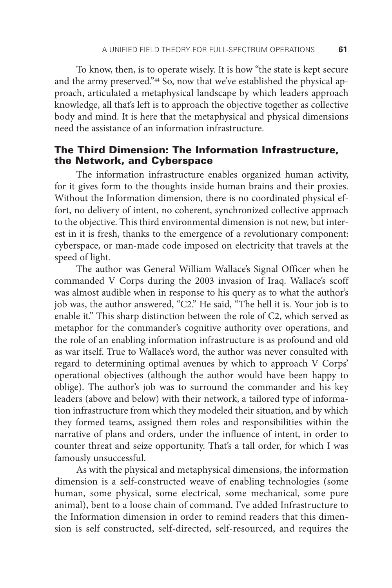To know, then, is to operate wisely. It is how "the state is kept secure and the army preserved."44 So, now that we've established the physical approach, articulated a metaphysical landscape by which leaders approach knowledge, all that's left is to approach the objective together as collective body and mind. It is here that the metaphysical and physical dimensions need the assistance of an information infrastructure.

## The Third Dimension: The Information Infrastructure, the Network, and Cyberspace

The information infrastructure enables organized human activity, for it gives form to the thoughts inside human brains and their proxies. Without the Information dimension, there is no coordinated physical effort, no delivery of intent, no coherent, synchronized collective approach to the objective. This third environmental dimension is not new, but interest in it is fresh, thanks to the emergence of a revolutionary component: cyberspace, or man-made code imposed on electricity that travels at the speed of light.

The author was General William Wallace's Signal Officer when he commanded V Corps during the 2003 invasion of Iraq. Wallace's scoff was almost audible when in response to his query as to what the author's job was, the author answered, "C2." He said, "The hell it is. Your job is to enable it." This sharp distinction between the role of C2, which served as metaphor for the commander's cognitive authority over operations, and the role of an enabling information infrastructure is as profound and old as war itself. True to Wallace's word, the author was never consulted with regard to determining optimal avenues by which to approach V Corps' operational objectives (although the author would have been happy to oblige). The author's job was to surround the commander and his key leaders (above and below) with their network, a tailored type of information infrastructure from which they modeled their situation, and by which they formed teams, assigned them roles and responsibilities within the narrative of plans and orders, under the influence of intent, in order to counter threat and seize opportunity. That's a tall order, for which I was famously unsuccessful.

As with the physical and metaphysical dimensions, the information dimension is a self-constructed weave of enabling technologies (some human, some physical, some electrical, some mechanical, some pure animal), bent to a loose chain of command. I've added Infrastructure to the Information dimension in order to remind readers that this dimension is self constructed, self-directed, self-resourced, and requires the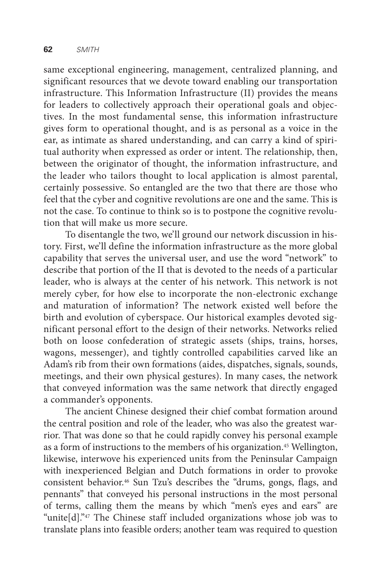same exceptional engineering, management, centralized planning, and significant resources that we devote toward enabling our transportation infrastructure. This Information Infrastructure (II) provides the means for leaders to collectively approach their operational goals and objectives. In the most fundamental sense, this information infrastructure gives form to operational thought, and is as personal as a voice in the ear, as intimate as shared understanding, and can carry a kind of spiritual authority when expressed as order or intent. The relationship, then, between the originator of thought, the information infrastructure, and the leader who tailors thought to local application is almost parental, certainly possessive. So entangled are the two that there are those who feel that the cyber and cognitive revolutions are one and the same. This is not the case. To continue to think so is to postpone the cognitive revolution that will make us more secure.

To disentangle the two, we'll ground our network discussion in history. First, we'll define the information infrastructure as the more global capability that serves the universal user, and use the word "network" to describe that portion of the II that is devoted to the needs of a particular leader, who is always at the center of his network. This network is not merely cyber, for how else to incorporate the non-electronic exchange and maturation of information? The network existed well before the birth and evolution of cyberspace. Our historical examples devoted significant personal effort to the design of their networks. Networks relied both on loose confederation of strategic assets (ships, trains, horses, wagons, messenger), and tightly controlled capabilities carved like an Adam's rib from their own formations (aides, dispatches, signals, sounds, meetings, and their own physical gestures). In many cases, the network that conveyed information was the same network that directly engaged a commander's opponents.

The ancient Chinese designed their chief combat formation around the central position and role of the leader, who was also the greatest warrior. That was done so that he could rapidly convey his personal example as a form of instructions to the members of his organization.45 Wellington, likewise, interwove his experienced units from the Peninsular Campaign with inexperienced Belgian and Dutch formations in order to provoke consistent behavior.46 Sun Tzu's describes the "drums, gongs, flags, and pennants" that conveyed his personal instructions in the most personal of terms, calling them the means by which "men's eyes and ears" are "unite[d]."47 The Chinese staff included organizations whose job was to translate plans into feasible orders; another team was required to question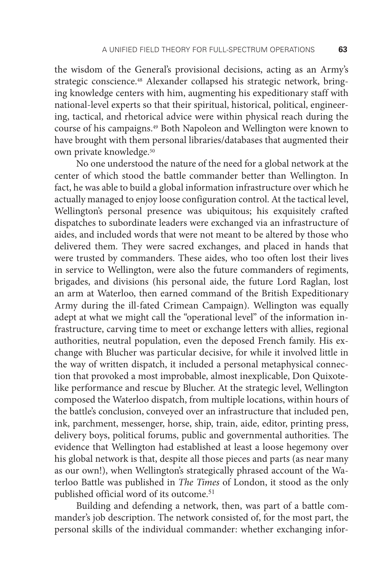the wisdom of the General's provisional decisions, acting as an Army's strategic conscience.<sup>48</sup> Alexander collapsed his strategic network, bringing knowledge centers with him, augmenting his expeditionary staff with national-level experts so that their spiritual, historical, political, engineering, tactical, and rhetorical advice were within physical reach during the course of his campaigns.49 Both Napoleon and Wellington were known to have brought with them personal libraries/databases that augmented their own private knowledge.50

No one understood the nature of the need for a global network at the center of which stood the battle commander better than Wellington. In fact, he was able to build a global information infrastructure over which he actually managed to enjoy loose configuration control. At the tactical level, Wellington's personal presence was ubiquitous; his exquisitely crafted dispatches to subordinate leaders were exchanged via an infrastructure of aides, and included words that were not meant to be altered by those who delivered them. They were sacred exchanges, and placed in hands that were trusted by commanders. These aides, who too often lost their lives in service to Wellington, were also the future commanders of regiments, brigades, and divisions (his personal aide, the future Lord Raglan, lost an arm at Waterloo, then earned command of the British Expeditionary Army during the ill-fated Crimean Campaign). Wellington was equally adept at what we might call the "operational level" of the information infrastructure, carving time to meet or exchange letters with allies, regional authorities, neutral population, even the deposed French family. His exchange with Blucher was particular decisive, for while it involved little in the way of written dispatch, it included a personal metaphysical connection that provoked a most improbable, almost inexplicable, Don Quixotelike performance and rescue by Blucher. At the strategic level, Wellington composed the Waterloo dispatch, from multiple locations, within hours of the battle's conclusion, conveyed over an infrastructure that included pen, ink, parchment, messenger, horse, ship, train, aide, editor, printing press, delivery boys, political forums, public and governmental authorities. The evidence that Wellington had established at least a loose hegemony over his global network is that, despite all those pieces and parts (as near many as our own!), when Wellington's strategically phrased account of the Waterloo Battle was published in *The Times* of London, it stood as the only published official word of its outcome.<sup>51</sup>

Building and defending a network, then, was part of a battle commander's job description. The network consisted of, for the most part, the personal skills of the individual commander: whether exchanging infor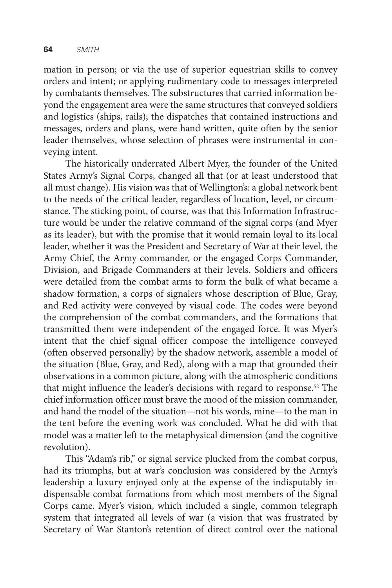mation in person; or via the use of superior equestrian skills to convey orders and intent; or applying rudimentary code to messages interpreted by combatants themselves. The substructures that carried information beyond the engagement area were the same structures that conveyed soldiers and logistics (ships, rails); the dispatches that contained instructions and messages, orders and plans, were hand written, quite often by the senior leader themselves, whose selection of phrases were instrumental in conveying intent.

The historically underrated Albert Myer, the founder of the United States Army's Signal Corps, changed all that (or at least understood that all must change). His vision was that of Wellington's: a global network bent to the needs of the critical leader, regardless of location, level, or circumstance. The sticking point, of course, was that this Information Infrastructure would be under the relative command of the signal corps (and Myer as its leader), but with the promise that it would remain loyal to its local leader, whether it was the President and Secretary of War at their level, the Army Chief, the Army commander, or the engaged Corps Commander, Division, and Brigade Commanders at their levels. Soldiers and officers were detailed from the combat arms to form the bulk of what became a shadow formation, a corps of signalers whose description of Blue, Gray, and Red activity were conveyed by visual code. The codes were beyond the comprehension of the combat commanders, and the formations that transmitted them were independent of the engaged force. It was Myer's intent that the chief signal officer compose the intelligence conveyed (often observed personally) by the shadow network, assemble a model of the situation (Blue, Gray, and Red), along with a map that grounded their observations in a common picture, along with the atmospheric conditions that might influence the leader's decisions with regard to response.52 The chief information officer must brave the mood of the mission commander, and hand the model of the situation—not his words, mine—to the man in the tent before the evening work was concluded. What he did with that model was a matter left to the metaphysical dimension (and the cognitive revolution).

This "Adam's rib," or signal service plucked from the combat corpus, had its triumphs, but at war's conclusion was considered by the Army's leadership a luxury enjoyed only at the expense of the indisputably indispensable combat formations from which most members of the Signal Corps came. Myer's vision, which included a single, common telegraph system that integrated all levels of war (a vision that was frustrated by Secretary of War Stanton's retention of direct control over the national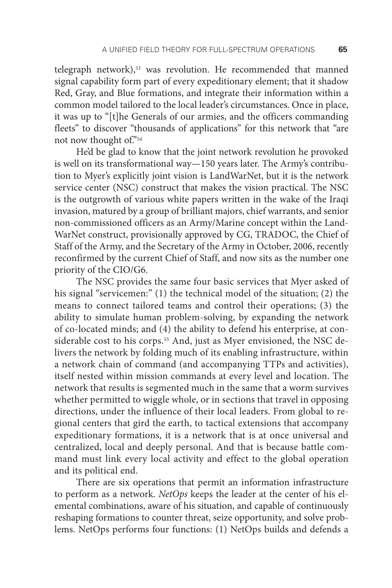telegraph network),<sup>53</sup> was revolution. He recommended that manned signal capability form part of every expeditionary element; that it shadow Red, Gray, and Blue formations, and integrate their information within a common model tailored to the local leader's circumstances. Once in place, it was up to "[t]he Generals of our armies, and the officers commanding fleets" to discover "thousands of applications" for this network that "are not now thought of."54

He'd be glad to know that the joint network revolution he provoked is well on its transformational way—150 years later. The Army's contribution to Myer's explicitly joint vision is LandWarNet, but it is the network service center (NSC) construct that makes the vision practical. The NSC is the outgrowth of various white papers written in the wake of the Iraqi invasion, matured by a group of brilliant majors, chief warrants, and senior non-commissioned officers as an Army/Marine concept within the Land-WarNet construct, provisionally approved by CG, TRADOC, the Chief of Staff of the Army, and the Secretary of the Army in October, 2006, recently reconfirmed by the current Chief of Staff, and now sits as the number one priority of the CIO/G6.

The NSC provides the same four basic services that Myer asked of his signal "servicemen:" (1) the technical model of the situation; (2) the means to connect tailored teams and control their operations; (3) the ability to simulate human problem-solving, by expanding the network of co-located minds; and (4) the ability to defend his enterprise, at considerable cost to his corps.<sup>55</sup> And, just as Myer envisioned, the NSC delivers the network by folding much of its enabling infrastructure, within a network chain of command (and accompanying TTPs and activities), itself nested within mission commands at every level and location. The network that results is segmented much in the same that a worm survives whether permitted to wiggle whole, or in sections that travel in opposing directions, under the influence of their local leaders. From global to regional centers that gird the earth, to tactical extensions that accompany expeditionary formations, it is a network that is at once universal and centralized, local and deeply personal. And that is because battle command must link every local activity and effect to the global operation and its political end.

There are six operations that permit an information infrastructure to perform as a network. *NetOps* keeps the leader at the center of his elemental combinations, aware of his situation, and capable of continuously reshaping formations to counter threat, seize opportunity, and solve problems. NetOps performs four functions: (1) NetOps builds and defends a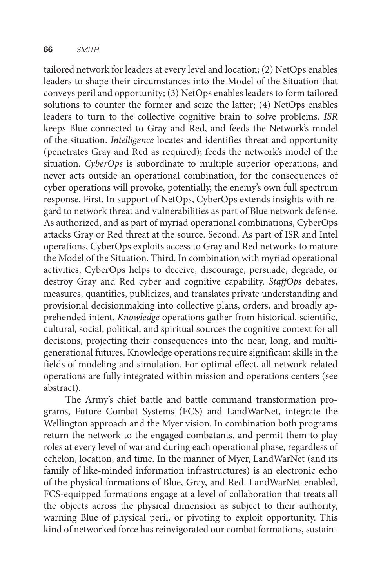tailored network for leaders at every level and location; (2) NetOps enables leaders to shape their circumstances into the Model of the Situation that conveys peril and opportunity; (3) NetOps enables leaders to form tailored solutions to counter the former and seize the latter; (4) NetOps enables leaders to turn to the collective cognitive brain to solve problems. *ISR* keeps Blue connected to Gray and Red, and feeds the Network's model of the situation. *Intelligence* locates and identifies threat and opportunity (penetrates Gray and Red as required); feeds the network's model of the situation. *CyberOps* is subordinate to multiple superior operations, and never acts outside an operational combination, for the consequences of cyber operations will provoke, potentially, the enemy's own full spectrum response. First. In support of NetOps, CyberOps extends insights with regard to network threat and vulnerabilities as part of Blue network defense. As authorized, and as part of myriad operational combinations, CyberOps attacks Gray or Red threat at the source. Second. As part of ISR and Intel operations, CyberOps exploits access to Gray and Red networks to mature the Model of the Situation. Third. In combination with myriad operational activities, CyberOps helps to deceive, discourage, persuade, degrade, or destroy Gray and Red cyber and cognitive capability. *StaffOps* debates, measures, quantifies, publicizes, and translates private understanding and provisional decisionmaking into collective plans, orders, and broadly apprehended intent. *Knowledge* operations gather from historical, scientific, cultural, social, political, and spiritual sources the cognitive context for all decisions, projecting their consequences into the near, long, and multigenerational futures. Knowledge operations require significant skills in the fields of modeling and simulation. For optimal effect, all network-related operations are fully integrated within mission and operations centers (see abstract).

The Army's chief battle and battle command transformation programs, Future Combat Systems (FCS) and LandWarNet, integrate the Wellington approach and the Myer vision. In combination both programs return the network to the engaged combatants, and permit them to play roles at every level of war and during each operational phase, regardless of echelon, location, and time. In the manner of Myer, LandWarNet (and its family of like-minded information infrastructures) is an electronic echo of the physical formations of Blue, Gray, and Red. LandWarNet-enabled, FCS-equipped formations engage at a level of collaboration that treats all the objects across the physical dimension as subject to their authority, warning Blue of physical peril, or pivoting to exploit opportunity. This kind of networked force has reinvigorated our combat formations, sustain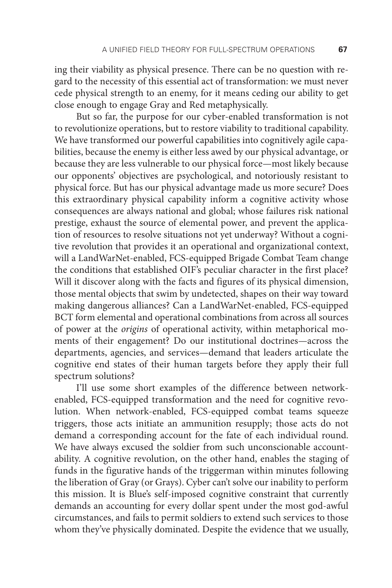ing their viability as physical presence. There can be no question with regard to the necessity of this essential act of transformation: we must never cede physical strength to an enemy, for it means ceding our ability to get close enough to engage Gray and Red metaphysically.

But so far, the purpose for our cyber-enabled transformation is not to revolutionize operations, but to restore viability to traditional capability. We have transformed our powerful capabilities into cognitively agile capabilities, because the enemy is either less awed by our physical advantage, or because they are less vulnerable to our physical force—most likely because our opponents' objectives are psychological, and notoriously resistant to physical force. But has our physical advantage made us more secure? Does this extraordinary physical capability inform a cognitive activity whose consequences are always national and global; whose failures risk national prestige, exhaust the source of elemental power, and prevent the application of resources to resolve situations not yet underway? Without a cognitive revolution that provides it an operational and organizational context, will a LandWarNet-enabled, FCS-equipped Brigade Combat Team change the conditions that established OIF's peculiar character in the first place? Will it discover along with the facts and figures of its physical dimension, those mental objects that swim by undetected, shapes on their way toward making dangerous alliances? Can a LandWarNet-enabled, FCS-equipped BCT form elemental and operational combinations from across all sources of power at the *origins* of operational activity, within metaphorical moments of their engagement? Do our institutional doctrines—across the departments, agencies, and services—demand that leaders articulate the cognitive end states of their human targets before they apply their full spectrum solutions?

I'll use some short examples of the difference between networkenabled, FCS-equipped transformation and the need for cognitive revolution. When network-enabled, FCS-equipped combat teams squeeze triggers, those acts initiate an ammunition resupply; those acts do not demand a corresponding account for the fate of each individual round. We have always excused the soldier from such unconscionable accountability. A cognitive revolution, on the other hand, enables the staging of funds in the figurative hands of the triggerman within minutes following the liberation of Gray (or Grays). Cyber can't solve our inability to perform this mission. It is Blue's self-imposed cognitive constraint that currently demands an accounting for every dollar spent under the most god-awful circumstances, and fails to permit soldiers to extend such services to those whom they've physically dominated. Despite the evidence that we usually,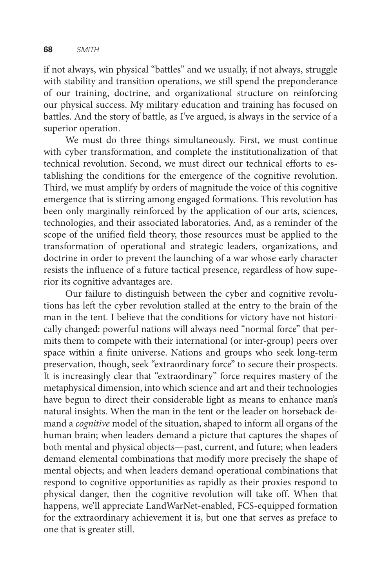if not always, win physical "battles" and we usually, if not always, struggle with stability and transition operations, we still spend the preponderance of our training, doctrine, and organizational structure on reinforcing our physical success. My military education and training has focused on battles. And the story of battle, as I've argued, is always in the service of a superior operation.

We must do three things simultaneously. First, we must continue with cyber transformation, and complete the institutionalization of that technical revolution. Second, we must direct our technical efforts to establishing the conditions for the emergence of the cognitive revolution. Third, we must amplify by orders of magnitude the voice of this cognitive emergence that is stirring among engaged formations. This revolution has been only marginally reinforced by the application of our arts, sciences, technologies, and their associated laboratories. And, as a reminder of the scope of the unified field theory, those resources must be applied to the transformation of operational and strategic leaders, organizations, and doctrine in order to prevent the launching of a war whose early character resists the influence of a future tactical presence, regardless of how superior its cognitive advantages are.

Our failure to distinguish between the cyber and cognitive revolutions has left the cyber revolution stalled at the entry to the brain of the man in the tent. I believe that the conditions for victory have not historically changed: powerful nations will always need "normal force" that permits them to compete with their international (or inter-group) peers over space within a finite universe. Nations and groups who seek long-term preservation, though, seek "extraordinary force" to secure their prospects. It is increasingly clear that "extraordinary" force requires mastery of the metaphysical dimension, into which science and art and their technologies have begun to direct their considerable light as means to enhance man's natural insights. When the man in the tent or the leader on horseback demand a *cognitive* model of the situation, shaped to inform all organs of the human brain; when leaders demand a picture that captures the shapes of both mental and physical objects—past, current, and future; when leaders demand elemental combinations that modify more precisely the shape of mental objects; and when leaders demand operational combinations that respond to cognitive opportunities as rapidly as their proxies respond to physical danger, then the cognitive revolution will take off. When that happens, we'll appreciate LandWarNet-enabled, FCS-equipped formation for the extraordinary achievement it is, but one that serves as preface to one that is greater still.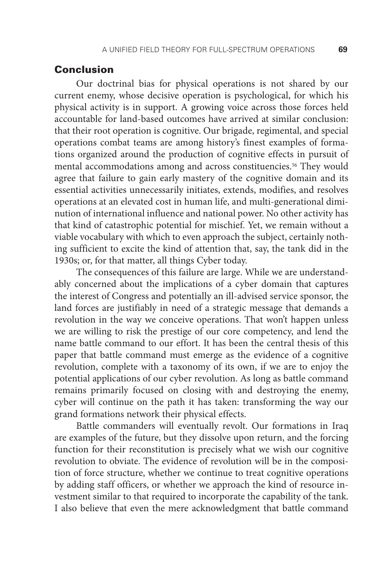## Conclusion

Our doctrinal bias for physical operations is not shared by our current enemy, whose decisive operation is psychological, for which his physical activity is in support. A growing voice across those forces held accountable for land-based outcomes have arrived at similar conclusion: that their root operation is cognitive. Our brigade, regimental, and special operations combat teams are among history's finest examples of formations organized around the production of cognitive effects in pursuit of mental accommodations among and across constituencies.<sup>56</sup> They would agree that failure to gain early mastery of the cognitive domain and its essential activities unnecessarily initiates, extends, modifies, and resolves operations at an elevated cost in human life, and multi-generational diminution of international influence and national power. No other activity has that kind of catastrophic potential for mischief. Yet, we remain without a viable vocabulary with which to even approach the subject, certainly nothing sufficient to excite the kind of attention that, say, the tank did in the 1930s; or, for that matter, all things Cyber today.

The consequences of this failure are large. While we are understandably concerned about the implications of a cyber domain that captures the interest of Congress and potentially an ill-advised service sponsor, the land forces are justifiably in need of a strategic message that demands a revolution in the way we conceive operations. That won't happen unless we are willing to risk the prestige of our core competency, and lend the name battle command to our effort. It has been the central thesis of this paper that battle command must emerge as the evidence of a cognitive revolution, complete with a taxonomy of its own, if we are to enjoy the potential applications of our cyber revolution. As long as battle command remains primarily focused on closing with and destroying the enemy, cyber will continue on the path it has taken: transforming the way our grand formations network their physical effects.

Battle commanders will eventually revolt. Our formations in Iraq are examples of the future, but they dissolve upon return, and the forcing function for their reconstitution is precisely what we wish our cognitive revolution to obviate. The evidence of revolution will be in the composition of force structure, whether we continue to treat cognitive operations by adding staff officers, or whether we approach the kind of resource investment similar to that required to incorporate the capability of the tank. I also believe that even the mere acknowledgment that battle command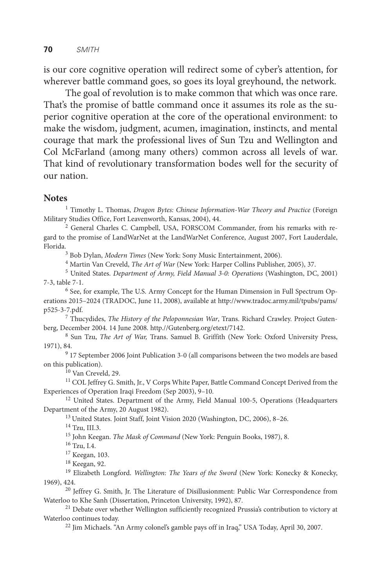is our core cognitive operation will redirect some of cyber's attention, for wherever battle command goes, so goes its loyal greyhound, the network.

The goal of revolution is to make common that which was once rare. That's the promise of battle command once it assumes its role as the superior cognitive operation at the core of the operational environment: to make the wisdom, judgment, acumen, imagination, instincts, and mental courage that mark the professional lives of Sun Tzu and Wellington and Col McFarland (among many others) common across all levels of war. That kind of revolutionary transformation bodes well for the security of our nation.

## **Notes**

<sup>1</sup> Timothy L. Thomas, *Dragon Bytes: Chinese Information-War Theory and Practice* (Foreign Military Studies Office, Fort Leavenworth, Kansas, 2004), 44.

2 General Charles C. Campbell, USA, FORSCOM Commander, from his remarks with regard to the promise of LandWarNet at the LandWarNet Conference, August 2007, Fort Lauderdale, Florida.3

Bob Dylan, *Modern Times* (New York: Sony Music Entertainment, 2006).

4 Martin Van Creveld, *The Art of War* (New York: Harper Collins Publisher, 2005), 37.

5 United States. *Department of Army, Field Manual 3-0: Operations* (Washington, DC, 2001) 7-3, table 7-1. 6

<sup>6</sup> See, for example, The U.S. Army Concept for the Human Dimension in Full Spectrum Operations 2015–2024 (TRADOC, June 11, 2008), available at http://www.tradoc.army.mil/tpubs/pams/ p525-3-7.pdf.

7 Thucydides, *The History of the Peloponnesian War*, Trans. Richard Crawley. Project Gutenberg, December 2004. 14 June 2008. http.//Gutenberg.org/etext/7142.

8 Sun Tzu, *The Art of War,* Trans. Samuel B. Griffith (New York: Oxford University Press, 1971), 84. 9

 17 September 2006 Joint Publication 3-0 (all comparisons between the two models are based on this publication).

10 Van Creveld, 29.

<sup>11</sup> COL Jeffrey G. Smith, Jr., V Corps White Paper, Battle Command Concept Derived from the Experiences of Operation Iraqi Freedom (Sep 2003), 9–10.<br><sup>12</sup> United States. Department of the Army, Field Manual 100-5, Operations (Headquarters

Department of the Army, 20 August 1982).

13 United States. Joint Staff, Joint Vision 2020 (Washington, DC, 2006), 8–26.

14 Tzu, III.3.

<sup>15</sup> John Keegan. *The Mask of Command* (New York: Penguin Books, 1987), 8.

16 Tzu, I.4.

17 Keegan, 103.

18 Keegan, 92.

<sup>19</sup> Elizabeth Longford. *Wellington: The Years of the Sword* (New York: Konecky & Konecky, 1969), 424.

<sup>20</sup> Jeffrey G. Smith, Jr. The Literature of Disillusionment: Public War Correspondence from Waterloo to Khe Sanh (Dissertation, Princeton University, 1992), 87.

<sup>21</sup> Debate over whether Wellington sufficiently recognized Prussia's contribution to victory at Waterloo continues today.

22 Jim Michaels. "An Army colonel's gamble pays off in Iraq," USA Today, April 30, 2007.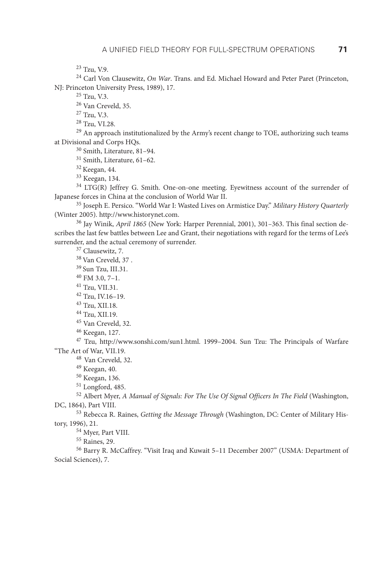23 Tzu, V.9.

24 Carl Von Clausewitz, *On War*. Trans. and Ed. Michael Howard and Peter Paret (Princeton, NJ: Princeton University Press, 1989), 17.

25 Tzu, V.3.

26 Van Creveld, 35.

27 Tzu, V.3.

28 Tzu, VI.28.

<sup>29</sup> An approach institutionalized by the Army's recent change to TOE, authorizing such teams at Divisional and Corps HQs.

30 Smith, Literature, 81–94.

31 Smith, Literature, 61–62.

<sup>32</sup> Keegan, 44.<br><sup>33</sup> Keegan, 134.

 $34$  LTG(R) Jeffrey G. Smith. One-on-one meeting. Eyewitness account of the surrender of Japanese forces in China at the conclusion of World War II.

35 Joseph E. Persico. "World War I: Wasted Lives on Armistice Day." *Military History Quarterly* (Winter 2005). http://www.historynet.com.

36 Jay Winik, *April 1865* (New York: Harper Perennial, 2001), 301–363. This final section describes the last few battles between Lee and Grant, their negotiations with regard for the terms of Lee's surrender, and the actual ceremony of surrender.  $37$  Clausewitz, 7.

38 Van Creveld, 37 .

39 Sun Tzu, III.31.

 $40$  FM 3.0, 7-1.

41 Tzu, VII.31.

42 Tzu, IV.16–19.

43 Tzu, XII.18.

44 Tzu, XII.19.

45 Van Creveld, 32.

46 Keegan, 127.

47 Tzu, http://www.sonshi.com/sun1.html. 1999–2004. Sun Tzu: The Principals of Warfare "The Art of War, VII.19. 48 Van Creveld, 32.

49 Keegan, 40.

50 Keegan, 136.

51 Longford, 485.

52 Albert Myer, *A Manual of Signals: For The Use Of Signal Officers In The Field* (Washington, DC, 1864), Part VIII.

53 Rebecca R. Raines, *Getting the Message Through* (Washington, DC: Center of Military History, 1996), 21.<br><sup>54</sup> Myer, Part VIII.

55 Raines, 29.

56 Barry R. McCaffrey. "Visit Iraq and Kuwait 5–11 December 2007" (USMA: Department of Social Sciences), 7.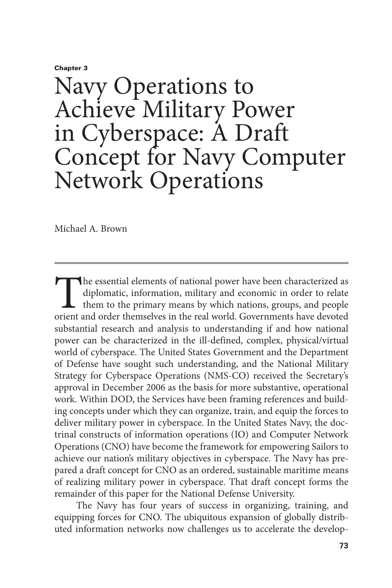Chapter 3

# Navy Operations to Achieve Military Power in Cyberspace: A Draft Concept for Navy Computer Network Operations

Michael A. Brown

The essential elements of national power have been characterized as diplomatic, information, military and economic in order to relate them to the primary means by which nations, groups, and people orient and order themselv diplomatic, information, military and economic in order to relate them to the primary means by which nations, groups, and people orient and order themselves in the real world. Governments have devoted substantial research and analysis to understanding if and how national power can be characterized in the ill-defined, complex, physical/virtual world of cyberspace. The United States Government and the Department of Defense have sought such understanding, and the National Military Strategy for Cyberspace Operations (NMS-CO) received the Secretary's approval in December 2006 as the basis for more substantive, operational work. Within DOD, the Services have been framing references and building concepts under which they can organize, train, and equip the forces to deliver military power in cyberspace. In the United States Navy, the doctrinal constructs of information operations (IO) and Computer Network Operations (CNO) have become the framework for empowering Sailors to achieve our nation's military objectives in cyberspace. The Navy has prepared a draft concept for CNO as an ordered, sustainable maritime means of realizing military power in cyberspace. That draft concept forms the remainder of this paper for the National Defense University.

The Navy has four years of success in organizing, training, and equipping forces for CNO. The ubiquitous expansion of globally distributed information networks now challenges us to accelerate the develop-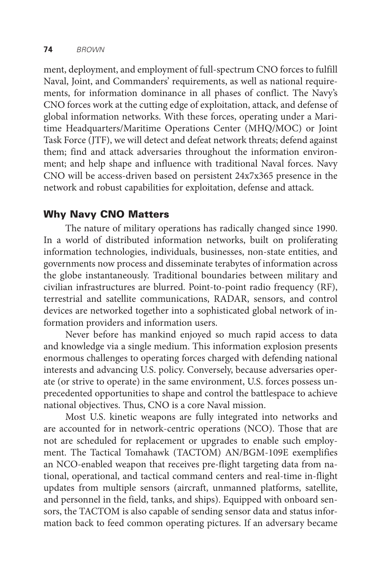ment, deployment, and employment of full-spectrum CNO forces to fulfill Naval, Joint, and Commanders' requirements, as well as national requirements, for information dominance in all phases of conflict. The Navy's CNO forces work at the cutting edge of exploitation, attack, and defense of global information networks. With these forces, operating under a Maritime Headquarters/Maritime Operations Center (MHQ/MOC) or Joint Task Force (JTF), we will detect and defeat network threats; defend against them; find and attack adversaries throughout the information environment; and help shape and influence with traditional Naval forces. Navy CNO will be access-driven based on persistent 24x7x365 presence in the network and robust capabilities for exploitation, defense and attack.

## Why Navy CNO Matters

The nature of military operations has radically changed since 1990. In a world of distributed information networks, built on proliferating information technologies, individuals, businesses, non-state entities, and governments now process and disseminate terabytes of information across the globe instantaneously. Traditional boundaries between military and civilian infrastructures are blurred. Point-to-point radio frequency (RF), terrestrial and satellite communications, RADAR, sensors, and control devices are networked together into a sophisticated global network of information providers and information users.

Never before has mankind enjoyed so much rapid access to data and knowledge via a single medium. This information explosion presents enormous challenges to operating forces charged with defending national interests and advancing U.S. policy. Conversely, because adversaries operate (or strive to operate) in the same environment, U.S. forces possess unprecedented opportunities to shape and control the battlespace to achieve national objectives. Thus, CNO is a core Naval mission.

Most U.S. kinetic weapons are fully integrated into networks and are accounted for in network-centric operations (NCO). Those that are not are scheduled for replacement or upgrades to enable such employment. The Tactical Tomahawk (TACTOM) AN/BGM-109E exemplifies an NCO-enabled weapon that receives pre-flight targeting data from national, operational, and tactical command centers and real-time in-flight updates from multiple sensors (aircraft, unmanned platforms, satellite, and personnel in the field, tanks, and ships). Equipped with onboard sensors, the TACTOM is also capable of sending sensor data and status information back to feed common operating pictures. If an adversary became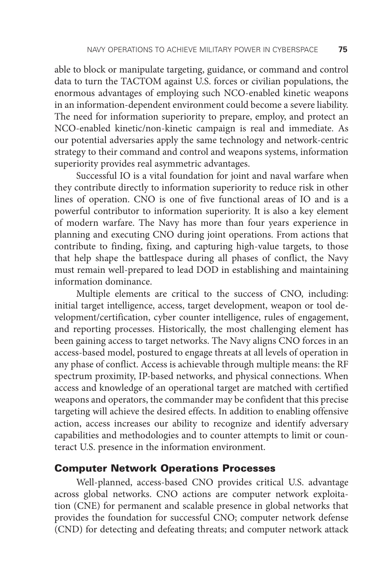able to block or manipulate targeting, guidance, or command and control data to turn the TACTOM against U.S. forces or civilian populations, the enormous advantages of employing such NCO-enabled kinetic weapons in an information-dependent environment could become a severe liability. The need for information superiority to prepare, employ, and protect an NCO-enabled kinetic/non-kinetic campaign is real and immediate. As our potential adversaries apply the same technology and network-centric strategy to their command and control and weapons systems, information superiority provides real asymmetric advantages.

Successful IO is a vital foundation for joint and naval warfare when they contribute directly to information superiority to reduce risk in other lines of operation. CNO is one of five functional areas of IO and is a powerful contributor to information superiority. It is also a key element of modern warfare. The Navy has more than four years experience in planning and executing CNO during joint operations. From actions that contribute to finding, fixing, and capturing high-value targets, to those that help shape the battlespace during all phases of conflict, the Navy must remain well-prepared to lead DOD in establishing and maintaining information dominance.

Multiple elements are critical to the success of CNO, including: initial target intelligence, access, target development, weapon or tool development/certification, cyber counter intelligence, rules of engagement, and reporting processes. Historically, the most challenging element has been gaining access to target networks. The Navy aligns CNO forces in an access-based model, postured to engage threats at all levels of operation in any phase of conflict. Access is achievable through multiple means: the RF spectrum proximity, IP-based networks, and physical connections. When access and knowledge of an operational target are matched with certified weapons and operators, the commander may be confident that this precise targeting will achieve the desired effects. In addition to enabling offensive action, access increases our ability to recognize and identify adversary capabilities and methodologies and to counter attempts to limit or counteract U.S. presence in the information environment.

#### Computer Network Operations Processes

Well-planned, access-based CNO provides critical U.S. advantage across global networks. CNO actions are computer network exploitation (CNE) for permanent and scalable presence in global networks that provides the foundation for successful CNO; computer network defense (CND) for detecting and defeating threats; and computer network attack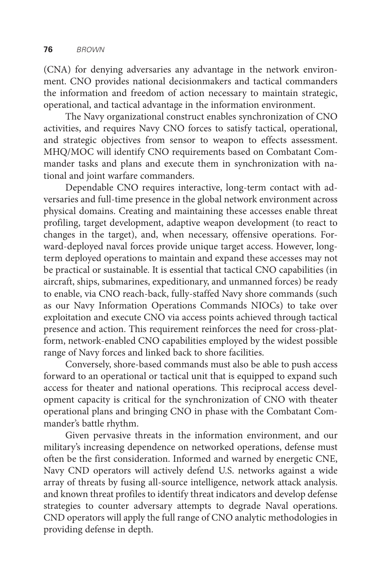(CNA) for denying adversaries any advantage in the network environment. CNO provides national decisionmakers and tactical commanders the information and freedom of action necessary to maintain strategic, operational, and tactical advantage in the information environment.

The Navy organizational construct enables synchronization of CNO activities, and requires Navy CNO forces to satisfy tactical, operational, and strategic objectives from sensor to weapon to effects assessment. MHQ/MOC will identify CNO requirements based on Combatant Commander tasks and plans and execute them in synchronization with national and joint warfare commanders.

Dependable CNO requires interactive, long-term contact with adversaries and full-time presence in the global network environment across physical domains. Creating and maintaining these accesses enable threat profiling, target development, adaptive weapon development (to react to changes in the target), and, when necessary, offensive operations. Forward-deployed naval forces provide unique target access. However, longterm deployed operations to maintain and expand these accesses may not be practical or sustainable. It is essential that tactical CNO capabilities (in aircraft, ships, submarines, expeditionary, and unmanned forces) be ready to enable, via CNO reach-back, fully-staffed Navy shore commands (such as our Navy Information Operations Commands NIOCs) to take over exploitation and execute CNO via access points achieved through tactical presence and action. This requirement reinforces the need for cross-platform, network-enabled CNO capabilities employed by the widest possible range of Navy forces and linked back to shore facilities.

Conversely, shore-based commands must also be able to push access forward to an operational or tactical unit that is equipped to expand such access for theater and national operations. This reciprocal access development capacity is critical for the synchronization of CNO with theater operational plans and bringing CNO in phase with the Combatant Commander's battle rhythm.

Given pervasive threats in the information environment, and our military's increasing dependence on networked operations, defense must often be the first consideration. Informed and warned by energetic CNE, Navy CND operators will actively defend U.S. networks against a wide array of threats by fusing all-source intelligence, network attack analysis. and known threat profiles to identify threat indicators and develop defense strategies to counter adversary attempts to degrade Naval operations. CND operators will apply the full range of CNO analytic methodologies in providing defense in depth.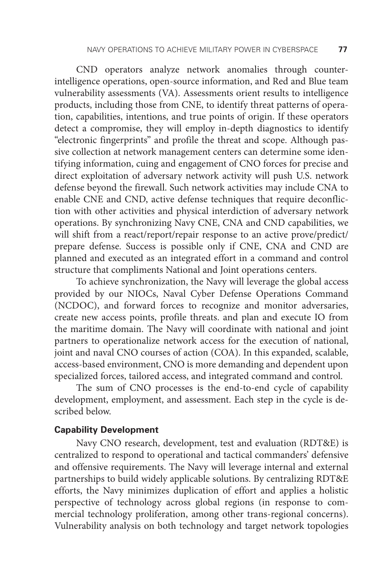CND operators analyze network anomalies through counterintelligence operations, open-source information, and Red and Blue team vulnerability assessments (VA). Assessments orient results to intelligence products, including those from CNE, to identify threat patterns of operation, capabilities, intentions, and true points of origin. If these operators detect a compromise, they will employ in-depth diagnostics to identify "electronic fingerprints" and profile the threat and scope. Although passive collection at network management centers can determine some identifying information, cuing and engagement of CNO forces for precise and direct exploitation of adversary network activity will push U.S. network defense beyond the firewall. Such network activities may include CNA to enable CNE and CND, active defense techniques that require deconfliction with other activities and physical interdiction of adversary network operations. By synchronizing Navy CNE, CNA and CND capabilities, we will shift from a react/report/repair response to an active prove/predict/ prepare defense. Success is possible only if CNE, CNA and CND are planned and executed as an integrated effort in a command and control structure that compliments National and Joint operations centers.

To achieve synchronization, the Navy will leverage the global access provided by our NIOCs, Naval Cyber Defense Operations Command (NCDOC), and forward forces to recognize and monitor adversaries, create new access points, profile threats. and plan and execute IO from the maritime domain. The Navy will coordinate with national and joint partners to operationalize network access for the execution of national, joint and naval CNO courses of action (COA). In this expanded, scalable, access-based environment, CNO is more demanding and dependent upon specialized forces, tailored access, and integrated command and control.

The sum of CNO processes is the end-to-end cycle of capability development, employment, and assessment. Each step in the cycle is described below.

#### **Capability Development**

Navy CNO research, development, test and evaluation (RDT&E) is centralized to respond to operational and tactical commanders' defensive and offensive requirements. The Navy will leverage internal and external partnerships to build widely applicable solutions. By centralizing RDT&E efforts, the Navy minimizes duplication of effort and applies a holistic perspective of technology across global regions (in response to commercial technology proliferation, among other trans-regional concerns). Vulnerability analysis on both technology and target network topologies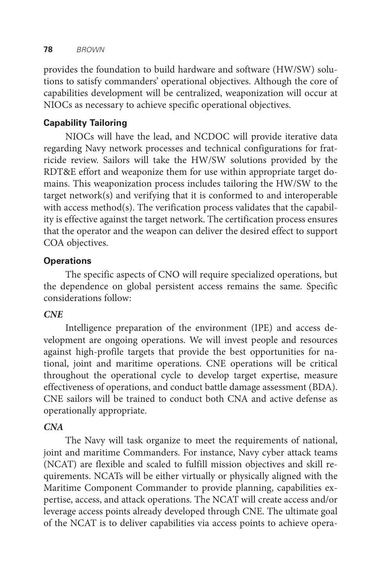provides the foundation to build hardware and software (HW/SW) solutions to satisfy commanders' operational objectives. Although the core of capabilities development will be centralized, weaponization will occur at NIOCs as necessary to achieve specific operational objectives.

## **Capability Tailoring**

NIOCs will have the lead, and NCDOC will provide iterative data regarding Navy network processes and technical configurations for fratricide review. Sailors will take the HW/SW solutions provided by the RDT&E effort and weaponize them for use within appropriate target domains. This weaponization process includes tailoring the HW/SW to the target network(s) and verifying that it is conformed to and interoperable with access method(s). The verification process validates that the capability is effective against the target network. The certification process ensures that the operator and the weapon can deliver the desired effect to support COA objectives.

## **Operations**

The specific aspects of CNO will require specialized operations, but the dependence on global persistent access remains the same. Specific considerations follow:

## *CNE*

Intelligence preparation of the environment (IPE) and access development are ongoing operations. We will invest people and resources against high-profile targets that provide the best opportunities for national, joint and maritime operations. CNE operations will be critical throughout the operational cycle to develop target expertise, measure effectiveness of operations, and conduct battle damage assessment (BDA). CNE sailors will be trained to conduct both CNA and active defense as operationally appropriate.

## *CNA*

The Navy will task organize to meet the requirements of national, joint and maritime Commanders. For instance, Navy cyber attack teams (NCAT) are flexible and scaled to fulfill mission objectives and skill requirements. NCATs will be either virtually or physically aligned with the Maritime Component Commander to provide planning, capabilities expertise, access, and attack operations. The NCAT will create access and/or leverage access points already developed through CNE. The ultimate goal of the NCAT is to deliver capabilities via access points to achieve opera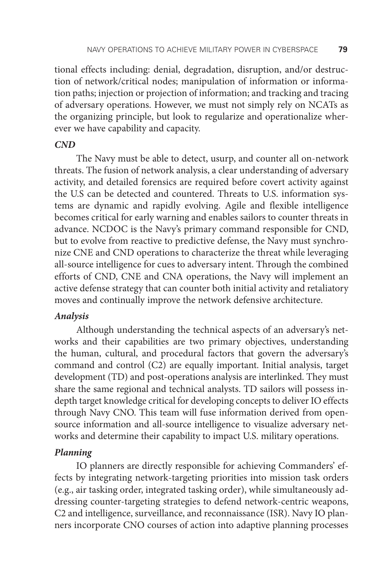tional effects including: denial, degradation, disruption, and/or destruction of network/critical nodes; manipulation of information or information paths; injection or projection of information; and tracking and tracing of adversary operations. However, we must not simply rely on NCATs as the organizing principle, but look to regularize and operationalize wherever we have capability and capacity.

## *CND*

The Navy must be able to detect, usurp, and counter all on-network threats. The fusion of network analysis, a clear understanding of adversary activity, and detailed forensics are required before covert activity against the U.S can be detected and countered. Threats to U.S. information systems are dynamic and rapidly evolving. Agile and flexible intelligence becomes critical for early warning and enables sailors to counter threats in advance. NCDOC is the Navy's primary command responsible for CND, but to evolve from reactive to predictive defense, the Navy must synchronize CNE and CND operations to characterize the threat while leveraging all-source intelligence for cues to adversary intent. Through the combined efforts of CND, CNE and CNA operations, the Navy will implement an active defense strategy that can counter both initial activity and retaliatory moves and continually improve the network defensive architecture.

#### *Analysis*

Although understanding the technical aspects of an adversary's networks and their capabilities are two primary objectives, understanding the human, cultural, and procedural factors that govern the adversary's command and control (C2) are equally important. Initial analysis, target development (TD) and post-operations analysis are interlinked. They must share the same regional and technical analysts. TD sailors will possess indepth target knowledge critical for developing concepts to deliver IO effects through Navy CNO. This team will fuse information derived from opensource information and all-source intelligence to visualize adversary networks and determine their capability to impact U.S. military operations.

#### *Planning*

IO planners are directly responsible for achieving Commanders' effects by integrating network-targeting priorities into mission task orders (e.g., air tasking order, integrated tasking order), while simultaneously addressing counter-targeting strategies to defend network-centric weapons, C2 and intelligence, surveillance, and reconnaissance (ISR). Navy IO planners incorporate CNO courses of action into adaptive planning processes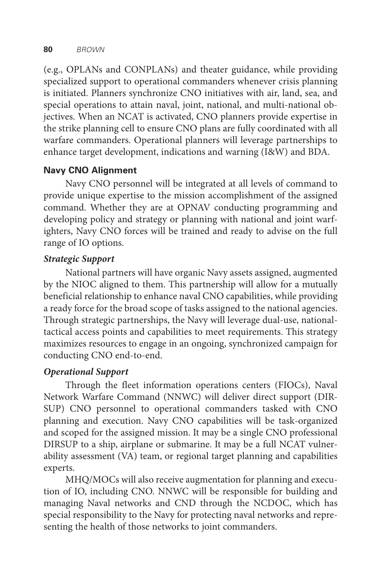(e.g., OPLANs and CONPLANs) and theater guidance, while providing specialized support to operational commanders whenever crisis planning is initiated. Planners synchronize CNO initiatives with air, land, sea, and special operations to attain naval, joint, national, and multi-national objectives. When an NCAT is activated, CNO planners provide expertise in the strike planning cell to ensure CNO plans are fully coordinated with all warfare commanders. Operational planners will leverage partnerships to enhance target development, indications and warning (I&W) and BDA.

## **Navy CNO Alignment**

Navy CNO personnel will be integrated at all levels of command to provide unique expertise to the mission accomplishment of the assigned command. Whether they are at OPNAV conducting programming and developing policy and strategy or planning with national and joint warfighters, Navy CNO forces will be trained and ready to advise on the full range of IO options.

## *Strategic Support*

National partners will have organic Navy assets assigned, augmented by the NIOC aligned to them. This partnership will allow for a mutually beneficial relationship to enhance naval CNO capabilities, while providing a ready force for the broad scope of tasks assigned to the national agencies. Through strategic partnerships, the Navy will leverage dual-use, nationaltactical access points and capabilities to meet requirements. This strategy maximizes resources to engage in an ongoing, synchronized campaign for conducting CNO end-to-end.

## *Operational Support*

Through the fleet information operations centers (FIOCs), Naval Network Warfare Command (NNWC) will deliver direct support (DIR-SUP) CNO personnel to operational commanders tasked with CNO planning and execution. Navy CNO capabilities will be task-organized and scoped for the assigned mission. It may be a single CNO professional DIRSUP to a ship, airplane or submarine. It may be a full NCAT vulnerability assessment (VA) team, or regional target planning and capabilities experts.

MHQ/MOCs will also receive augmentation for planning and execution of IO, including CNO. NNWC will be responsible for building and managing Naval networks and CND through the NCDOC, which has special responsibility to the Navy for protecting naval networks and representing the health of those networks to joint commanders.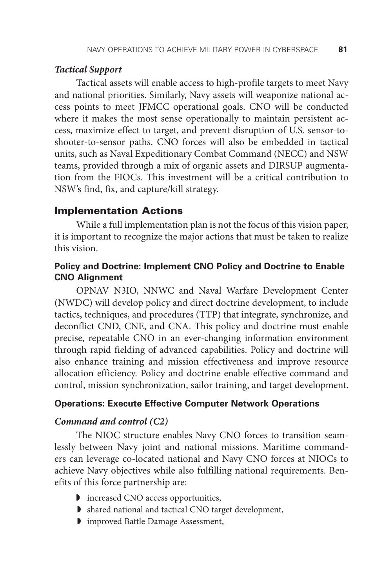#### *Tactical Support*

Tactical assets will enable access to high-profile targets to meet Navy and national priorities. Similarly, Navy assets will weaponize national access points to meet JFMCC operational goals. CNO will be conducted where it makes the most sense operationally to maintain persistent access, maximize effect to target, and prevent disruption of U.S. sensor-toshooter-to-sensor paths. CNO forces will also be embedded in tactical units, such as Naval Expeditionary Combat Command (NECC) and NSW teams, provided through a mix of organic assets and DIRSUP augmentation from the FIOCs. This investment will be a critical contribution to NSW's find, fix, and capture/kill strategy.

## Implementation Actions

While a full implementation plan is not the focus of this vision paper, it is important to recognize the major actions that must be taken to realize this vision.

## **Policy and Doctrine: Implement CNO Policy and Doctrine to Enable CNO Alignment**

OPNAV N3IO, NNWC and Naval Warfare Development Center (NWDC) will develop policy and direct doctrine development, to include tactics, techniques, and procedures (TTP) that integrate, synchronize, and deconflict CND, CNE, and CNA. This policy and doctrine must enable precise, repeatable CNO in an ever-changing information environment through rapid fielding of advanced capabilities. Policy and doctrine will also enhance training and mission effectiveness and improve resource allocation efficiency. Policy and doctrine enable effective command and control, mission synchronization, sailor training, and target development.

#### **Operations: Execute Effective Computer Network Operations**

#### *Command and control (C2)*

The NIOC structure enables Navy CNO forces to transition seamlessly between Navy joint and national missions. Maritime commanders can leverage co-located national and Navy CNO forces at NIOCs to achieve Navy objectives while also fulfilling national requirements. Benefits of this force partnership are:

- ◗ increased CNO access opportunities,
- ◗ shared national and tactical CNO target development,
- ◗ improved Battle Damage Assessment,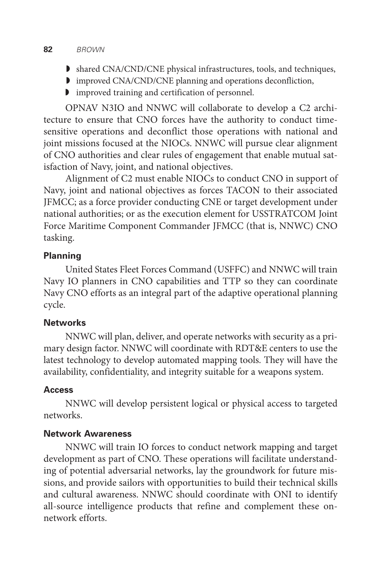#### **82** *BROWN*

- ◗ shared CNA/CND/CNE physical infrastructures, tools, and techniques,
- ◗ improved CNA/CND/CNE planning and operations deconfliction,
- ◗ improved training and certification of personnel.

OPNAV N3IO and NNWC will collaborate to develop a C2 architecture to ensure that CNO forces have the authority to conduct timesensitive operations and deconflict those operations with national and joint missions focused at the NIOCs. NNWC will pursue clear alignment of CNO authorities and clear rules of engagement that enable mutual satisfaction of Navy, joint, and national objectives.

Alignment of C2 must enable NIOCs to conduct CNO in support of Navy, joint and national objectives as forces TACON to their associated JFMCC; as a force provider conducting CNE or target development under national authorities; or as the execution element for USSTRATCOM Joint Force Maritime Component Commander JFMCC (that is, NNWC) CNO tasking.

#### **Planning**

United States Fleet Forces Command (USFFC) and NNWC will train Navy IO planners in CNO capabilities and TTP so they can coordinate Navy CNO efforts as an integral part of the adaptive operational planning cycle.

## **Networks**

NNWC will plan, deliver, and operate networks with security as a primary design factor. NNWC will coordinate with RDT&E centers to use the latest technology to develop automated mapping tools. They will have the availability, confidentiality, and integrity suitable for a weapons system.

## **Access**

NNWC will develop persistent logical or physical access to targeted networks.

#### **Network Awareness**

NNWC will train IO forces to conduct network mapping and target development as part of CNO. These operations will facilitate understanding of potential adversarial networks, lay the groundwork for future missions, and provide sailors with opportunities to build their technical skills and cultural awareness. NNWC should coordinate with ONI to identify all-source intelligence products that refine and complement these onnetwork efforts.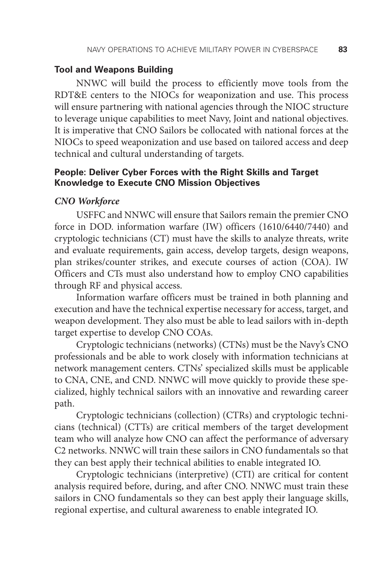#### **Tool and Weapons Building**

NNWC will build the process to efficiently move tools from the RDT&E centers to the NIOCs for weaponization and use. This process will ensure partnering with national agencies through the NIOC structure to leverage unique capabilities to meet Navy, Joint and national objectives. It is imperative that CNO Sailors be collocated with national forces at the NIOCs to speed weaponization and use based on tailored access and deep technical and cultural understanding of targets.

## **People: Deliver Cyber Forces with the Right Skills and Target Knowledge to Execute CNO Mission Objectives**

#### *CNO Workforce*

USFFC and NNWC will ensure that Sailors remain the premier CNO force in DOD. information warfare (IW) officers (1610/6440/7440) and cryptologic technicians (CT) must have the skills to analyze threats, write and evaluate requirements, gain access, develop targets, design weapons, plan strikes/counter strikes, and execute courses of action (COA). IW Officers and CTs must also understand how to employ CNO capabilities through RF and physical access.

Information warfare officers must be trained in both planning and execution and have the technical expertise necessary for access, target, and weapon development. They also must be able to lead sailors with in-depth target expertise to develop CNO COAs.

Cryptologic technicians (networks) (CTNs) must be the Navy's CNO professionals and be able to work closely with information technicians at network management centers. CTNs' specialized skills must be applicable to CNA, CNE, and CND. NNWC will move quickly to provide these specialized, highly technical sailors with an innovative and rewarding career path.

Cryptologic technicians (collection) (CTRs) and cryptologic technicians (technical) (CTTs) are critical members of the target development team who will analyze how CNO can affect the performance of adversary C2 networks. NNWC will train these sailors in CNO fundamentals so that they can best apply their technical abilities to enable integrated IO.

Cryptologic technicians (interpretive) (CTI) are critical for content analysis required before, during, and after CNO. NNWC must train these sailors in CNO fundamentals so they can best apply their language skills, regional expertise, and cultural awareness to enable integrated IO.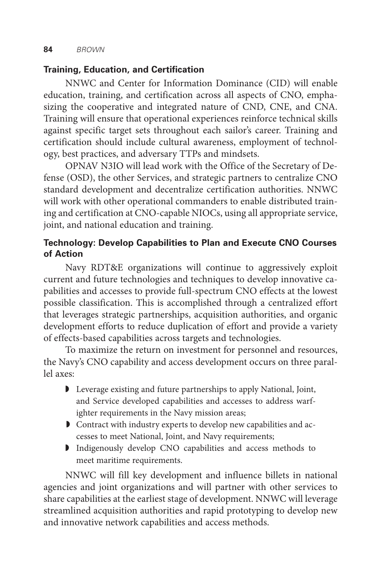## **Training, Education, and Certification**

NNWC and Center for Information Dominance (CID) will enable education, training, and certification across all aspects of CNO, emphasizing the cooperative and integrated nature of CND, CNE, and CNA. Training will ensure that operational experiences reinforce technical skills against specific target sets throughout each sailor's career. Training and certification should include cultural awareness, employment of technology, best practices, and adversary TTPs and mindsets.

OPNAV N3IO will lead work with the Office of the Secretary of Defense (OSD), the other Services, and strategic partners to centralize CNO standard development and decentralize certification authorities. NNWC will work with other operational commanders to enable distributed training and certification at CNO-capable NIOCs, using all appropriate service, joint, and national education and training.

## **Technology: Develop Capabilities to Plan and Execute CNO Courses of Action**

Navy RDT&E organizations will continue to aggressively exploit current and future technologies and techniques to develop innovative capabilities and accesses to provide full-spectrum CNO effects at the lowest possible classification. This is accomplished through a centralized effort that leverages strategic partnerships, acquisition authorities, and organic development efforts to reduce duplication of effort and provide a variety of effects-based capabilities across targets and technologies.

To maximize the return on investment for personnel and resources, the Navy's CNO capability and access development occurs on three parallel axes:

- ◗ Leverage existing and future partnerships to apply National, Joint, and Service developed capabilities and accesses to address warfighter requirements in the Navy mission areas;
- ◗ Contract with industry experts to develop new capabilities and accesses to meet National, Joint, and Navy requirements;
- ◗ Indigenously develop CNO capabilities and access methods to meet maritime requirements.

NNWC will fill key development and influence billets in national agencies and joint organizations and will partner with other services to share capabilities at the earliest stage of development. NNWC will leverage streamlined acquisition authorities and rapid prototyping to develop new and innovative network capabilities and access methods.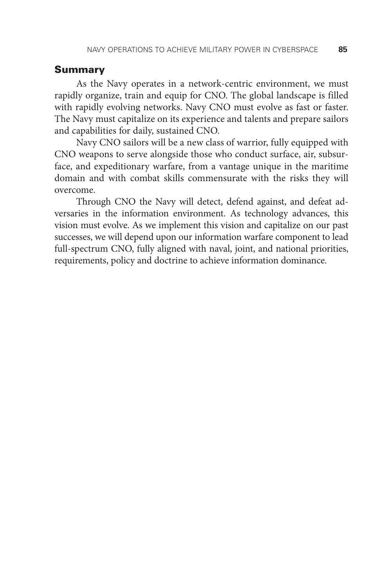#### Summary

As the Navy operates in a network-centric environment, we must rapidly organize, train and equip for CNO. The global landscape is filled with rapidly evolving networks. Navy CNO must evolve as fast or faster. The Navy must capitalize on its experience and talents and prepare sailors and capabilities for daily, sustained CNO.

Navy CNO sailors will be a new class of warrior, fully equipped with CNO weapons to serve alongside those who conduct surface, air, subsurface, and expeditionary warfare, from a vantage unique in the maritime domain and with combat skills commensurate with the risks they will overcome.

Through CNO the Navy will detect, defend against, and defeat adversaries in the information environment. As technology advances, this vision must evolve. As we implement this vision and capitalize on our past successes, we will depend upon our information warfare component to lead full-spectrum CNO, fully aligned with naval, joint, and national priorities, requirements, policy and doctrine to achieve information dominance.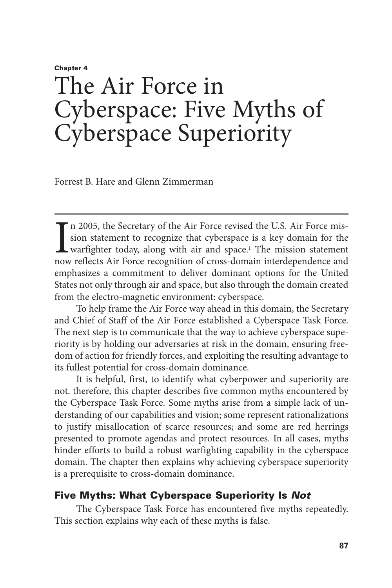## Chapter 4 The Air Force in Cyberspace: Five Myths of Cyberspace Superiority

Forrest B. Hare and Glenn Zimmerman

I<sub>now</sub> n 2005, the Secretary of the Air Force revised the U.S. Air Force mission statement to recognize that cyberspace is a key domain for the warfighter today, along with air and space.<sup>1</sup> The mission statement now reflects Air Force recognition of cross-domain interdependence and emphasizes a commitment to deliver dominant options for the United States not only through air and space, but also through the domain created from the electro-magnetic environment: cyberspace.

To help frame the Air Force way ahead in this domain, the Secretary and Chief of Staff of the Air Force established a Cyberspace Task Force. The next step is to communicate that the way to achieve cyberspace superiority is by holding our adversaries at risk in the domain, ensuring freedom of action for friendly forces, and exploiting the resulting advantage to its fullest potential for cross-domain dominance.

It is helpful, first, to identify what cyberpower and superiority are not. therefore, this chapter describes five common myths encountered by the Cyberspace Task Force. Some myths arise from a simple lack of understanding of our capabilities and vision; some represent rationalizations to justify misallocation of scarce resources; and some are red herrings presented to promote agendas and protect resources. In all cases, myths hinder efforts to build a robust warfighting capability in the cyberspace domain. The chapter then explains why achieving cyberspace superiority is a prerequisite to cross-domain dominance.

## Five Myths: What Cyberspace Superiority Is *Not*

The Cyberspace Task Force has encountered five myths repeatedly. This section explains why each of these myths is false.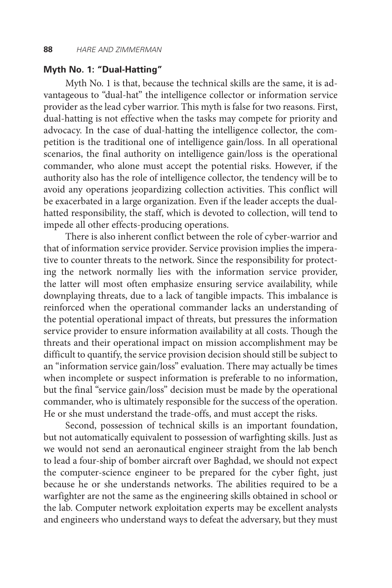## **Myth No. 1: "Dual-Hatting"**

Myth No. 1 is that, because the technical skills are the same, it is advantageous to "dual-hat" the intelligence collector or information service provider as the lead cyber warrior. This myth is false for two reasons. First, dual-hatting is not effective when the tasks may compete for priority and advocacy. In the case of dual-hatting the intelligence collector, the competition is the traditional one of intelligence gain/loss. In all operational scenarios, the final authority on intelligence gain/loss is the operational commander, who alone must accept the potential risks. However, if the authority also has the role of intelligence collector, the tendency will be to avoid any operations jeopardizing collection activities. This conflict will be exacerbated in a large organization. Even if the leader accepts the dualhatted responsibility, the staff, which is devoted to collection, will tend to impede all other effects-producing operations.

There is also inherent conflict between the role of cyber-warrior and that of information service provider. Service provision implies the imperative to counter threats to the network. Since the responsibility for protecting the network normally lies with the information service provider, the latter will most often emphasize ensuring service availability, while downplaying threats, due to a lack of tangible impacts. This imbalance is reinforced when the operational commander lacks an understanding of the potential operational impact of threats, but pressures the information service provider to ensure information availability at all costs. Though the threats and their operational impact on mission accomplishment may be difficult to quantify, the service provision decision should still be subject to an "information service gain/loss" evaluation. There may actually be times when incomplete or suspect information is preferable to no information, but the final "service gain/loss" decision must be made by the operational commander, who is ultimately responsible for the success of the operation. He or she must understand the trade-offs, and must accept the risks.

Second, possession of technical skills is an important foundation, but not automatically equivalent to possession of warfighting skills. Just as we would not send an aeronautical engineer straight from the lab bench to lead a four-ship of bomber aircraft over Baghdad, we should not expect the computer-science engineer to be prepared for the cyber fight, just because he or she understands networks. The abilities required to be a warfighter are not the same as the engineering skills obtained in school or the lab. Computer network exploitation experts may be excellent analysts and engineers who understand ways to defeat the adversary, but they must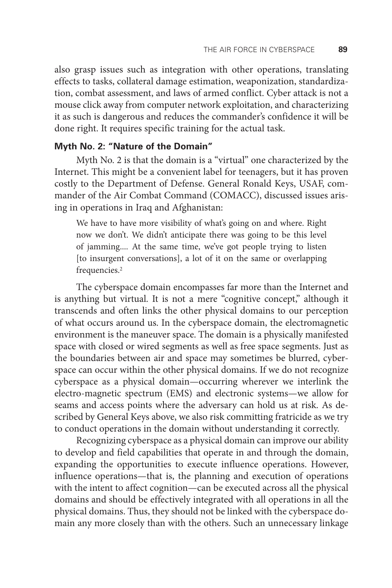also grasp issues such as integration with other operations, translating effects to tasks, collateral damage estimation, weaponization, standardization, combat assessment, and laws of armed conflict. Cyber attack is not a mouse click away from computer network exploitation, and characterizing it as such is dangerous and reduces the commander's confidence it will be done right. It requires specific training for the actual task.

## **Myth No. 2: "Nature of the Domain"**

Myth No. 2 is that the domain is a "virtual" one characterized by the Internet. This might be a convenient label for teenagers, but it has proven costly to the Department of Defense. General Ronald Keys, USAF, commander of the Air Combat Command (COMACC), discussed issues arising in operations in Iraq and Afghanistan:

We have to have more visibility of what's going on and where. Right now we don't. We didn't anticipate there was going to be this level of jamming.... At the same time, we've got people trying to listen [to insurgent conversations], a lot of it on the same or overlapping frequencies.2

The cyberspace domain encompasses far more than the Internet and is anything but virtual. It is not a mere "cognitive concept," although it transcends and often links the other physical domains to our perception of what occurs around us. In the cyberspace domain, the electromagnetic environment is the maneuver space. The domain is a physically manifested space with closed or wired segments as well as free space segments. Just as the boundaries between air and space may sometimes be blurred, cyberspace can occur within the other physical domains. If we do not recognize cyberspace as a physical domain—occurring wherever we interlink the electro-magnetic spectrum (EMS) and electronic systems—we allow for seams and access points where the adversary can hold us at risk. As described by General Keys above, we also risk committing fratricide as we try to conduct operations in the domain without understanding it correctly.

Recognizing cyberspace as a physical domain can improve our ability to develop and field capabilities that operate in and through the domain, expanding the opportunities to execute influence operations. However, influence operations—that is, the planning and execution of operations with the intent to affect cognition—can be executed across all the physical domains and should be effectively integrated with all operations in all the physical domains. Thus, they should not be linked with the cyberspace domain any more closely than with the others. Such an unnecessary linkage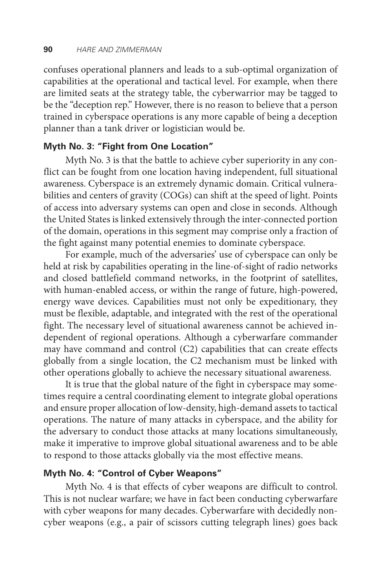confuses operational planners and leads to a sub-optimal organization of capabilities at the operational and tactical level. For example, when there are limited seats at the strategy table, the cyberwarrior may be tagged to be the "deception rep." However, there is no reason to believe that a person trained in cyberspace operations is any more capable of being a deception planner than a tank driver or logistician would be.

## **Myth No. 3: "Fight from One Location"**

Myth No. 3 is that the battle to achieve cyber superiority in any conflict can be fought from one location having independent, full situational awareness. Cyberspace is an extremely dynamic domain. Critical vulnerabilities and centers of gravity (COGs) can shift at the speed of light. Points of access into adversary systems can open and close in seconds. Although the United States is linked extensively through the inter-connected portion of the domain, operations in this segment may comprise only a fraction of the fight against many potential enemies to dominate cyberspace.

For example, much of the adversaries' use of cyberspace can only be held at risk by capabilities operating in the line-of-sight of radio networks and closed battlefield command networks, in the footprint of satellites, with human-enabled access, or within the range of future, high-powered, energy wave devices. Capabilities must not only be expeditionary, they must be flexible, adaptable, and integrated with the rest of the operational fight. The necessary level of situational awareness cannot be achieved independent of regional operations. Although a cyberwarfare commander may have command and control (C2) capabilities that can create effects globally from a single location, the C2 mechanism must be linked with other operations globally to achieve the necessary situational awareness.

It is true that the global nature of the fight in cyberspace may sometimes require a central coordinating element to integrate global operations and ensure proper allocation of low-density, high-demand assets to tactical operations. The nature of many attacks in cyberspace, and the ability for the adversary to conduct those attacks at many locations simultaneously, make it imperative to improve global situational awareness and to be able to respond to those attacks globally via the most effective means.

## **Myth No. 4: "Control of Cyber Weapons"**

Myth No. 4 is that effects of cyber weapons are difficult to control. This is not nuclear warfare; we have in fact been conducting cyberwarfare with cyber weapons for many decades. Cyberwarfare with decidedly noncyber weapons (e.g., a pair of scissors cutting telegraph lines) goes back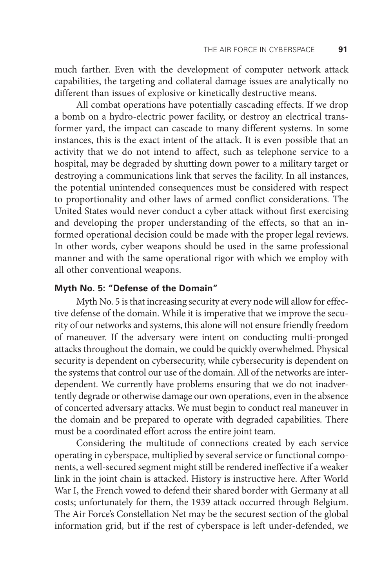much farther. Even with the development of computer network attack capabilities, the targeting and collateral damage issues are analytically no different than issues of explosive or kinetically destructive means.

All combat operations have potentially cascading effects. If we drop a bomb on a hydro-electric power facility, or destroy an electrical transformer yard, the impact can cascade to many different systems. In some instances, this is the exact intent of the attack. It is even possible that an activity that we do not intend to affect, such as telephone service to a hospital, may be degraded by shutting down power to a military target or destroying a communications link that serves the facility. In all instances, the potential unintended consequences must be considered with respect to proportionality and other laws of armed conflict considerations. The United States would never conduct a cyber attack without first exercising and developing the proper understanding of the effects, so that an informed operational decision could be made with the proper legal reviews. In other words, cyber weapons should be used in the same professional manner and with the same operational rigor with which we employ with all other conventional weapons.

## **Myth No. 5: "Defense of the Domain"**

Myth No. 5 is that increasing security at every node will allow for effective defense of the domain. While it is imperative that we improve the security of our networks and systems, this alone will not ensure friendly freedom of maneuver. If the adversary were intent on conducting multi-pronged attacks throughout the domain, we could be quickly overwhelmed. Physical security is dependent on cybersecurity, while cybersecurity is dependent on the systems that control our use of the domain. All of the networks are interdependent. We currently have problems ensuring that we do not inadvertently degrade or otherwise damage our own operations, even in the absence of concerted adversary attacks. We must begin to conduct real maneuver in the domain and be prepared to operate with degraded capabilities. There must be a coordinated effort across the entire joint team.

Considering the multitude of connections created by each service operating in cyberspace, multiplied by several service or functional components, a well-secured segment might still be rendered ineffective if a weaker link in the joint chain is attacked. History is instructive here. After World War I, the French vowed to defend their shared border with Germany at all costs; unfortunately for them, the 1939 attack occurred through Belgium. The Air Force's Constellation Net may be the securest section of the global information grid, but if the rest of cyberspace is left under-defended, we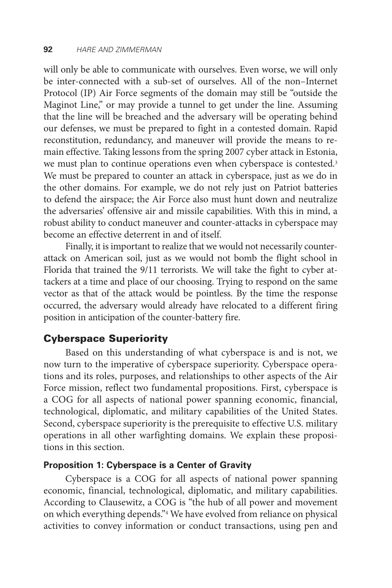will only be able to communicate with ourselves. Even worse, we will only be inter-connected with a sub-set of ourselves. All of the non–Internet Protocol (IP) Air Force segments of the domain may still be "outside the Maginot Line," or may provide a tunnel to get under the line. Assuming that the line will be breached and the adversary will be operating behind our defenses, we must be prepared to fight in a contested domain. Rapid reconstitution, redundancy, and maneuver will provide the means to remain effective. Taking lessons from the spring 2007 cyber attack in Estonia, we must plan to continue operations even when cyberspace is contested.3 We must be prepared to counter an attack in cyberspace, just as we do in the other domains. For example, we do not rely just on Patriot batteries to defend the airspace; the Air Force also must hunt down and neutralize the adversaries' offensive air and missile capabilities. With this in mind, a robust ability to conduct maneuver and counter-attacks in cyberspace may become an effective deterrent in and of itself.

Finally, it is important to realize that we would not necessarily counterattack on American soil, just as we would not bomb the flight school in Florida that trained the 9/11 terrorists. We will take the fight to cyber attackers at a time and place of our choosing. Trying to respond on the same vector as that of the attack would be pointless. By the time the response occurred, the adversary would already have relocated to a different firing position in anticipation of the counter-battery fire.

## Cyberspace Superiority

Based on this understanding of what cyberspace is and is not, we now turn to the imperative of cyberspace superiority. Cyberspace operations and its roles, purposes, and relationships to other aspects of the Air Force mission, reflect two fundamental propositions. First, cyberspace is a COG for all aspects of national power spanning economic, financial, technological, diplomatic, and military capabilities of the United States. Second, cyberspace superiority is the prerequisite to effective U.S. military operations in all other warfighting domains. We explain these propositions in this section.

#### **Proposition 1: Cyberspace is a Center of Gravity**

Cyberspace is a COG for all aspects of national power spanning economic, financial, technological, diplomatic, and military capabilities. According to Clausewitz, a COG is "the hub of all power and movement on which everything depends."4 We have evolved from reliance on physical activities to convey information or conduct transactions, using pen and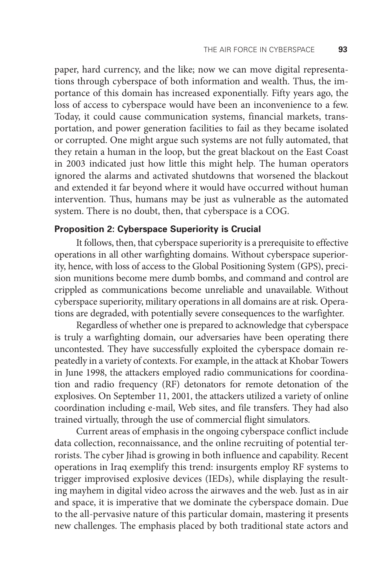paper, hard currency, and the like; now we can move digital representations through cyberspace of both information and wealth. Thus, the importance of this domain has increased exponentially. Fifty years ago, the loss of access to cyberspace would have been an inconvenience to a few. Today, it could cause communication systems, financial markets, transportation, and power generation facilities to fail as they became isolated or corrupted. One might argue such systems are not fully automated, that they retain a human in the loop, but the great blackout on the East Coast in 2003 indicated just how little this might help. The human operators ignored the alarms and activated shutdowns that worsened the blackout and extended it far beyond where it would have occurred without human intervention. Thus, humans may be just as vulnerable as the automated system. There is no doubt, then, that cyberspace is a COG.

#### **Proposition 2: Cyberspace Superiority is Crucial**

It follows, then, that cyberspace superiority is a prerequisite to effective operations in all other warfighting domains. Without cyberspace superiority, hence, with loss of access to the Global Positioning System (GPS), precision munitions become mere dumb bombs, and command and control are crippled as communications become unreliable and unavailable. Without cyberspace superiority, military operations in all domains are at risk. Operations are degraded, with potentially severe consequences to the warfighter.

Regardless of whether one is prepared to acknowledge that cyberspace is truly a warfighting domain, our adversaries have been operating there uncontested. They have successfully exploited the cyberspace domain repeatedly in a variety of contexts. For example, in the attack at Khobar Towers in June 1998, the attackers employed radio communications for coordination and radio frequency (RF) detonators for remote detonation of the explosives. On September 11, 2001, the attackers utilized a variety of online coordination including e-mail, Web sites, and file transfers. They had also trained virtually, through the use of commercial flight simulators.

Current areas of emphasis in the ongoing cyberspace conflict include data collection, reconnaissance, and the online recruiting of potential terrorists. The cyber Jihad is growing in both influence and capability. Recent operations in Iraq exemplify this trend: insurgents employ RF systems to trigger improvised explosive devices (IEDs), while displaying the resulting mayhem in digital video across the airwaves and the web. Just as in air and space, it is imperative that we dominate the cyberspace domain. Due to the all-pervasive nature of this particular domain, mastering it presents new challenges. The emphasis placed by both traditional state actors and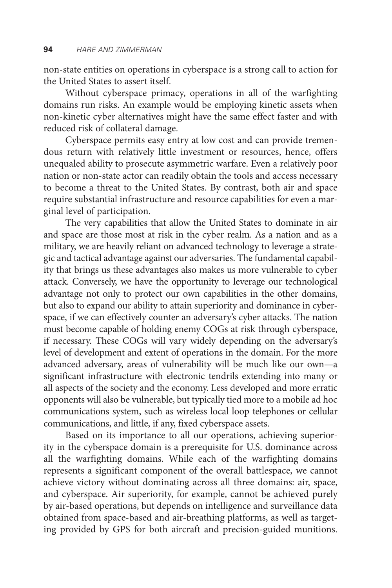non-state entities on operations in cyberspace is a strong call to action for the United States to assert itself.

Without cyberspace primacy, operations in all of the warfighting domains run risks. An example would be employing kinetic assets when non-kinetic cyber alternatives might have the same effect faster and with reduced risk of collateral damage.

Cyberspace permits easy entry at low cost and can provide tremendous return with relatively little investment or resources, hence, offers unequaled ability to prosecute asymmetric warfare. Even a relatively poor nation or non-state actor can readily obtain the tools and access necessary to become a threat to the United States. By contrast, both air and space require substantial infrastructure and resource capabilities for even a marginal level of participation.

The very capabilities that allow the United States to dominate in air and space are those most at risk in the cyber realm. As a nation and as a military, we are heavily reliant on advanced technology to leverage a strategic and tactical advantage against our adversaries. The fundamental capability that brings us these advantages also makes us more vulnerable to cyber attack. Conversely, we have the opportunity to leverage our technological advantage not only to protect our own capabilities in the other domains, but also to expand our ability to attain superiority and dominance in cyberspace, if we can effectively counter an adversary's cyber attacks. The nation must become capable of holding enemy COGs at risk through cyberspace, if necessary. These COGs will vary widely depending on the adversary's level of development and extent of operations in the domain. For the more advanced adversary, areas of vulnerability will be much like our own—a significant infrastructure with electronic tendrils extending into many or all aspects of the society and the economy. Less developed and more erratic opponents will also be vulnerable, but typically tied more to a mobile ad hoc communications system, such as wireless local loop telephones or cellular communications, and little, if any, fixed cyberspace assets.

Based on its importance to all our operations, achieving superiority in the cyberspace domain is a prerequisite for U.S. dominance across all the warfighting domains. While each of the warfighting domains represents a significant component of the overall battlespace, we cannot achieve victory without dominating across all three domains: air, space, and cyberspace. Air superiority, for example, cannot be achieved purely by air-based operations, but depends on intelligence and surveillance data obtained from space-based and air-breathing platforms, as well as targeting provided by GPS for both aircraft and precision-guided munitions.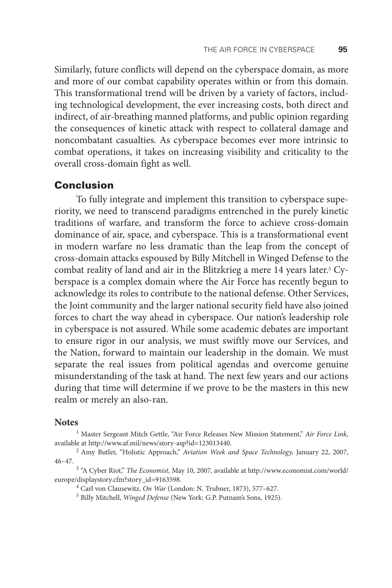Similarly, future conflicts will depend on the cyberspace domain, as more and more of our combat capability operates within or from this domain. This transformational trend will be driven by a variety of factors, including technological development, the ever increasing costs, both direct and indirect, of air-breathing manned platforms, and public opinion regarding the consequences of kinetic attack with respect to collateral damage and noncombatant casualties. As cyberspace becomes ever more intrinsic to combat operations, it takes on increasing visibility and criticality to the overall cross-domain fight as well.

## **Conclusion**

To fully integrate and implement this transition to cyberspace superiority, we need to transcend paradigms entrenched in the purely kinetic traditions of warfare, and transform the force to achieve cross-domain dominance of air, space, and cyberspace. This is a transformational event in modern warfare no less dramatic than the leap from the concept of cross-domain attacks espoused by Billy Mitchell in Winged Defense to the combat reality of land and air in the Blitzkrieg a mere 14 years later.5 Cyberspace is a complex domain where the Air Force has recently begun to acknowledge its roles to contribute to the national defense. Other Services, the Joint community and the larger national security field have also joined forces to chart the way ahead in cyberspace. Our nation's leadership role in cyberspace is not assured. While some academic debates are important to ensure rigor in our analysis, we must swiftly move our Services, and the Nation, forward to maintain our leadership in the domain. We must separate the real issues from political agendas and overcome genuine misunderstanding of the task at hand. The next few years and our actions during that time will determine if we prove to be the masters in this new realm or merely an also-ran.

#### **Notes**

<sup>1</sup> Master Sergeant Mitch Gettle, "Air Force Releases New Mission Statement," Air Force Link, available at http://www.af.mil/news/story-asp?id=123013440. 2 Amy Butler, "Holistic Approach," *Aviation Week and Space Technology,* January 22, 2007,

46–47.

<sup>3</sup> "A Cyber Riot," *The Economist*, May 10, 2007, available at http://www.economist.com/world/ europe/displaystory.cfm?story\_id=9163598.

4 Carl von Clausewitz, *On War* (London: N. Trubner, 1873), 577–627.

5 Billy Mitchell, *Winged Defense* (New York: G.P. Putnam's Sons, 1925).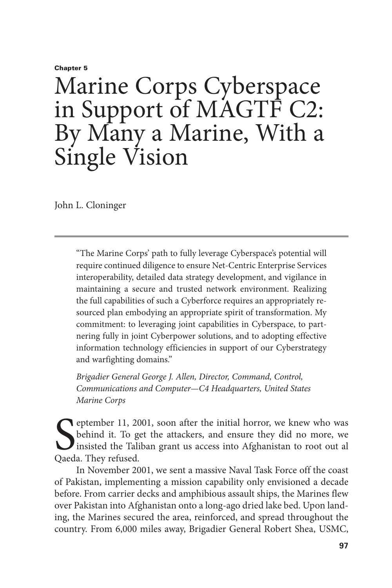#### Chapter 5

## Marine Corps Cyberspace in Support of MAGTF C2: By Many a Marine, With a Single Vision

John L. Cloninger

"The Marine Corps' path to fully leverage Cyberspace's potential will require continued diligence to ensure Net-Centric Enterprise Services interoperability, detailed data strategy development, and vigilance in maintaining a secure and trusted network environment. Realizing the full capabilities of such a Cyberforce requires an appropriately resourced plan embodying an appropriate spirit of transformation. My commitment: to leveraging joint capabilities in Cyberspace, to partnering fully in joint Cyberpower solutions, and to adopting effective information technology efficiencies in support of our Cyberstrategy and warfighting domains."

*Brigadier General George J. Allen, Director, Command, Control, Communications and Computer—C4 Headquarters, United States Marine Corps*

September 11, 20<br>behind it. To g<br>Qaeda. They refused. **P** eptember 11, 2001, soon after the initial horror, we knew who was behind it. To get the attackers, and ensure they did no more, we insisted the Taliban grant us access into Afghanistan to root out al

In November 2001, we sent a massive Naval Task Force off the coast of Pakistan, implementing a mission capability only envisioned a decade before. From carrier decks and amphibious assault ships, the Marines flew over Pakistan into Afghanistan onto a long-ago dried lake bed. Upon landing, the Marines secured the area, reinforced, and spread throughout the country. From 6,000 miles away, Brigadier General Robert Shea, USMC,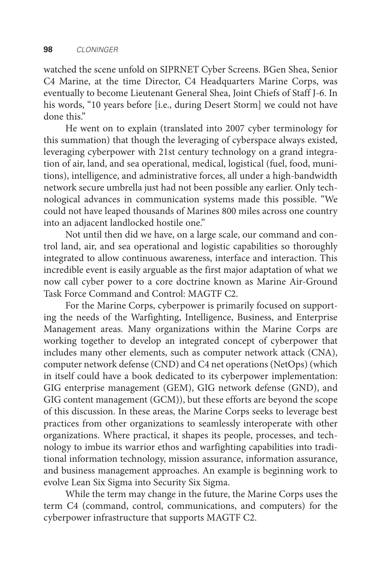watched the scene unfold on SIPRNET Cyber Screens. BGen Shea, Senior C4 Marine, at the time Director, C4 Headquarters Marine Corps, was eventually to become Lieutenant General Shea, Joint Chiefs of Staff J-6. In his words, "10 years before [i.e., during Desert Storm] we could not have done this."

He went on to explain (translated into 2007 cyber terminology for this summation) that though the leveraging of cyberspace always existed, leveraging cyberpower with 21st century technology on a grand integration of air, land, and sea operational, medical, logistical (fuel, food, munitions), intelligence, and administrative forces, all under a high-bandwidth network secure umbrella just had not been possible any earlier. Only technological advances in communication systems made this possible. "We could not have leaped thousands of Marines 800 miles across one country into an adjacent landlocked hostile one."

Not until then did we have, on a large scale, our command and control land, air, and sea operational and logistic capabilities so thoroughly integrated to allow continuous awareness, interface and interaction. This incredible event is easily arguable as the first major adaptation of what we now call cyber power to a core doctrine known as Marine Air-Ground Task Force Command and Control: MAGTF C2.

For the Marine Corps, cyberpower is primarily focused on supporting the needs of the Warfighting, Intelligence, Business, and Enterprise Management areas. Many organizations within the Marine Corps are working together to develop an integrated concept of cyberpower that includes many other elements, such as computer network attack (CNA), computer network defense (CND) and C4 net operations (NetOps) (which in itself could have a book dedicated to its cyberpower implementation: GIG enterprise management (GEM), GIG network defense (GND), and GIG content management (GCM)), but these efforts are beyond the scope of this discussion. In these areas, the Marine Corps seeks to leverage best practices from other organizations to seamlessly interoperate with other organizations. Where practical, it shapes its people, processes, and technology to imbue its warrior ethos and warfighting capabilities into traditional information technology, mission assurance, information assurance, and business management approaches. An example is beginning work to evolve Lean Six Sigma into Security Six Sigma.

While the term may change in the future, the Marine Corps uses the term C4 (command, control, communications, and computers) for the cyberpower infrastructure that supports MAGTF C2.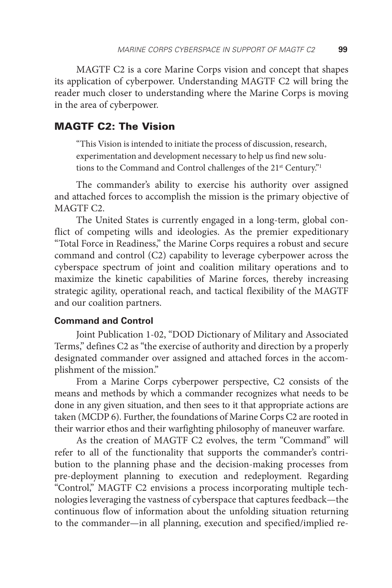MAGTF C2 is a core Marine Corps vision and concept that shapes its application of cyberpower. Understanding MAGTF C2 will bring the reader much closer to understanding where the Marine Corps is moving in the area of cyberpower.

## MAGTF C2: The Vision

"This Vision is intended to initiate the process of discussion, research, experimentation and development necessary to help us find new solutions to the Command and Control challenges of the 21<sup>st</sup> Century."<sup>1</sup>

The commander's ability to exercise his authority over assigned and attached forces to accomplish the mission is the primary objective of MAGTF C2.

The United States is currently engaged in a long-term, global conflict of competing wills and ideologies. As the premier expeditionary "Total Force in Readiness," the Marine Corps requires a robust and secure command and control (C2) capability to leverage cyberpower across the cyberspace spectrum of joint and coalition military operations and to maximize the kinetic capabilities of Marine forces, thereby increasing strategic agility, operational reach, and tactical flexibility of the MAGTF and our coalition partners.

### **Command and Control**

Joint Publication 1-02, "DOD Dictionary of Military and Associated Terms," defines C2 as "the exercise of authority and direction by a properly designated commander over assigned and attached forces in the accomplishment of the mission."

From a Marine Corps cyberpower perspective, C2 consists of the means and methods by which a commander recognizes what needs to be done in any given situation, and then sees to it that appropriate actions are taken (MCDP 6). Further, the foundations of Marine Corps C2 are rooted in their warrior ethos and their warfighting philosophy of maneuver warfare.

As the creation of MAGTF C2 evolves, the term "Command" will refer to all of the functionality that supports the commander's contribution to the planning phase and the decision-making processes from pre-deployment planning to execution and redeployment. Regarding "Control," MAGTF C2 envisions a process incorporating multiple technologies leveraging the vastness of cyberspace that captures feedback—the continuous flow of information about the unfolding situation returning to the commander—in all planning, execution and specified/implied re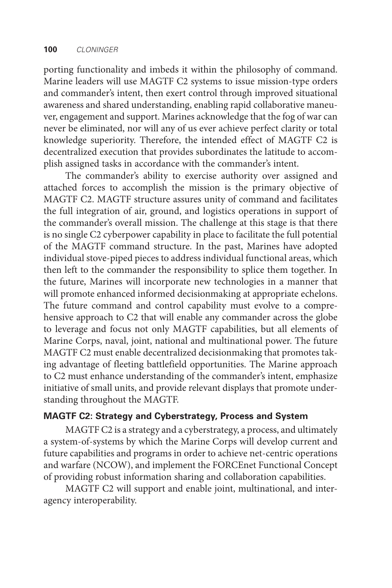porting functionality and imbeds it within the philosophy of command. Marine leaders will use MAGTF C2 systems to issue mission-type orders and commander's intent, then exert control through improved situational awareness and shared understanding, enabling rapid collaborative maneuver, engagement and support. Marines acknowledge that the fog of war can never be eliminated, nor will any of us ever achieve perfect clarity or total knowledge superiority. Therefore, the intended effect of MAGTF C2 is decentralized execution that provides subordinates the latitude to accomplish assigned tasks in accordance with the commander's intent.

The commander's ability to exercise authority over assigned and attached forces to accomplish the mission is the primary objective of MAGTF C2. MAGTF structure assures unity of command and facilitates the full integration of air, ground, and logistics operations in support of the commander's overall mission. The challenge at this stage is that there is no single C2 cyberpower capability in place to facilitate the full potential of the MAGTF command structure. In the past, Marines have adopted individual stove-piped pieces to address individual functional areas, which then left to the commander the responsibility to splice them together. In the future, Marines will incorporate new technologies in a manner that will promote enhanced informed decisionmaking at appropriate echelons. The future command and control capability must evolve to a comprehensive approach to C2 that will enable any commander across the globe to leverage and focus not only MAGTF capabilities, but all elements of Marine Corps, naval, joint, national and multinational power. The future MAGTF C2 must enable decentralized decisionmaking that promotes taking advantage of fleeting battlefield opportunities. The Marine approach to C2 must enhance understanding of the commander's intent, emphasize initiative of small units, and provide relevant displays that promote understanding throughout the MAGTF.

## **MAGTF C2: Strategy and Cyberstrategy, Process and System**

MAGTF C2 is a strategy and a cyberstrategy, a process, and ultimately a system-of-systems by which the Marine Corps will develop current and future capabilities and programs in order to achieve net-centric operations and warfare (NCOW), and implement the FORCEnet Functional Concept of providing robust information sharing and collaboration capabilities.

MAGTF C2 will support and enable joint, multinational, and interagency interoperability.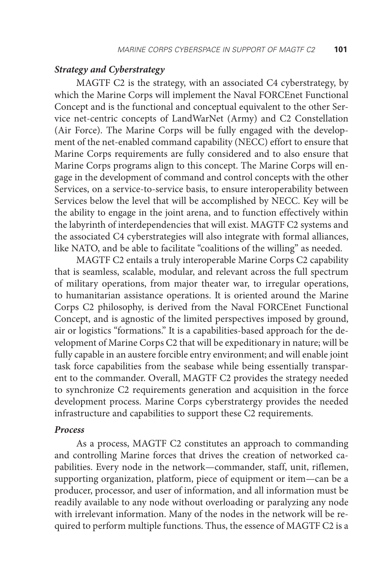#### *Strategy and Cyberstrategy*

MAGTF C2 is the strategy, with an associated C4 cyberstrategy, by which the Marine Corps will implement the Naval FORCEnet Functional Concept and is the functional and conceptual equivalent to the other Service net-centric concepts of LandWarNet (Army) and C2 Constellation (Air Force). The Marine Corps will be fully engaged with the development of the net-enabled command capability (NECC) effort to ensure that Marine Corps requirements are fully considered and to also ensure that Marine Corps programs align to this concept. The Marine Corps will engage in the development of command and control concepts with the other Services, on a service-to-service basis, to ensure interoperability between Services below the level that will be accomplished by NECC. Key will be the ability to engage in the joint arena, and to function effectively within the labyrinth of interdependencies that will exist. MAGTF C2 systems and the associated C4 cyberstrategies will also integrate with formal alliances, like NATO, and be able to facilitate "coalitions of the willing" as needed.

MAGTF C2 entails a truly interoperable Marine Corps C2 capability that is seamless, scalable, modular, and relevant across the full spectrum of military operations, from major theater war, to irregular operations, to humanitarian assistance operations. It is oriented around the Marine Corps C2 philosophy, is derived from the Naval FORCEnet Functional Concept, and is agnostic of the limited perspectives imposed by ground, air or logistics "formations." It is a capabilities-based approach for the development of Marine Corps C2 that will be expeditionary in nature; will be fully capable in an austere forcible entry environment; and will enable joint task force capabilities from the seabase while being essentially transparent to the commander. Overall, MAGTF C2 provides the strategy needed to synchronize C2 requirements generation and acquisition in the force development process. Marine Corps cyberstratergy provides the needed infrastructure and capabilities to support these C2 requirements.

### *Process*

As a process, MAGTF C2 constitutes an approach to commanding and controlling Marine forces that drives the creation of networked capabilities. Every node in the network—commander, staff, unit, riflemen, supporting organization, platform, piece of equipment or item—can be a producer, processor, and user of information, and all information must be readily available to any node without overloading or paralyzing any node with irrelevant information. Many of the nodes in the network will be required to perform multiple functions. Thus, the essence of MAGTF C2 is a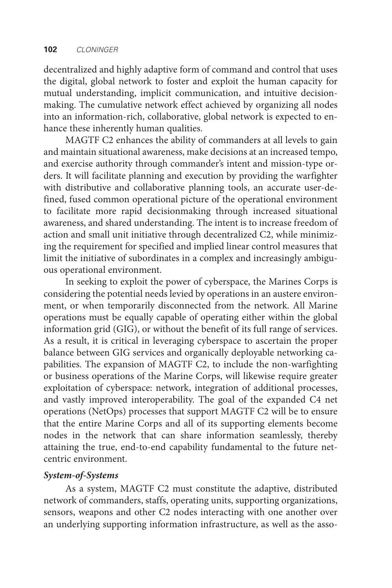decentralized and highly adaptive form of command and control that uses the digital, global network to foster and exploit the human capacity for mutual understanding, implicit communication, and intuitive decisionmaking. The cumulative network effect achieved by organizing all nodes into an information-rich, collaborative, global network is expected to enhance these inherently human qualities.

MAGTF C2 enhances the ability of commanders at all levels to gain and maintain situational awareness, make decisions at an increased tempo, and exercise authority through commander's intent and mission-type orders. It will facilitate planning and execution by providing the warfighter with distributive and collaborative planning tools, an accurate user-defined, fused common operational picture of the operational environment to facilitate more rapid decisionmaking through increased situational awareness, and shared understanding. The intent is to increase freedom of action and small unit initiative through decentralized C2, while minimizing the requirement for specified and implied linear control measures that limit the initiative of subordinates in a complex and increasingly ambiguous operational environment.

In seeking to exploit the power of cyberspace, the Marines Corps is considering the potential needs levied by operations in an austere environment, or when temporarily disconnected from the network. All Marine operations must be equally capable of operating either within the global information grid (GIG), or without the benefit of its full range of services. As a result, it is critical in leveraging cyberspace to ascertain the proper balance between GIG services and organically deployable networking capabilities. The expansion of MAGTF C2, to include the non-warfighting or business operations of the Marine Corps, will likewise require greater exploitation of cyberspace: network, integration of additional processes, and vastly improved interoperability. The goal of the expanded C4 net operations (NetOps) processes that support MAGTF C2 will be to ensure that the entire Marine Corps and all of its supporting elements become nodes in the network that can share information seamlessly, thereby attaining the true, end-to-end capability fundamental to the future netcentric environment.

### *System-of-Systems*

As a system, MAGTF C2 must constitute the adaptive, distributed network of commanders, staffs, operating units, supporting organizations, sensors, weapons and other C2 nodes interacting with one another over an underlying supporting information infrastructure, as well as the asso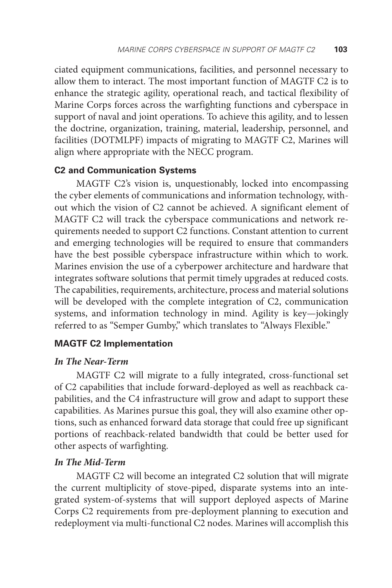ciated equipment communications, facilities, and personnel necessary to allow them to interact. The most important function of MAGTF C2 is to enhance the strategic agility, operational reach, and tactical flexibility of Marine Corps forces across the warfighting functions and cyberspace in support of naval and joint operations. To achieve this agility, and to lessen the doctrine, organization, training, material, leadership, personnel, and facilities (DOTMLPF) impacts of migrating to MAGTF C2, Marines will align where appropriate with the NECC program.

### **C2 and Communication Systems**

MAGTF C2's vision is, unquestionably, locked into encompassing the cyber elements of communications and information technology, without which the vision of C2 cannot be achieved. A significant element of MAGTF C2 will track the cyberspace communications and network requirements needed to support C2 functions. Constant attention to current and emerging technologies will be required to ensure that commanders have the best possible cyberspace infrastructure within which to work. Marines envision the use of a cyberpower architecture and hardware that integrates software solutions that permit timely upgrades at reduced costs. The capabilities, requirements, architecture, process and material solutions will be developed with the complete integration of C2, communication systems, and information technology in mind. Agility is key—jokingly referred to as "Semper Gumby," which translates to "Always Flexible."

### **MAGTF C2 Implementation**

#### *In The Near-Term*

MAGTF C2 will migrate to a fully integrated, cross-functional set of C2 capabilities that include forward-deployed as well as reachback capabilities, and the C4 infrastructure will grow and adapt to support these capabilities. As Marines pursue this goal, they will also examine other options, such as enhanced forward data storage that could free up significant portions of reachback-related bandwidth that could be better used for other aspects of warfighting.

## *In The Mid-Term*

MAGTF C2 will become an integrated C2 solution that will migrate the current multiplicity of stove-piped, disparate systems into an integrated system-of-systems that will support deployed aspects of Marine Corps C2 requirements from pre-deployment planning to execution and redeployment via multi-functional C2 nodes. Marines will accomplish this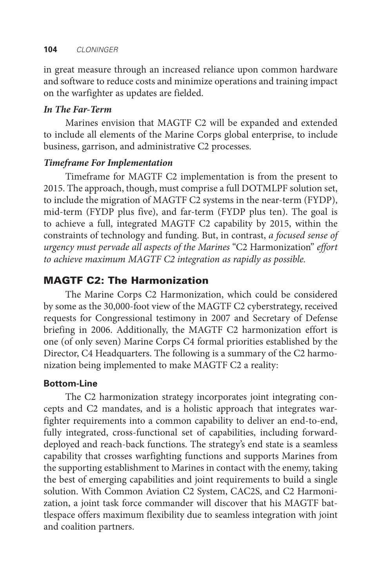in great measure through an increased reliance upon common hardware and software to reduce costs and minimize operations and training impact on the warfighter as updates are fielded.

## *In The Far-Term*

Marines envision that MAGTF C2 will be expanded and extended to include all elements of the Marine Corps global enterprise, to include business, garrison, and administrative C2 processes.

## *Timeframe For Implementation*

Timeframe for MAGTF C2 implementation is from the present to 2015. The approach, though, must comprise a full DOTMLPF solution set, to include the migration of MAGTF C2 systems in the near-term (FYDP), mid-term (FYDP plus five), and far-term (FYDP plus ten). The goal is to achieve a full, integrated MAGTF C2 capability by 2015, within the constraints of technology and funding. But, in contrast, *a focused sense of urgency must pervade all aspects of the Marines* "C2 Harmonization" *effort to achieve maximum MAGTF C2 integration as rapidly as possible.*

## MAGTF C2: The Harmonization

The Marine Corps C2 Harmonization, which could be considered by some as the 30,000-foot view of the MAGTF C2 cyberstrategy, received requests for Congressional testimony in 2007 and Secretary of Defense briefing in 2006. Additionally, the MAGTF C2 harmonization effort is one (of only seven) Marine Corps C4 formal priorities established by the Director, C4 Headquarters. The following is a summary of the C2 harmonization being implemented to make MAGTF C2 a reality:

## **Bottom-Line**

The C2 harmonization strategy incorporates joint integrating concepts and C2 mandates, and is a holistic approach that integrates warfighter requirements into a common capability to deliver an end-to-end, fully integrated, cross-functional set of capabilities, including forwarddeployed and reach-back functions. The strategy's end state is a seamless capability that crosses warfighting functions and supports Marines from the supporting establishment to Marines in contact with the enemy, taking the best of emerging capabilities and joint requirements to build a single solution. With Common Aviation C2 System, CAC2S, and C2 Harmonization, a joint task force commander will discover that his MAGTF battlespace offers maximum flexibility due to seamless integration with joint and coalition partners.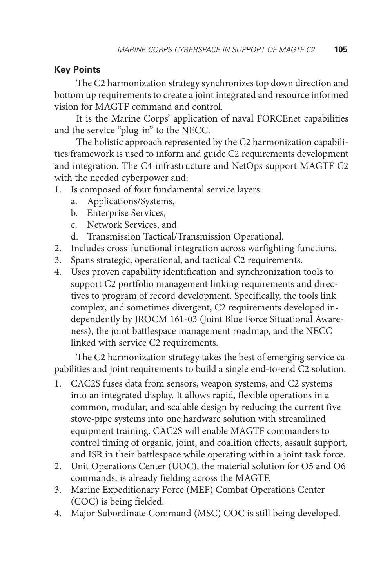## **Key Points**

The C2 harmonization strategy synchronizes top down direction and bottom up requirements to create a joint integrated and resource informed vision for MAGTF command and control.

It is the Marine Corps' application of naval FORCEnet capabilities and the service "plug-in" to the NECC.

The holistic approach represented by the C2 harmonization capabilities framework is used to inform and guide C2 requirements development and integration. The C4 infrastructure and NetOps support MAGTF C2 with the needed cyberpower and:

- 1. Is composed of four fundamental service layers:
	- a. Applications/Systems,
	- b. Enterprise Services,
	- c. Network Services, and
	- d. Transmission Tactical/Transmission Operational.
- 2. Includes cross-functional integration across warfighting functions.
- 3. Spans strategic, operational, and tactical C2 requirements.
- 4. Uses proven capability identification and synchronization tools to support C2 portfolio management linking requirements and directives to program of record development. Specifically, the tools link complex, and sometimes divergent, C2 requirements developed independently by JROCM 161-03 (Joint Blue Force Situational Awareness), the joint battlespace management roadmap, and the NECC linked with service C2 requirements.

The C2 harmonization strategy takes the best of emerging service capabilities and joint requirements to build a single end-to-end C2 solution.

- 1. CAC2S fuses data from sensors, weapon systems, and C2 systems into an integrated display. It allows rapid, flexible operations in a common, modular, and scalable design by reducing the current five stove-pipe systems into one hardware solution with streamlined equipment training. CAC2S will enable MAGTF commanders to control timing of organic, joint, and coalition effects, assault support, and ISR in their battlespace while operating within a joint task force.
- 2. Unit Operations Center (UOC), the material solution for O5 and O6 commands, is already fielding across the MAGTF.
- 3. Marine Expeditionary Force (MEF) Combat Operations Center (COC) is being fielded.
- 4. Major Subordinate Command (MSC) COC is still being developed.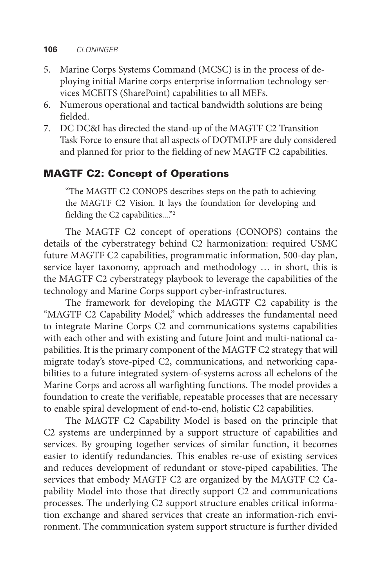#### **106** *CLONINGER*

- 5. Marine Corps Systems Command (MCSC) is in the process of deploying initial Marine corps enterprise information technology services MCEITS (SharePoint) capabilities to all MEFs.
- 6. Numerous operational and tactical bandwidth solutions are being fielded.
- 7. DC DC&I has directed the stand-up of the MAGTF C2 Transition Task Force to ensure that all aspects of DOTMLPF are duly considered and planned for prior to the fielding of new MAGTF C2 capabilities.

## MAGTF C2: Concept of Operations

"The MAGTF C2 CONOPS describes steps on the path to achieving the MAGTF C2 Vision. It lays the foundation for developing and fielding the C2 capabilities...."2

The MAGTF C2 concept of operations (CONOPS) contains the details of the cyberstrategy behind C2 harmonization: required USMC future MAGTF C2 capabilities, programmatic information, 500-day plan, service layer taxonomy, approach and methodology … in short, this is the MAGTF C2 cyberstrategy playbook to leverage the capabilities of the technology and Marine Corps support cyber-infrastructures.

The framework for developing the MAGTF C2 capability is the "MAGTF C2 Capability Model," which addresses the fundamental need to integrate Marine Corps C2 and communications systems capabilities with each other and with existing and future Joint and multi-national capabilities. It is the primary component of the MAGTF C2 strategy that will migrate today's stove-piped C2, communications, and networking capabilities to a future integrated system-of-systems across all echelons of the Marine Corps and across all warfighting functions. The model provides a foundation to create the verifiable, repeatable processes that are necessary to enable spiral development of end-to-end, holistic C2 capabilities.

The MAGTF C2 Capability Model is based on the principle that C2 systems are underpinned by a support structure of capabilities and services. By grouping together services of similar function, it becomes easier to identify redundancies. This enables re-use of existing services and reduces development of redundant or stove-piped capabilities. The services that embody MAGTF C2 are organized by the MAGTF C2 Capability Model into those that directly support C2 and communications processes. The underlying C2 support structure enables critical information exchange and shared services that create an information-rich environment. The communication system support structure is further divided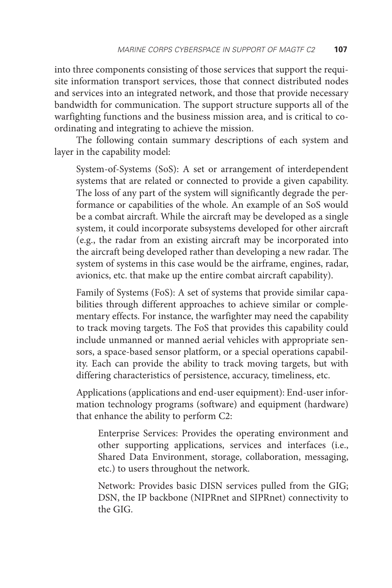into three components consisting of those services that support the requisite information transport services, those that connect distributed nodes and services into an integrated network, and those that provide necessary bandwidth for communication. The support structure supports all of the warfighting functions and the business mission area, and is critical to coordinating and integrating to achieve the mission.

The following contain summary descriptions of each system and layer in the capability model:

System-of-Systems (SoS): A set or arrangement of interdependent systems that are related or connected to provide a given capability. The loss of any part of the system will significantly degrade the performance or capabilities of the whole. An example of an SoS would be a combat aircraft. While the aircraft may be developed as a single system, it could incorporate subsystems developed for other aircraft (e.g., the radar from an existing aircraft may be incorporated into the aircraft being developed rather than developing a new radar. The system of systems in this case would be the airframe, engines, radar, avionics, etc. that make up the entire combat aircraft capability).

Family of Systems (FoS): A set of systems that provide similar capabilities through different approaches to achieve similar or complementary effects. For instance, the warfighter may need the capability to track moving targets. The FoS that provides this capability could include unmanned or manned aerial vehicles with appropriate sensors, a space-based sensor platform, or a special operations capability. Each can provide the ability to track moving targets, but with differing characteristics of persistence, accuracy, timeliness, etc.

Applications (applications and end-user equipment): End-user information technology programs (software) and equipment (hardware) that enhance the ability to perform C2:

Enterprise Services: Provides the operating environment and other supporting applications, services and interfaces (i.e., Shared Data Environment, storage, collaboration, messaging, etc.) to users throughout the network.

Network: Provides basic DISN services pulled from the GIG; DSN, the IP backbone (NIPRnet and SIPRnet) connectivity to the GIG.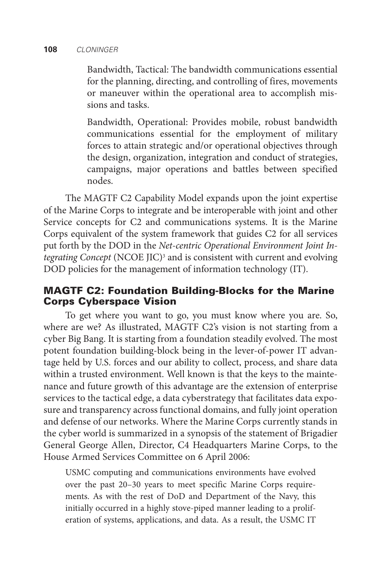#### **108** *CLONINGER*

Bandwidth, Tactical: The bandwidth communications essential for the planning, directing, and controlling of fires, movements or maneuver within the operational area to accomplish missions and tasks.

Bandwidth, Operational: Provides mobile, robust bandwidth communications essential for the employment of military forces to attain strategic and/or operational objectives through the design, organization, integration and conduct of strategies, campaigns, major operations and battles between specified nodes.

The MAGTF C2 Capability Model expands upon the joint expertise of the Marine Corps to integrate and be interoperable with joint and other Service concepts for C2 and communications systems. It is the Marine Corps equivalent of the system framework that guides C2 for all services put forth by the DOD in the *Net-centric Operational Environment Joint In*tegrating Concept (NCOE JIC)<sup>3</sup> and is consistent with current and evolving DOD policies for the management of information technology (IT).

## MAGTF C2: Foundation Building-Blocks for the Marine Corps Cyberspace Vision

To get where you want to go, you must know where you are. So, where are we? As illustrated, MAGTF C2's vision is not starting from a cyber Big Bang. It is starting from a foundation steadily evolved. The most potent foundation building-block being in the lever-of-power IT advantage held by U.S. forces and our ability to collect, process, and share data within a trusted environment. Well known is that the keys to the maintenance and future growth of this advantage are the extension of enterprise services to the tactical edge, a data cyberstrategy that facilitates data exposure and transparency across functional domains, and fully joint operation and defense of our networks. Where the Marine Corps currently stands in the cyber world is summarized in a synopsis of the statement of Brigadier General George Allen, Director, C4 Headquarters Marine Corps, to the House Armed Services Committee on 6 April 2006:

USMC computing and communications environments have evolved over the past 20–30 years to meet specific Marine Corps requirements. As with the rest of DoD and Department of the Navy, this initially occurred in a highly stove-piped manner leading to a proliferation of systems, applications, and data. As a result, the USMC IT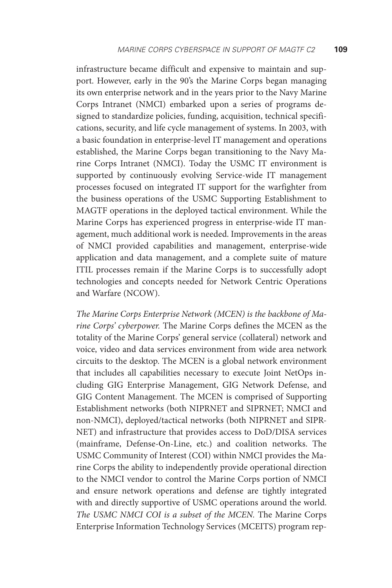infrastructure became difficult and expensive to maintain and support. However, early in the 90's the Marine Corps began managing its own enterprise network and in the years prior to the Navy Marine Corps Intranet (NMCI) embarked upon a series of programs designed to standardize policies, funding, acquisition, technical specifications, security, and life cycle management of systems. In 2003, with a basic foundation in enterprise-level IT management and operations established, the Marine Corps began transitioning to the Navy Marine Corps Intranet (NMCI). Today the USMC IT environment is supported by continuously evolving Service-wide IT management processes focused on integrated IT support for the warfighter from the business operations of the USMC Supporting Establishment to MAGTF operations in the deployed tactical environment. While the Marine Corps has experienced progress in enterprise-wide IT management, much additional work is needed. Improvements in the areas of NMCI provided capabilities and management, enterprise-wide application and data management, and a complete suite of mature ITIL processes remain if the Marine Corps is to successfully adopt technologies and concepts needed for Network Centric Operations and Warfare (NCOW).

*The Marine Corps Enterprise Network (MCEN) is the backbone of Marine Corps' cyberpower.* The Marine Corps defines the MCEN as the totality of the Marine Corps' general service (collateral) network and voice, video and data services environment from wide area network circuits to the desktop. The MCEN is a global network environment that includes all capabilities necessary to execute Joint NetOps including GIG Enterprise Management, GIG Network Defense, and GIG Content Management. The MCEN is comprised of Supporting Establishment networks (both NIPRNET and SIPRNET; NMCI and non-NMCI), deployed/tactical networks (both NIPRNET and SIPR-NET) and infrastructure that provides access to DoD/DISA services (mainframe, Defense-On-Line, etc.) and coalition networks. The USMC Community of Interest (COI) within NMCI provides the Marine Corps the ability to independently provide operational direction to the NMCI vendor to control the Marine Corps portion of NMCI and ensure network operations and defense are tightly integrated with and directly supportive of USMC operations around the world. *The USMC NMCI COI is a subset of the MCEN.* The Marine Corps Enterprise Information Technology Services (MCEITS) program rep-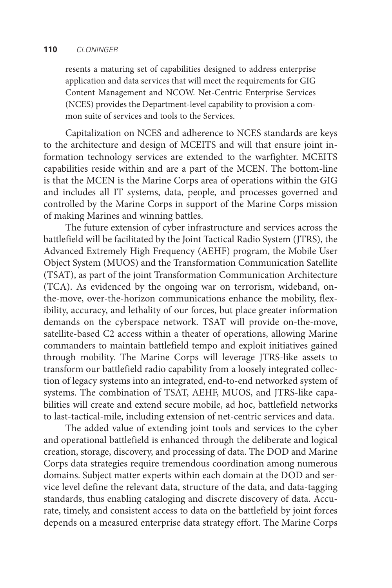#### **110** *CLONINGER*

resents a maturing set of capabilities designed to address enterprise application and data services that will meet the requirements for GIG Content Management and NCOW. Net-Centric Enterprise Services (NCES) provides the Department-level capability to provision a common suite of services and tools to the Services.

Capitalization on NCES and adherence to NCES standards are keys to the architecture and design of MCEITS and will that ensure joint information technology services are extended to the warfighter. MCEITS capabilities reside within and are a part of the MCEN. The bottom-line is that the MCEN is the Marine Corps area of operations within the GIG and includes all IT systems, data, people, and processes governed and controlled by the Marine Corps in support of the Marine Corps mission of making Marines and winning battles.

The future extension of cyber infrastructure and services across the battlefield will be facilitated by the Joint Tactical Radio System (JTRS), the Advanced Extremely High Frequency (AEHF) program, the Mobile User Object System (MUOS) and the Transformation Communication Satellite (TSAT), as part of the joint Transformation Communication Architecture (TCA). As evidenced by the ongoing war on terrorism, wideband, onthe-move, over-the-horizon communications enhance the mobility, flexibility, accuracy, and lethality of our forces, but place greater information demands on the cyberspace network. TSAT will provide on-the-move, satellite-based C2 access within a theater of operations, allowing Marine commanders to maintain battlefield tempo and exploit initiatives gained through mobility. The Marine Corps will leverage JTRS-like assets to transform our battlefield radio capability from a loosely integrated collection of legacy systems into an integrated, end-to-end networked system of systems. The combination of TSAT, AEHF, MUOS, and JTRS-like capabilities will create and extend secure mobile, ad hoc, battlefield networks to last-tactical-mile, including extension of net-centric services and data.

The added value of extending joint tools and services to the cyber and operational battlefield is enhanced through the deliberate and logical creation, storage, discovery, and processing of data. The DOD and Marine Corps data strategies require tremendous coordination among numerous domains. Subject matter experts within each domain at the DOD and service level define the relevant data, structure of the data, and data-tagging standards, thus enabling cataloging and discrete discovery of data. Accurate, timely, and consistent access to data on the battlefield by joint forces depends on a measured enterprise data strategy effort. The Marine Corps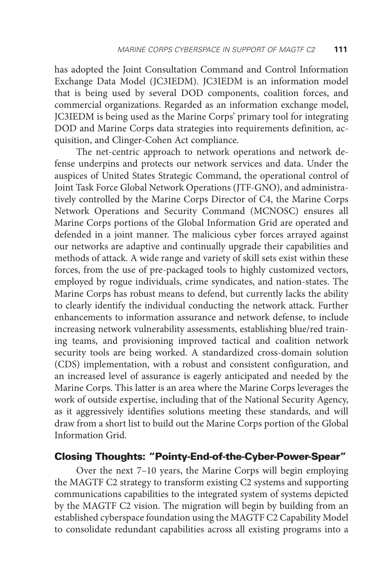has adopted the Joint Consultation Command and Control Information Exchange Data Model (JC3IEDM). JC3IEDM is an information model that is being used by several DOD components, coalition forces, and commercial organizations. Regarded as an information exchange model, JC3IEDM is being used as the Marine Corps' primary tool for integrating DOD and Marine Corps data strategies into requirements definition, acquisition, and Clinger-Cohen Act compliance.

The net-centric approach to network operations and network defense underpins and protects our network services and data. Under the auspices of United States Strategic Command, the operational control of Joint Task Force Global Network Operations (JTF-GNO), and administratively controlled by the Marine Corps Director of C4, the Marine Corps Network Operations and Security Command (MCNOSC) ensures all Marine Corps portions of the Global Information Grid are operated and defended in a joint manner. The malicious cyber forces arrayed against our networks are adaptive and continually upgrade their capabilities and methods of attack. A wide range and variety of skill sets exist within these forces, from the use of pre-packaged tools to highly customized vectors, employed by rogue individuals, crime syndicates, and nation-states. The Marine Corps has robust means to defend, but currently lacks the ability to clearly identify the individual conducting the network attack. Further enhancements to information assurance and network defense, to include increasing network vulnerability assessments, establishing blue/red training teams, and provisioning improved tactical and coalition network security tools are being worked. A standardized cross-domain solution (CDS) implementation, with a robust and consistent configuration, and an increased level of assurance is eagerly anticipated and needed by the Marine Corps. This latter is an area where the Marine Corps leverages the work of outside expertise, including that of the National Security Agency, as it aggressively identifies solutions meeting these standards, and will draw from a short list to build out the Marine Corps portion of the Global Information Grid.

## Closing Thoughts: "Pointy-End-of-the-Cyber-Power-Spear"

Over the next 7–10 years, the Marine Corps will begin employing the MAGTF C2 strategy to transform existing C2 systems and supporting communications capabilities to the integrated system of systems depicted by the MAGTF C2 vision. The migration will begin by building from an established cyberspace foundation using the MAGTF C2 Capability Model to consolidate redundant capabilities across all existing programs into a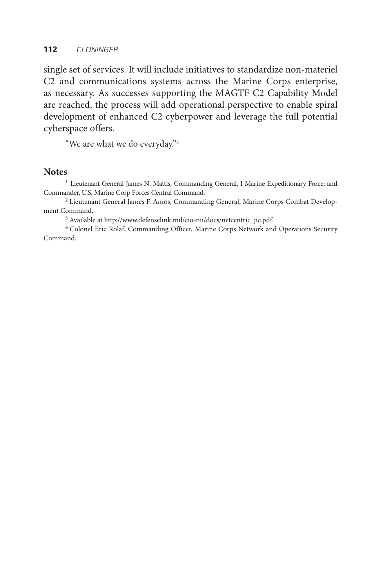single set of services. It will include initiatives to standardize non-materiel C2 and communications systems across the Marine Corps enterprise, as necessary. As successes supporting the MAGTF C2 Capability Model are reached, the process will add operational perspective to enable spiral development of enhanced C2 cyberpower and leverage the full potential cyberspace offers.

"We are what we do everyday."4

#### **Notes**

<sup>1</sup> Lieutenant General James N. Mattis, Commanding General, I Marine Expeditionary Force; and Commander, U.S. Marine Corp Forces Central Command.

2 Lieutenant General James F. Amos, Commanding General, Marine Corps Combat Development Command.

3 Available at http://www.defenselink.mil/cio-nii/docs/netcentric\_jic.pdf.

4 Colonel Eric Rolaf, Commanding Officer, Marine Corps Network and Operations Security Command.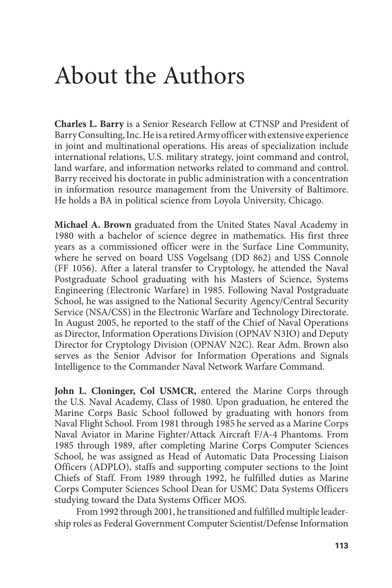# About the Authors

**Charles L. Barry** is a Senior Research Fellow at CTNSP and President of Barry Consulting, Inc. He is a retired Army officer with extensive experience in joint and multinational operations. His areas of specialization include international relations, U.S. military strategy, joint command and control, land warfare, and information networks related to command and control. Barry received his doctorate in public administration with a concentration in information resource management from the University of Baltimore. He holds a BA in political science from Loyola University, Chicago.

**Michael A. Brown** graduated from the United States Naval Academy in 1980 with a bachelor of science degree in mathematics. His first three years as a commissioned officer were in the Surface Line Community, where he served on board USS Vogelsang (DD 862) and USS Connole (FF 1056). After a lateral transfer to Cryptology, he attended the Naval Postgraduate School graduating with his Masters of Science, Systems Engineering (Electronic Warfare) in 1985. Following Naval Postgraduate School, he was assigned to the National Security Agency/Central Security Service (NSA/CSS) in the Electronic Warfare and Technology Directorate. In August 2005, he reported to the staff of the Chief of Naval Operations as Director, Information Operations Division (OPNAV N3IO) and Deputy Director for Cryptology Division (OPNAV N2C). Rear Adm. Brown also serves as the Senior Advisor for Information Operations and Signals Intelligence to the Commander Naval Network Warfare Command.

**John L. Cloninger, Col USMCR,** entered the Marine Corps through the U.S. Naval Academy, Class of 1980. Upon graduation, he entered the Marine Corps Basic School followed by graduating with honors from Naval Flight School. From 1981 through 1985 he served as a Marine Corps Naval Aviator in Marine Fighter/Attack Aircraft F/A-4 Phantoms. From 1985 through 1989, after completing Marine Corps Computer Sciences School, he was assigned as Head of Automatic Data Processing Liaison Officers (ADPLO), staffs and supporting computer sections to the Joint Chiefs of Staff. From 1989 through 1992, he fulfilled duties as Marine Corps Computer Sciences School Dean for USMC Data Systems Officers studying toward the Data Systems Officer MOS.

From 1992 through 2001, he transitioned and fulfilled multiple leadership roles as Federal Government Computer Scientist/Defense Information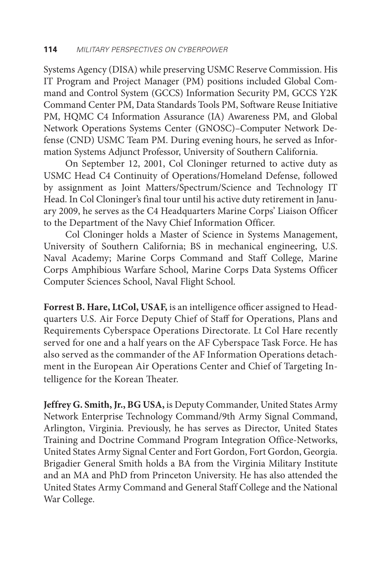Systems Agency (DISA) while preserving USMC Reserve Commission. His IT Program and Project Manager (PM) positions included Global Command and Control System (GCCS) Information Security PM, GCCS Y2K Command Center PM, Data Standards Tools PM, Software Reuse Initiative PM, HQMC C4 Information Assurance (IA) Awareness PM, and Global Network Operations Systems Center (GNOSC)–Computer Network Defense (CND) USMC Team PM. During evening hours, he served as Information Systems Adjunct Professor, University of Southern California.

On September 12, 2001, Col Cloninger returned to active duty as USMC Head C4 Continuity of Operations/Homeland Defense, followed by assignment as Joint Matters/Spectrum/Science and Technology IT Head. In Col Cloninger's final tour until his active duty retirement in January 2009, he serves as the C4 Headquarters Marine Corps' Liaison Officer to the Department of the Navy Chief Information Officer.

Col Cloninger holds a Master of Science in Systems Management, University of Southern California; BS in mechanical engineering, U.S. Naval Academy; Marine Corps Command and Staff College, Marine Corps Amphibious Warfare School, Marine Corps Data Systems Officer Computer Sciences School, Naval Flight School.

**Forrest B. Hare, LtCol, USAF,** is an intelligence officer assigned to Headquarters U.S. Air Force Deputy Chief of Staff for Operations, Plans and Requirements Cyberspace Operations Directorate. Lt Col Hare recently served for one and a half years on the AF Cyberspace Task Force. He has also served as the commander of the AF Information Operations detachment in the European Air Operations Center and Chief of Targeting Intelligence for the Korean Theater.

**Jeffrey G. Smith, Jr., BG USA,** is Deputy Commander, United States Army Network Enterprise Technology Command/9th Army Signal Command, Arlington, Virginia. Previously, he has serves as Director, United States Training and Doctrine Command Program Integration Office-Networks, United States Army Signal Center and Fort Gordon, Fort Gordon, Georgia. Brigadier General Smith holds a BA from the Virginia Military Institute and an MA and PhD from Princeton University. He has also attended the United States Army Command and General Staff College and the National War College.